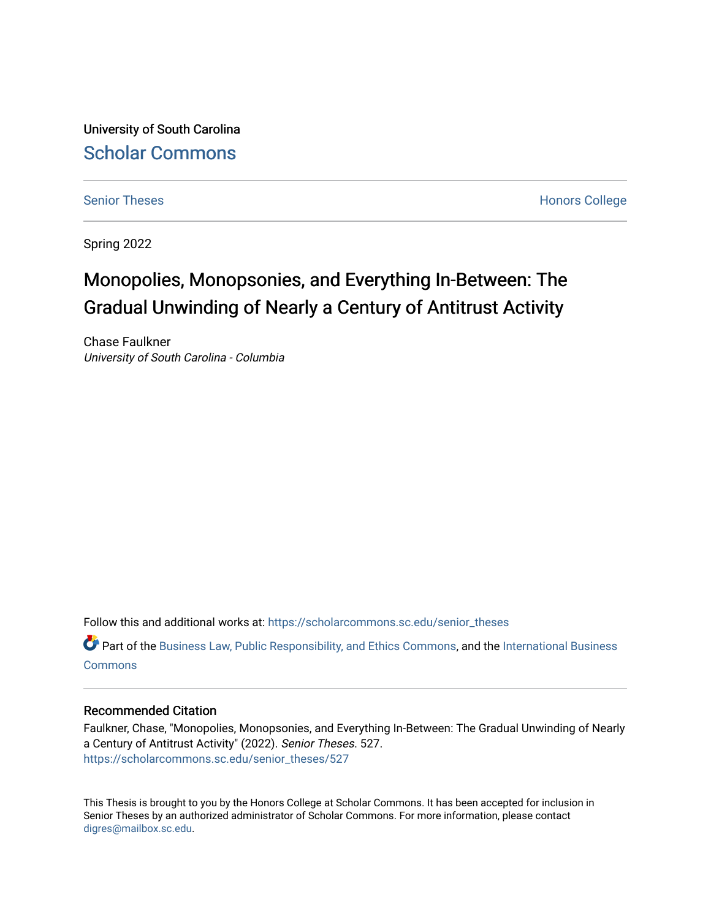University of South Carolina [Scholar Commons](https://scholarcommons.sc.edu/) 

[Senior Theses](https://scholarcommons.sc.edu/senior_theses) **Honors College** Honors College

Spring 2022

# Monopolies, Monopsonies, and Everything In-Between: The Gradual Unwinding of Nearly a Century of Antitrust Activity

Chase Faulkner University of South Carolina - Columbia

Follow this and additional works at: [https://scholarcommons.sc.edu/senior\\_theses](https://scholarcommons.sc.edu/senior_theses?utm_source=scholarcommons.sc.edu%2Fsenior_theses%2F527&utm_medium=PDF&utm_campaign=PDFCoverPages) 

 $\bullet$  Part of the [Business Law, Public Responsibility, and Ethics Commons](http://network.bepress.com/hgg/discipline/628?utm_source=scholarcommons.sc.edu%2Fsenior_theses%2F527&utm_medium=PDF&utm_campaign=PDFCoverPages), and the International Business **[Commons](http://network.bepress.com/hgg/discipline/634?utm_source=scholarcommons.sc.edu%2Fsenior_theses%2F527&utm_medium=PDF&utm_campaign=PDFCoverPages)** 

## Recommended Citation

Faulkner, Chase, "Monopolies, Monopsonies, and Everything In-Between: The Gradual Unwinding of Nearly a Century of Antitrust Activity" (2022). Senior Theses. 527. [https://scholarcommons.sc.edu/senior\\_theses/527](https://scholarcommons.sc.edu/senior_theses/527?utm_source=scholarcommons.sc.edu%2Fsenior_theses%2F527&utm_medium=PDF&utm_campaign=PDFCoverPages) 

This Thesis is brought to you by the Honors College at Scholar Commons. It has been accepted for inclusion in Senior Theses by an authorized administrator of Scholar Commons. For more information, please contact [digres@mailbox.sc.edu](mailto:digres@mailbox.sc.edu).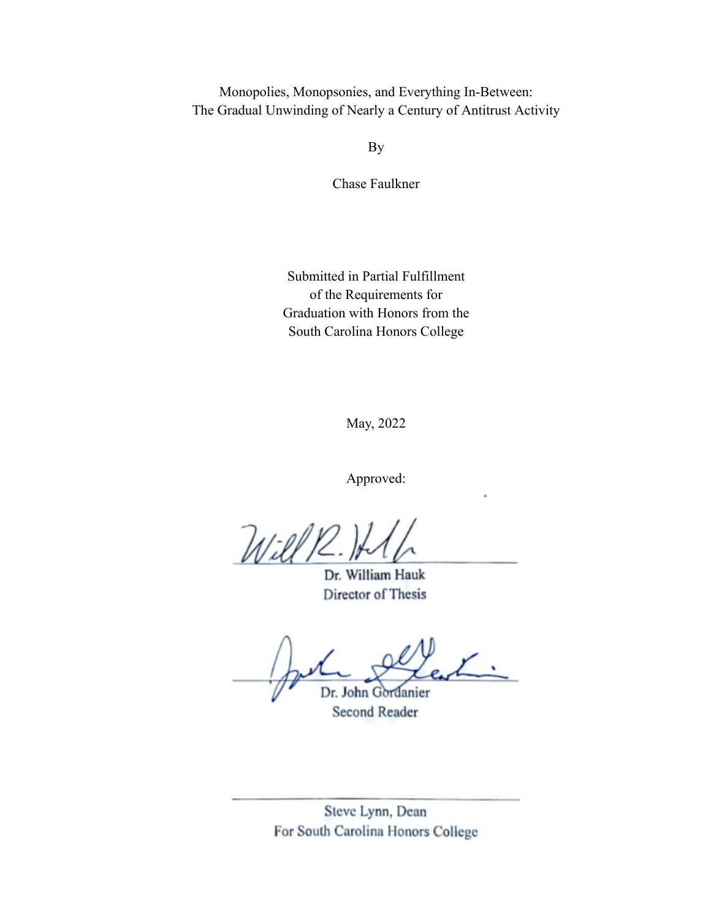Monopolies, Monopsonies, and Everything In-Between: The Gradual Unwinding of Nearly a Century of Antitrust Activity

By

Chase Faulkner

Submitted in Partial Fulfillment of the Requirements for Graduation with Honors from the South Carolina Honors College

May, 2022

Approved:

 $Wilk$ 

Dr. William Hauk Director of Thesis

 $\Box$  $\frac{1}{2}$ 

Soun Oordani

Steve Lynn, Dean For South Carolina Honors College

Steve Lynn, Dean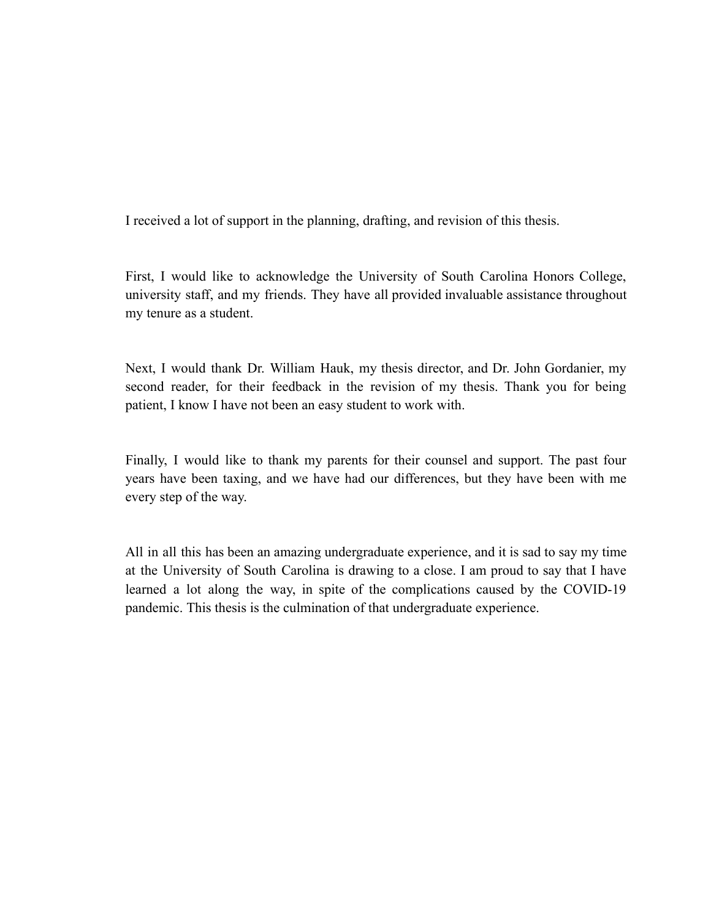I received a lot of support in the planning, drafting, and revision of this thesis.

First, I would like to acknowledge the University of South Carolina Honors College, university staff, and my friends. They have all provided invaluable assistance throughout my tenure as a student.

Next, I would thank Dr. William Hauk, my thesis director, and Dr. John Gordanier, my second reader, for their feedback in the revision of my thesis. Thank you for being patient, I know I have not been an easy student to work with.

Finally, I would like to thank my parents for their counsel and support. The past four years have been taxing, and we have had our differences, but they have been with me every step of the way.

All in all this has been an amazing undergraduate experience, and it is sad to say my time at the University of South Carolina is drawing to a close. I am proud to say that I have learned a lot along the way, in spite of the complications caused by the COVID-19 pandemic. This thesis is the culmination of that undergraduate experience.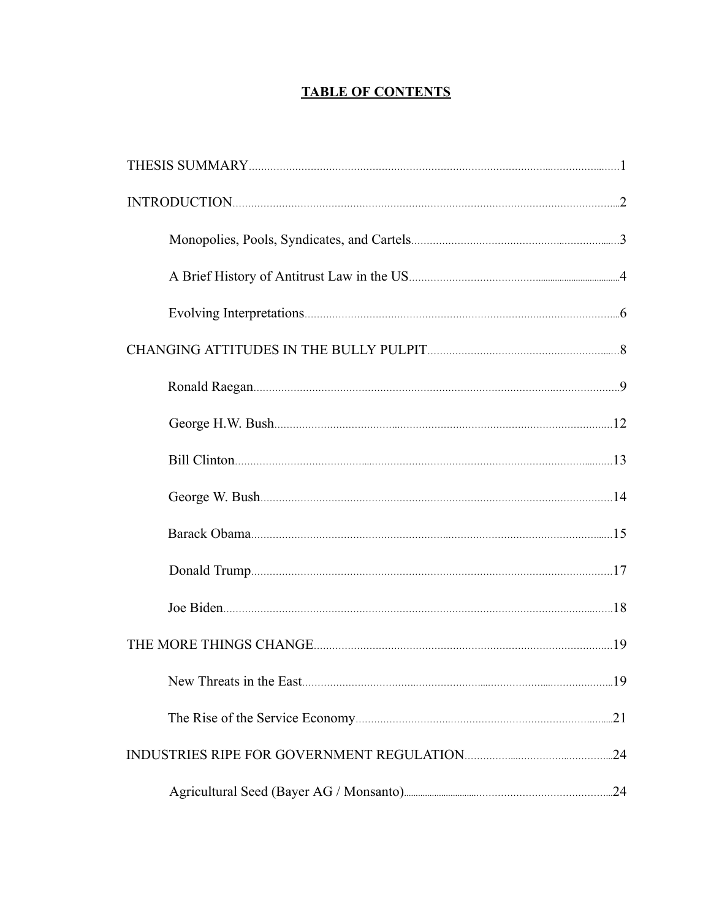# **TABLE OF CONTENTS**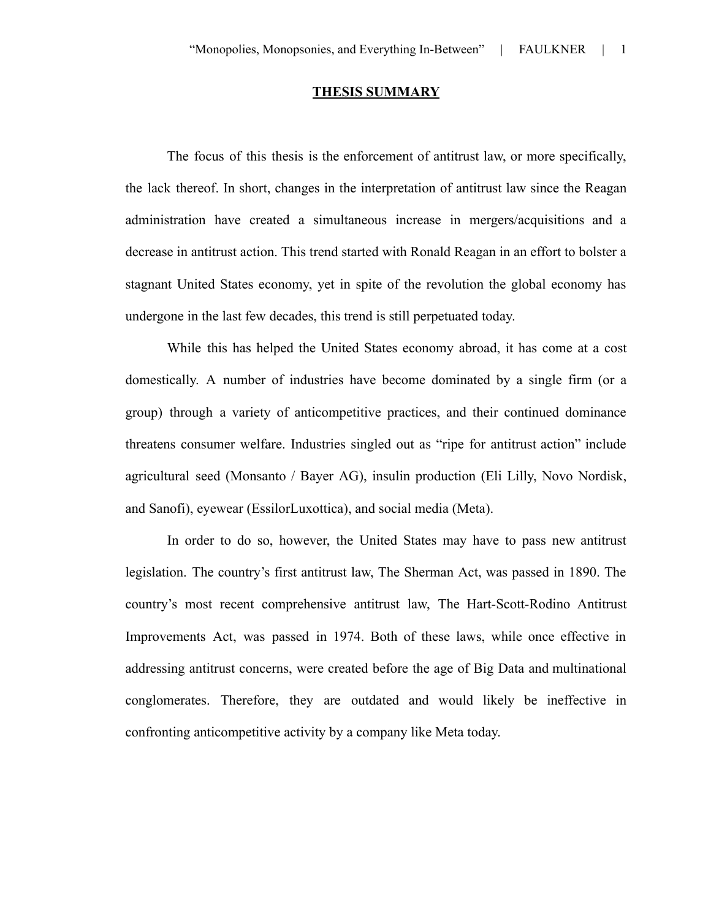# **THESIS SUMMARY**

The focus of this thesis is the enforcement of antitrust law, or more specifically, the lack thereof. In short, changes in the interpretation of antitrust law since the Reagan administration have created a simultaneous increase in mergers/acquisitions and a decrease in antitrust action. This trend started with Ronald Reagan in an effort to bolster a stagnant United States economy, yet in spite of the revolution the global economy has undergone in the last few decades, this trend is still perpetuated today.

While this has helped the United States economy abroad, it has come at a cost domestically. A number of industries have become dominated by a single firm (or a group) through a variety of anticompetitive practices, and their continued dominance threatens consumer welfare. Industries singled out as "ripe for antitrust action" include agricultural seed (Monsanto / Bayer AG), insulin production (Eli Lilly, Novo Nordisk, and Sanofi), eyewear (EssilorLuxottica), and social media (Meta).

In order to do so, however, the United States may have to pass new antitrust legislation. The country's first antitrust law, The Sherman Act, was passed in 1890. The country's most recent comprehensive antitrust law, The Hart-Scott-Rodino Antitrust Improvements Act, was passed in 1974. Both of these laws, while once effective in addressing antitrust concerns, were created before the age of Big Data and multinational conglomerates. Therefore, they are outdated and would likely be ineffective in confronting anticompetitive activity by a company like Meta today.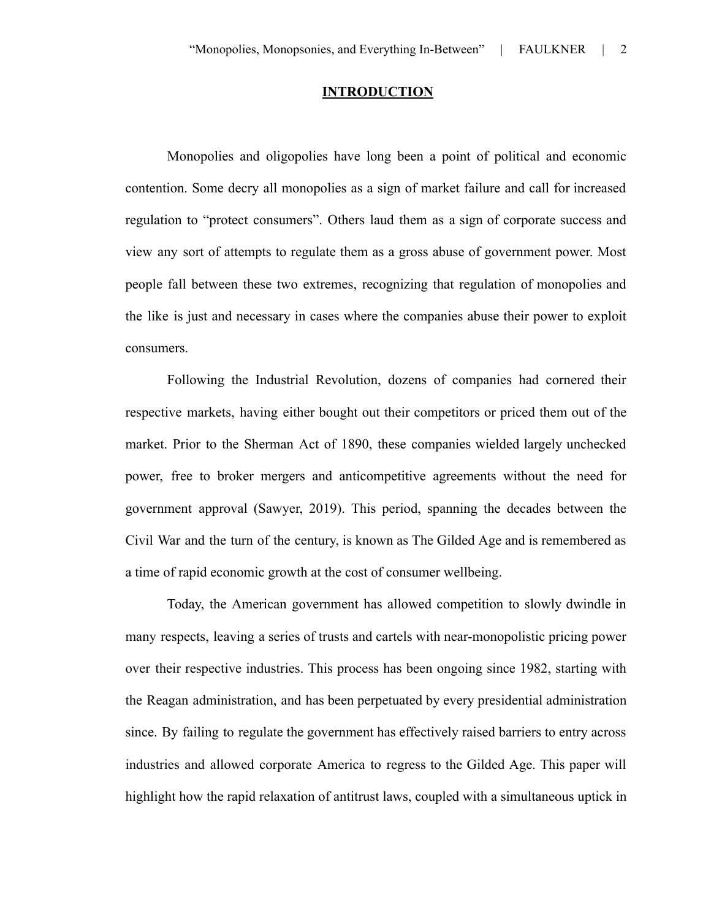#### **INTRODUCTION**

Monopolies and oligopolies have long been a point of political and economic contention. Some decry all monopolies as a sign of market failure and call for increased regulation to "protect consumers". Others laud them as a sign of corporate success and view any sort of attempts to regulate them as a gross abuse of government power. Most people fall between these two extremes, recognizing that regulation of monopolies and the like is just and necessary in cases where the companies abuse their power to exploit consumers.

Following the Industrial Revolution, dozens of companies had cornered their respective markets, having either bought out their competitors or priced them out of the market. Prior to the Sherman Act of 1890, these companies wielded largely unchecked power, free to broker mergers and anticompetitive agreements without the need for government approval (Sawyer, 2019). This period, spanning the decades between the Civil War and the turn of the century, is known as The Gilded Age and is remembered as a time of rapid economic growth at the cost of consumer wellbeing.

Today, the American government has allowed competition to slowly dwindle in many respects, leaving a series of trusts and cartels with near-monopolistic pricing power over their respective industries. This process has been ongoing since 1982, starting with the Reagan administration, and has been perpetuated by every presidential administration since. By failing to regulate the government has effectively raised barriers to entry across industries and allowed corporate America to regress to the Gilded Age. This paper will highlight how the rapid relaxation of antitrust laws, coupled with a simultaneous uptick in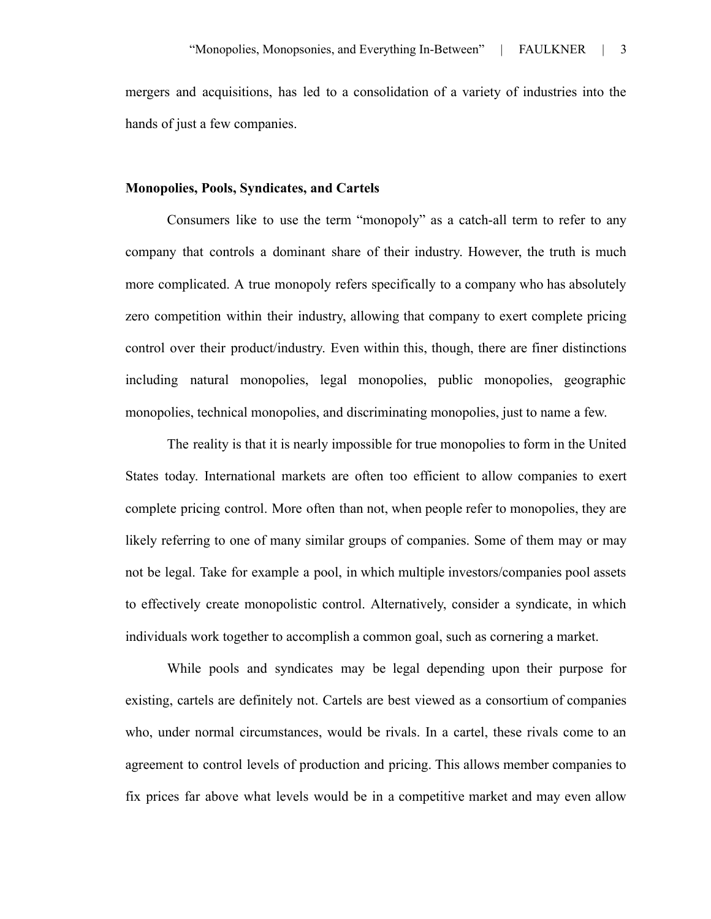mergers and acquisitions, has led to a consolidation of a variety of industries into the hands of just a few companies.

#### **Monopolies, Pools, Syndicates, and Cartels**

Consumers like to use the term "monopoly" as a catch-all term to refer to any company that controls a dominant share of their industry. However, the truth is much more complicated. A true monopoly refers specifically to a company who has absolutely zero competition within their industry, allowing that company to exert complete pricing control over their product/industry. Even within this, though, there are finer distinctions including natural monopolies, legal monopolies, public monopolies, geographic monopolies, technical monopolies, and discriminating monopolies, just to name a few.

The reality is that it is nearly impossible for true monopolies to form in the United States today. International markets are often too efficient to allow companies to exert complete pricing control. More often than not, when people refer to monopolies, they are likely referring to one of many similar groups of companies. Some of them may or may not be legal. Take for example a pool, in which multiple investors/companies pool assets to effectively create monopolistic control. Alternatively, consider a syndicate, in which individuals work together to accomplish a common goal, such as cornering a market.

While pools and syndicates may be legal depending upon their purpose for existing, cartels are definitely not. Cartels are best viewed as a consortium of companies who, under normal circumstances, would be rivals. In a cartel, these rivals come to an agreement to control levels of production and pricing. This allows member companies to fix prices far above what levels would be in a competitive market and may even allow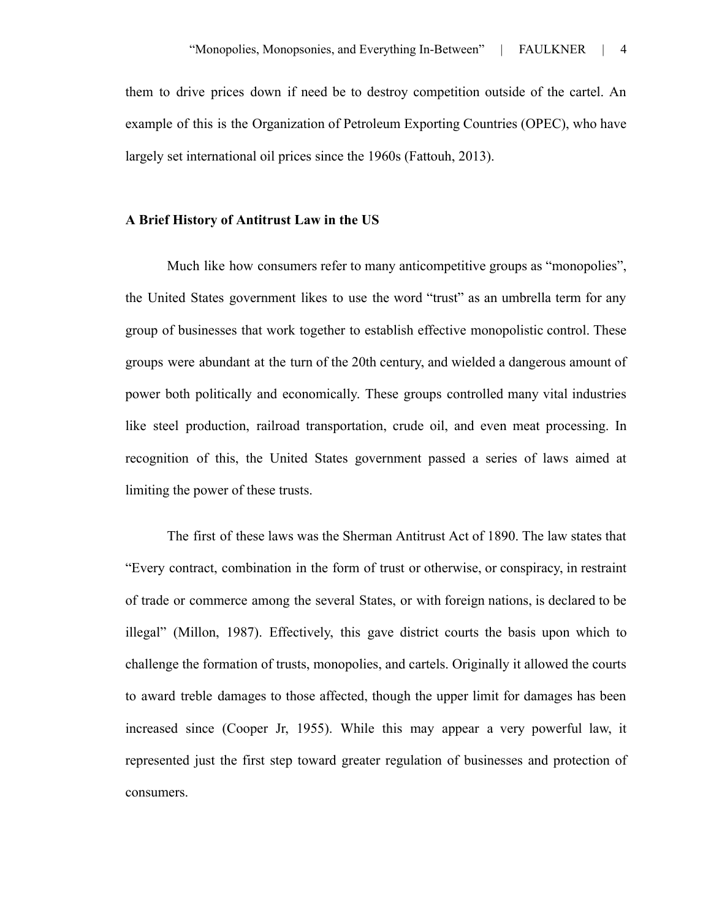them to drive prices down if need be to destroy competition outside of the cartel. An example of this is the Organization of Petroleum Exporting Countries (OPEC), who have largely set international oil prices since the 1960s (Fattouh, 2013).

#### **A Brief History of Antitrust Law in the US**

Much like how consumers refer to many anticompetitive groups as "monopolies", the United States government likes to use the word "trust" as an umbrella term for any group of businesses that work together to establish effective monopolistic control. These groups were abundant at the turn of the 20th century, and wielded a dangerous amount of power both politically and economically. These groups controlled many vital industries like steel production, railroad transportation, crude oil, and even meat processing. In recognition of this, the United States government passed a series of laws aimed at limiting the power of these trusts.

The first of these laws was the Sherman Antitrust Act of 1890. The law states that "Every contract, combination in the form of trust or otherwise, or conspiracy, in restraint of trade or commerce among the several States, or with foreign nations, is declared to be illegal" (Millon, 1987). Effectively, this gave district courts the basis upon which to challenge the formation of trusts, monopolies, and cartels. Originally it allowed the courts to award treble damages to those affected, though the upper limit for damages has been increased since (Cooper Jr, 1955). While this may appear a very powerful law, it represented just the first step toward greater regulation of businesses and protection of consumers.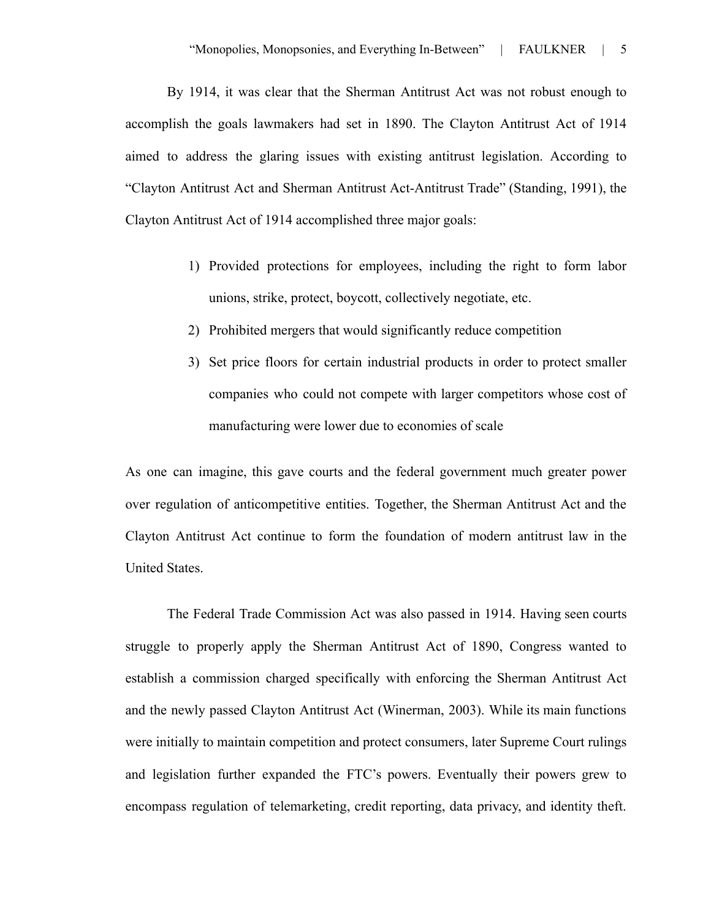By 1914, it was clear that the Sherman Antitrust Act was not robust enough to accomplish the goals lawmakers had set in 1890. The Clayton Antitrust Act of 1914 aimed to address the glaring issues with existing antitrust legislation. According to "Clayton Antitrust Act and Sherman Antitrust Act-Antitrust Trade" (Standing, 1991), the Clayton Antitrust Act of 1914 accomplished three major goals:

- 1) Provided protections for employees, including the right to form labor unions, strike, protect, boycott, collectively negotiate, etc.
- 2) Prohibited mergers that would significantly reduce competition
- 3) Set price floors for certain industrial products in order to protect smaller companies who could not compete with larger competitors whose cost of manufacturing were lower due to economies of scale

As one can imagine, this gave courts and the federal government much greater power over regulation of anticompetitive entities. Together, the Sherman Antitrust Act and the Clayton Antitrust Act continue to form the foundation of modern antitrust law in the United States.

The Federal Trade Commission Act was also passed in 1914. Having seen courts struggle to properly apply the Sherman Antitrust Act of 1890, Congress wanted to establish a commission charged specifically with enforcing the Sherman Antitrust Act and the newly passed Clayton Antitrust Act (Winerman, 2003). While its main functions were initially to maintain competition and protect consumers, later Supreme Court rulings and legislation further expanded the FTC's powers. Eventually their powers grew to encompass regulation of telemarketing, credit reporting, data privacy, and identity theft.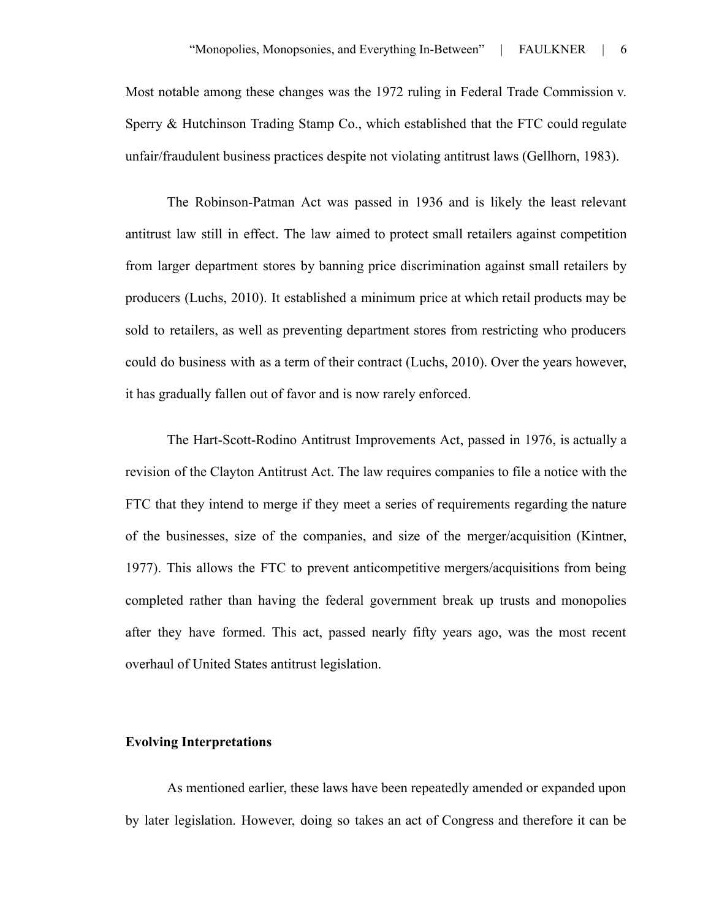Most notable among these changes was the 1972 ruling in Federal Trade Commission v. Sperry & Hutchinson Trading Stamp Co., which established that the FTC could regulate unfair/fraudulent business practices despite not violating antitrust laws (Gellhorn, 1983).

The Robinson-Patman Act was passed in 1936 and is likely the least relevant antitrust law still in effect. The law aimed to protect small retailers against competition from larger department stores by banning price discrimination against small retailers by producers (Luchs, 2010). It established a minimum price at which retail products may be sold to retailers, as well as preventing department stores from restricting who producers could do business with as a term of their contract (Luchs, 2010). Over the years however, it has gradually fallen out of favor and is now rarely enforced.

The Hart-Scott-Rodino Antitrust Improvements Act, passed in 1976, is actually a revision of the Clayton Antitrust Act. The law requires companies to file a notice with the FTC that they intend to merge if they meet a series of requirements regarding the nature of the businesses, size of the companies, and size of the merger/acquisition (Kintner, 1977). This allows the FTC to prevent anticompetitive mergers/acquisitions from being completed rather than having the federal government break up trusts and monopolies after they have formed. This act, passed nearly fifty years ago, was the most recent overhaul of United States antitrust legislation.

#### **Evolving Interpretations**

As mentioned earlier, these laws have been repeatedly amended or expanded upon by later legislation. However, doing so takes an act of Congress and therefore it can be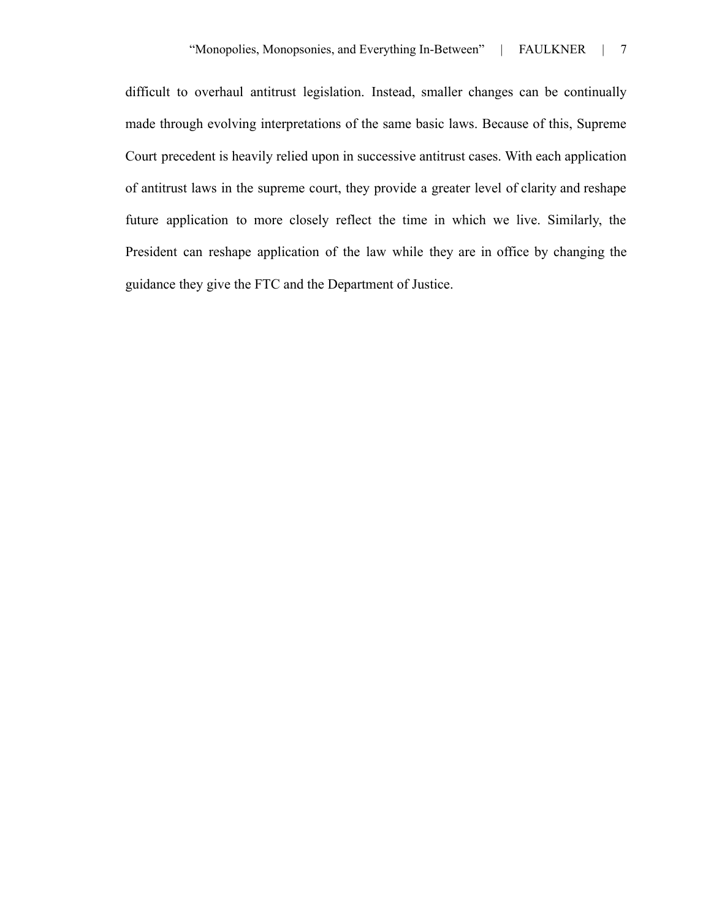difficult to overhaul antitrust legislation. Instead, smaller changes can be continually made through evolving interpretations of the same basic laws. Because of this, Supreme Court precedent is heavily relied upon in successive antitrust cases. With each application of antitrust laws in the supreme court, they provide a greater level of clarity and reshape future application to more closely reflect the time in which we live. Similarly, the President can reshape application of the law while they are in office by changing the guidance they give the FTC and the Department of Justice.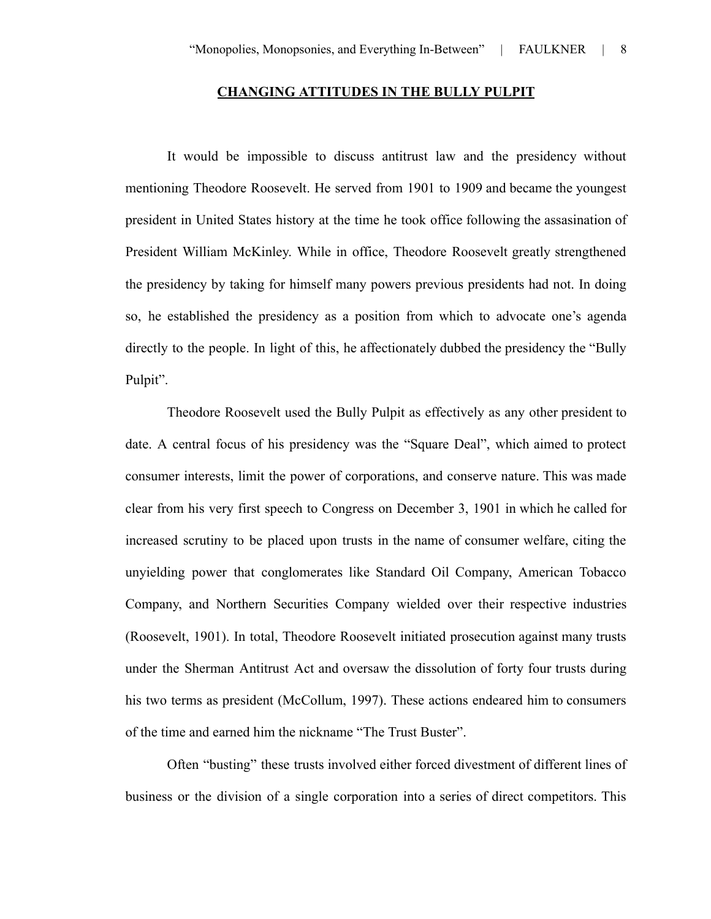#### **CHANGING ATTITUDES IN THE BULLY PULPIT**

It would be impossible to discuss antitrust law and the presidency without mentioning Theodore Roosevelt. He served from 1901 to 1909 and became the youngest president in United States history at the time he took office following the assasination of President William McKinley. While in office, Theodore Roosevelt greatly strengthened the presidency by taking for himself many powers previous presidents had not. In doing so, he established the presidency as a position from which to advocate one's agenda directly to the people. In light of this, he affectionately dubbed the presidency the "Bully Pulpit".

Theodore Roosevelt used the Bully Pulpit as effectively as any other president to date. A central focus of his presidency was the "Square Deal", which aimed to protect consumer interests, limit the power of corporations, and conserve nature. This was made clear from his very first speech to Congress on December 3, 1901 in which he called for increased scrutiny to be placed upon trusts in the name of consumer welfare, citing the unyielding power that conglomerates like Standard Oil Company, American Tobacco Company, and Northern Securities Company wielded over their respective industries (Roosevelt, 1901). In total, Theodore Roosevelt initiated prosecution against many trusts under the Sherman Antitrust Act and oversaw the dissolution of forty four trusts during his two terms as president (McCollum, 1997). These actions endeared him to consumers of the time and earned him the nickname "The Trust Buster".

Often "busting" these trusts involved either forced divestment of different lines of business or the division of a single corporation into a series of direct competitors. This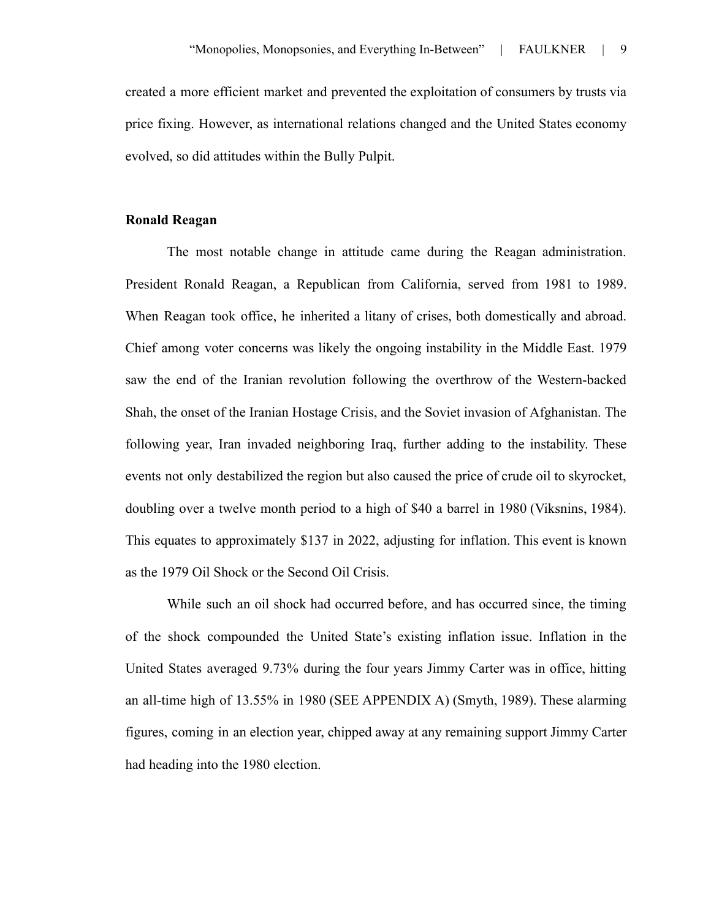created a more efficient market and prevented the exploitation of consumers by trusts via price fixing. However, as international relations changed and the United States economy evolved, so did attitudes within the Bully Pulpit.

#### **Ronald Reagan**

The most notable change in attitude came during the Reagan administration. President Ronald Reagan, a Republican from California, served from 1981 to 1989. When Reagan took office, he inherited a litany of crises, both domestically and abroad. Chief among voter concerns was likely the ongoing instability in the Middle East. 1979 saw the end of the Iranian revolution following the overthrow of the Western-backed Shah, the onset of the Iranian Hostage Crisis, and the Soviet invasion of Afghanistan. The following year, Iran invaded neighboring Iraq, further adding to the instability. These events not only destabilized the region but also caused the price of crude oil to skyrocket, doubling over a twelve month period to a high of \$40 a barrel in 1980 (Viksnins, 1984). This equates to approximately \$137 in 2022, adjusting for inflation. This event is known as the 1979 Oil Shock or the Second Oil Crisis.

While such an oil shock had occurred before, and has occurred since, the timing of the shock compounded the United State's existing inflation issue. Inflation in the United States averaged 9.73% during the four years Jimmy Carter was in office, hitting an all-time high of 13.55% in 1980 (SEE APPENDIX A) (Smyth, 1989). These alarming figures, coming in an election year, chipped away at any remaining support Jimmy Carter had heading into the 1980 election.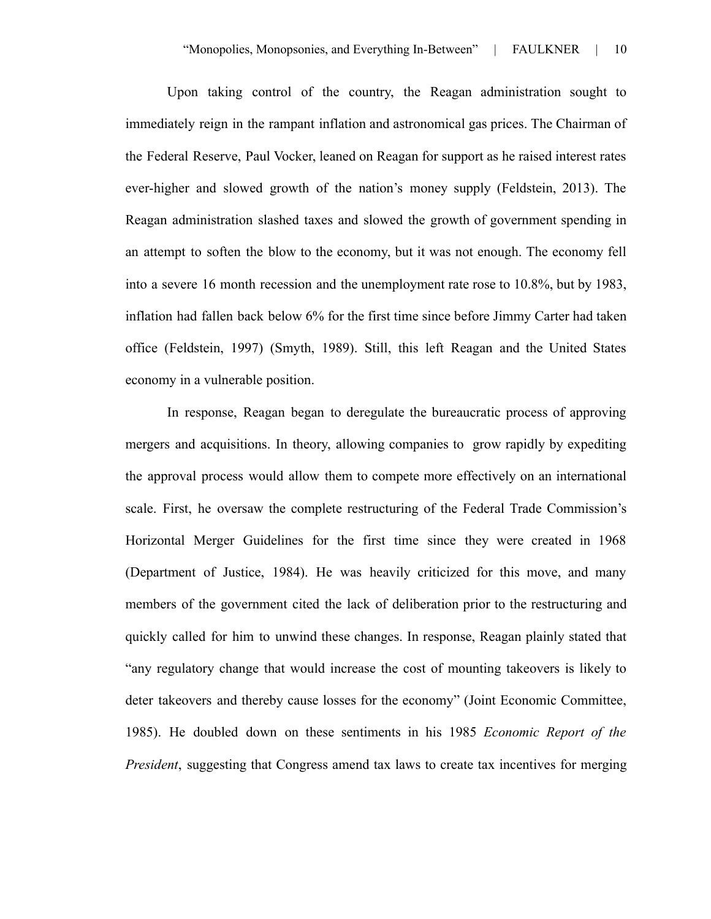Upon taking control of the country, the Reagan administration sought to immediately reign in the rampant inflation and astronomical gas prices. The Chairman of the Federal Reserve, Paul Vocker, leaned on Reagan for support as he raised interest rates ever-higher and slowed growth of the nation's money supply (Feldstein, 2013). The Reagan administration slashed taxes and slowed the growth of government spending in an attempt to soften the blow to the economy, but it was not enough. The economy fell into a severe 16 month recession and the unemployment rate rose to 10.8%, but by 1983, inflation had fallen back below 6% for the first time since before Jimmy Carter had taken office (Feldstein, 1997) (Smyth, 1989). Still, this left Reagan and the United States economy in a vulnerable position.

In response, Reagan began to deregulate the bureaucratic process of approving mergers and acquisitions. In theory, allowing companies to grow rapidly by expediting the approval process would allow them to compete more effectively on an international scale. First, he oversaw the complete restructuring of the Federal Trade Commission's Horizontal Merger Guidelines for the first time since they were created in 1968 (Department of Justice, 1984). He was heavily criticized for this move, and many members of the government cited the lack of deliberation prior to the restructuring and quickly called for him to unwind these changes. In response, Reagan plainly stated that "any regulatory change that would increase the cost of mounting takeovers is likely to deter takeovers and thereby cause losses for the economy" (Joint Economic Committee, 1985). He doubled down on these sentiments in his 1985 *Economic Report of the President*, suggesting that Congress amend tax laws to create tax incentives for merging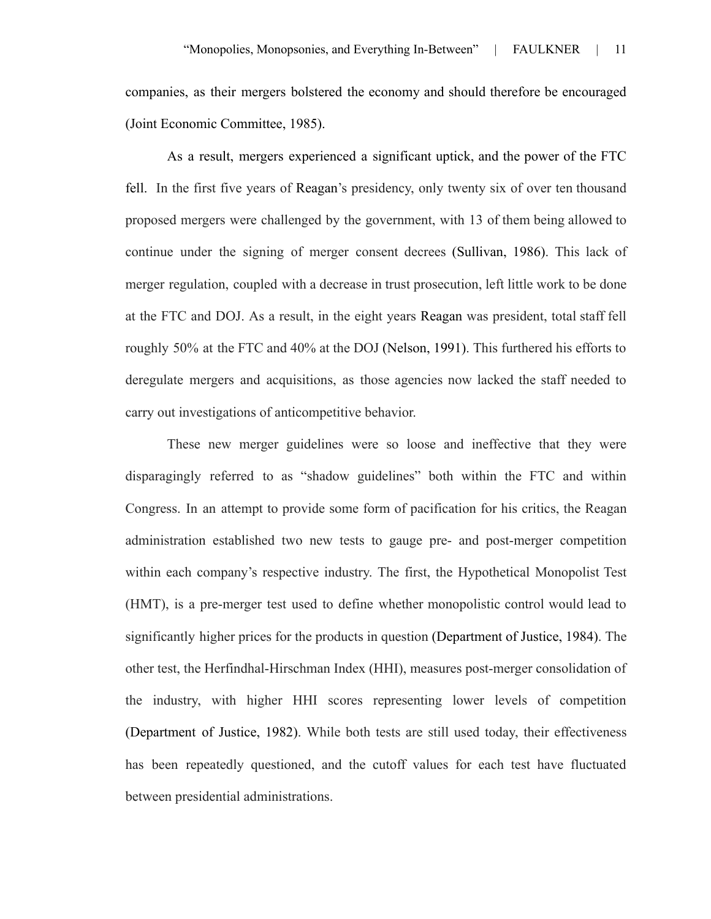companies, as their mergers bolstered the economy and should therefore be encouraged (Joint Economic Committee, 1985).

As a result, mergers experienced a significant uptick, and the power of the FTC fell. In the first five years of Reagan's presidency, only twenty six of over ten thousand proposed mergers were challenged by the government, with 13 of them being allowed to continue under the signing of merger consent decrees (Sullivan, 1986). This lack of merger regulation, coupled with a decrease in trust prosecution, left little work to be done at the FTC and DOJ. As a result, in the eight years Reagan was president, total staff fell roughly 50% at the FTC and 40% at the DOJ (Nelson, 1991). This furthered his efforts to deregulate mergers and acquisitions, as those agencies now lacked the staff needed to carry out investigations of anticompetitive behavior.

These new merger guidelines were so loose and ineffective that they were disparagingly referred to as "shadow guidelines" both within the FTC and within Congress. In an attempt to provide some form of pacification for his critics, the Reagan administration established two new tests to gauge pre- and post-merger competition within each company's respective industry. The first, the Hypothetical Monopolist Test (HMT), is a pre-merger test used to define whether monopolistic control would lead to significantly higher prices for the products in question (Department of Justice, 1984). The other test, the Herfindhal-Hirschman Index (HHI), measures post-merger consolidation of the industry, with higher HHI scores representing lower levels of competition (Department of Justice, 1982). While both tests are still used today, their effectiveness has been repeatedly questioned, and the cutoff values for each test have fluctuated between presidential administrations.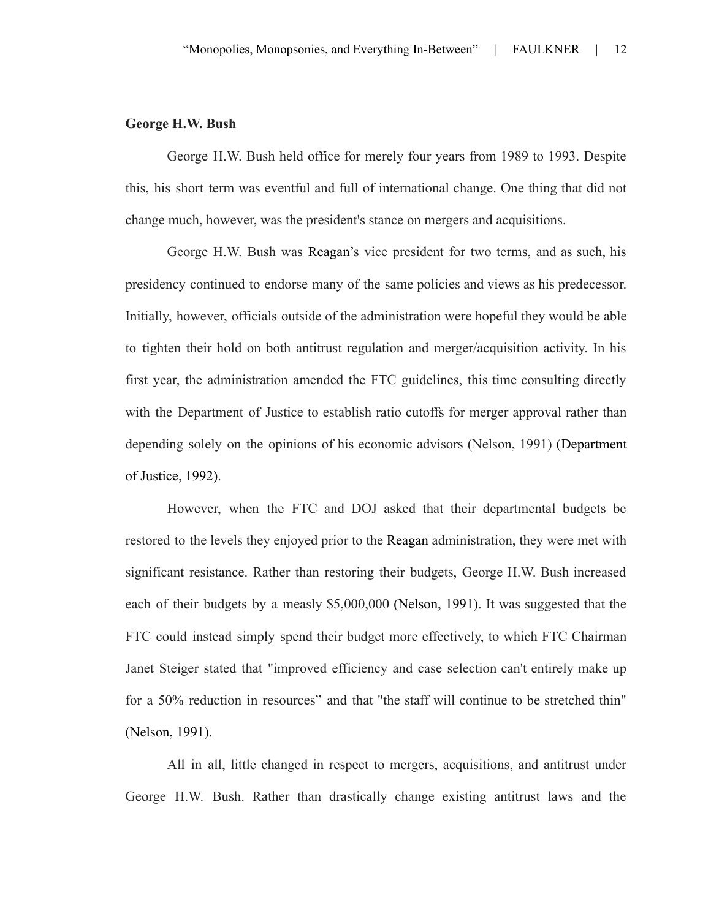## **George H.W. Bush**

George H.W. Bush held office for merely four years from 1989 to 1993. Despite this, his short term was eventful and full of international change. One thing that did not change much, however, was the president's stance on mergers and acquisitions.

George H.W. Bush was Reagan's vice president for two terms, and as such, his presidency continued to endorse many of the same policies and views as his predecessor. Initially, however, officials outside of the administration were hopeful they would be able to tighten their hold on both antitrust regulation and merger/acquisition activity. In his first year, the administration amended the FTC guidelines, this time consulting directly with the Department of Justice to establish ratio cutoffs for merger approval rather than depending solely on the opinions of his economic advisors (Nelson, 1991) (Department of Justice, 1992).

However, when the FTC and DOJ asked that their departmental budgets be restored to the levels they enjoyed prior to the Reagan administration, they were met with significant resistance. Rather than restoring their budgets, George H.W. Bush increased each of their budgets by a measly \$5,000,000 (Nelson, 1991). It was suggested that the FTC could instead simply spend their budget more effectively, to which FTC Chairman Janet Steiger stated that "improved efficiency and case selection can't entirely make up for a 50% reduction in resources" and that "the staff will continue to be stretched thin" (Nelson, 1991).

All in all, little changed in respect to mergers, acquisitions, and antitrust under George H.W. Bush. Rather than drastically change existing antitrust laws and the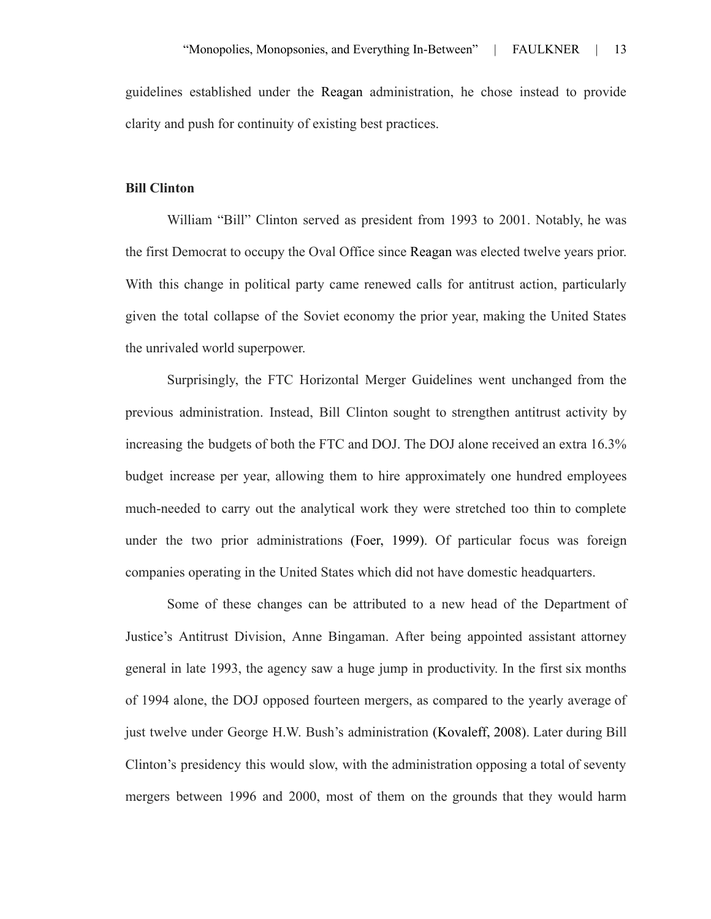guidelines established under the Reagan administration, he chose instead to provide clarity and push for continuity of existing best practices.

#### **Bill Clinton**

William "Bill" Clinton served as president from 1993 to 2001. Notably, he was the first Democrat to occupy the Oval Office since Reagan was elected twelve years prior. With this change in political party came renewed calls for antitrust action, particularly given the total collapse of the Soviet economy the prior year, making the United States the unrivaled world superpower.

Surprisingly, the FTC Horizontal Merger Guidelines went unchanged from the previous administration. Instead, Bill Clinton sought to strengthen antitrust activity by increasing the budgets of both the FTC and DOJ. The DOJ alone received an extra 16.3% budget increase per year, allowing them to hire approximately one hundred employees much-needed to carry out the analytical work they were stretched too thin to complete under the two prior administrations (Foer, 1999). Of particular focus was foreign companies operating in the United States which did not have domestic headquarters.

Some of these changes can be attributed to a new head of the Department of Justice's Antitrust Division, Anne Bingaman. After being appointed assistant attorney general in late 1993, the agency saw a huge jump in productivity. In the first six months of 1994 alone, the DOJ opposed fourteen mergers, as compared to the yearly average of just twelve under George H.W. Bush's administration (Kovaleff, 2008). Later during Bill Clinton's presidency this would slow, with the administration opposing a total of seventy mergers between 1996 and 2000, most of them on the grounds that they would harm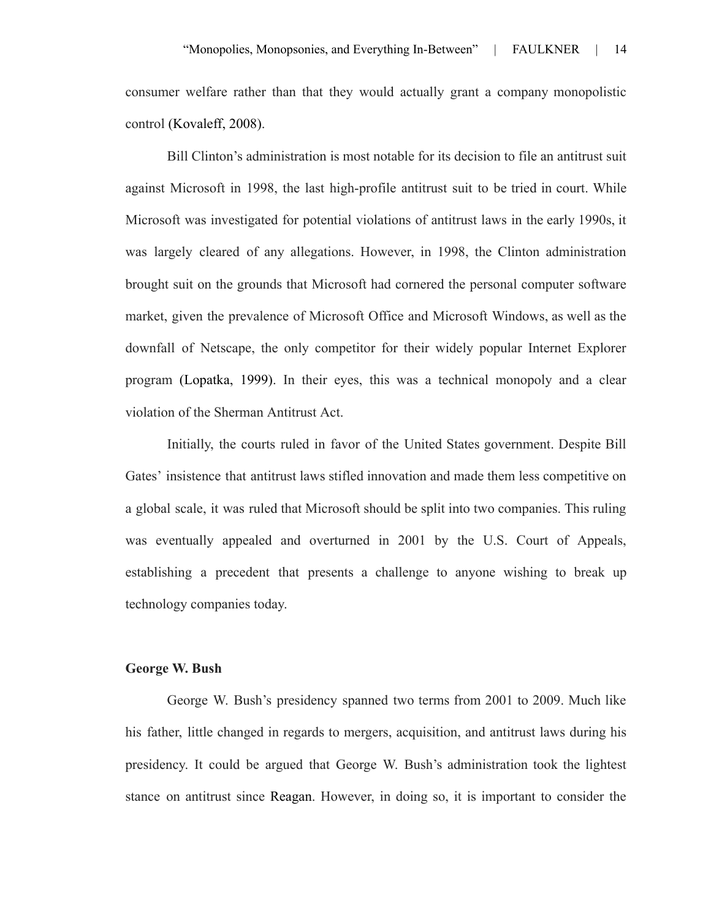consumer welfare rather than that they would actually grant a company monopolistic control (Kovaleff, 2008).

Bill Clinton's administration is most notable for its decision to file an antitrust suit against Microsoft in 1998, the last high-profile antitrust suit to be tried in court. While Microsoft was investigated for potential violations of antitrust laws in the early 1990s, it was largely cleared of any allegations. However, in 1998, the Clinton administration brought suit on the grounds that Microsoft had cornered the personal computer software market, given the prevalence of Microsoft Office and Microsoft Windows, as well as the downfall of Netscape, the only competitor for their widely popular Internet Explorer program (Lopatka, 1999). In their eyes, this was a technical monopoly and a clear violation of the Sherman Antitrust Act.

Initially, the courts ruled in favor of the United States government. Despite Bill Gates' insistence that antitrust laws stifled innovation and made them less competitive on a global scale, it was ruled that Microsoft should be split into two companies. This ruling was eventually appealed and overturned in 2001 by the U.S. Court of Appeals, establishing a precedent that presents a challenge to anyone wishing to break up technology companies today.

#### **George W. Bush**

George W. Bush's presidency spanned two terms from 2001 to 2009. Much like his father, little changed in regards to mergers, acquisition, and antitrust laws during his presidency. It could be argued that George W. Bush's administration took the lightest stance on antitrust since Reagan. However, in doing so, it is important to consider the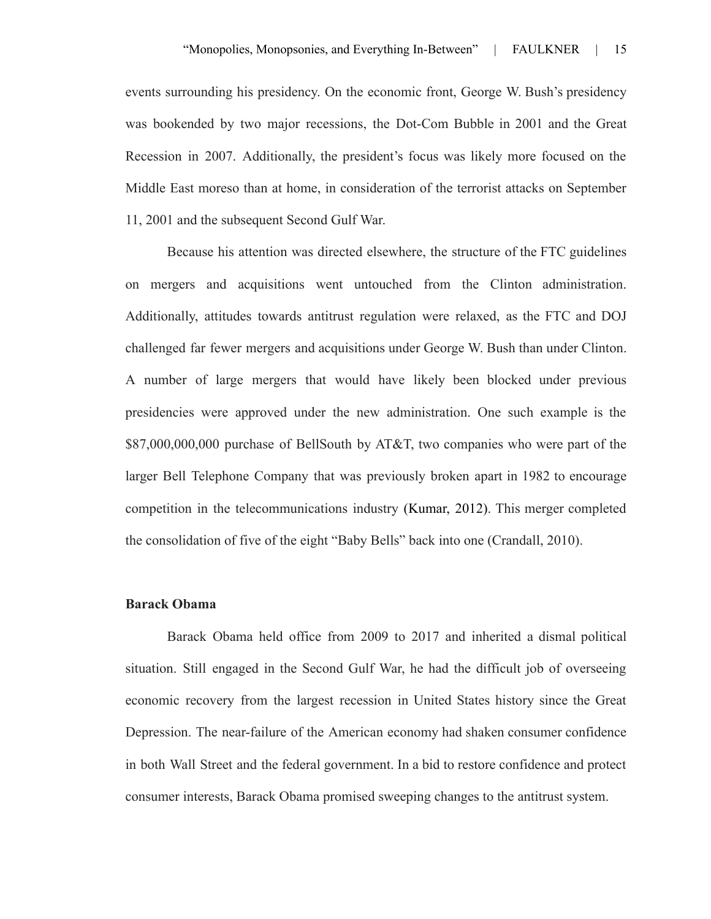events surrounding his presidency. On the economic front, George W. Bush's presidency was bookended by two major recessions, the Dot-Com Bubble in 2001 and the Great Recession in 2007. Additionally, the president's focus was likely more focused on the Middle East moreso than at home, in consideration of the terrorist attacks on September 11, 2001 and the subsequent Second Gulf War.

Because his attention was directed elsewhere, the structure of the FTC guidelines on mergers and acquisitions went untouched from the Clinton administration. Additionally, attitudes towards antitrust regulation were relaxed, as the FTC and DOJ challenged far fewer mergers and acquisitions under George W. Bush than under Clinton. A number of large mergers that would have likely been blocked under previous presidencies were approved under the new administration. One such example is the \$87,000,000,000 purchase of BellSouth by AT&T, two companies who were part of the larger Bell Telephone Company that was previously broken apart in 1982 to encourage competition in the telecommunications industry (Kumar, 2012). This merger completed the consolidation of five of the eight "Baby Bells" back into one (Crandall, 2010).

#### **Barack Obama**

Barack Obama held office from 2009 to 2017 and inherited a dismal political situation. Still engaged in the Second Gulf War, he had the difficult job of overseeing economic recovery from the largest recession in United States history since the Great Depression. The near-failure of the American economy had shaken consumer confidence in both Wall Street and the federal government. In a bid to restore confidence and protect consumer interests, Barack Obama promised sweeping changes to the antitrust system.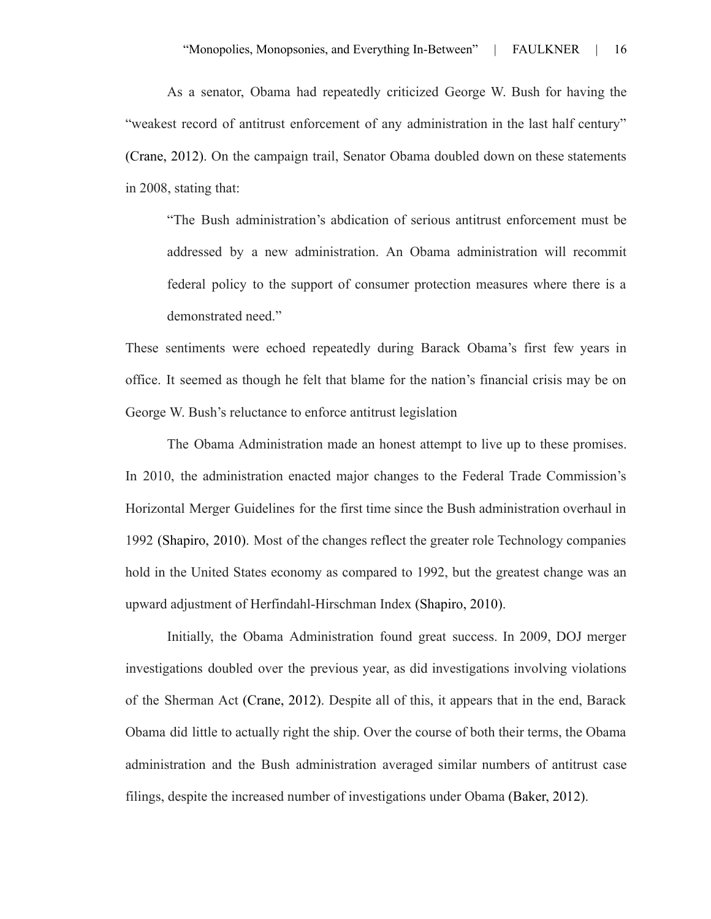As a senator, Obama had repeatedly criticized George W. Bush for having the "weakest record of antitrust enforcement of any administration in the last half century" (Crane, 2012). On the campaign trail, Senator Obama doubled down on these statements in 2008, stating that:

"The Bush administration's abdication of serious antitrust enforcement must be addressed by a new administration. An Obama administration will recommit federal policy to the support of consumer protection measures where there is a demonstrated need."

These sentiments were echoed repeatedly during Barack Obama's first few years in office. It seemed as though he felt that blame for the nation's financial crisis may be on George W. Bush's reluctance to enforce antitrust legislation

The Obama Administration made an honest attempt to live up to these promises. In 2010, the administration enacted major changes to the Federal Trade Commission's Horizontal Merger Guidelines for the first time since the Bush administration overhaul in 1992 (Shapiro, 2010). Most of the changes reflect the greater role Technology companies hold in the United States economy as compared to 1992, but the greatest change was an upward adjustment of Herfindahl-Hirschman Index (Shapiro, 2010).

Initially, the Obama Administration found great success. In 2009, DOJ merger investigations doubled over the previous year, as did investigations involving violations of the Sherman Act (Crane, 2012). Despite all of this, it appears that in the end, Barack Obama did little to actually right the ship. Over the course of both their terms, the Obama administration and the Bush administration averaged similar numbers of antitrust case filings, despite the increased number of investigations under Obama (Baker, 2012).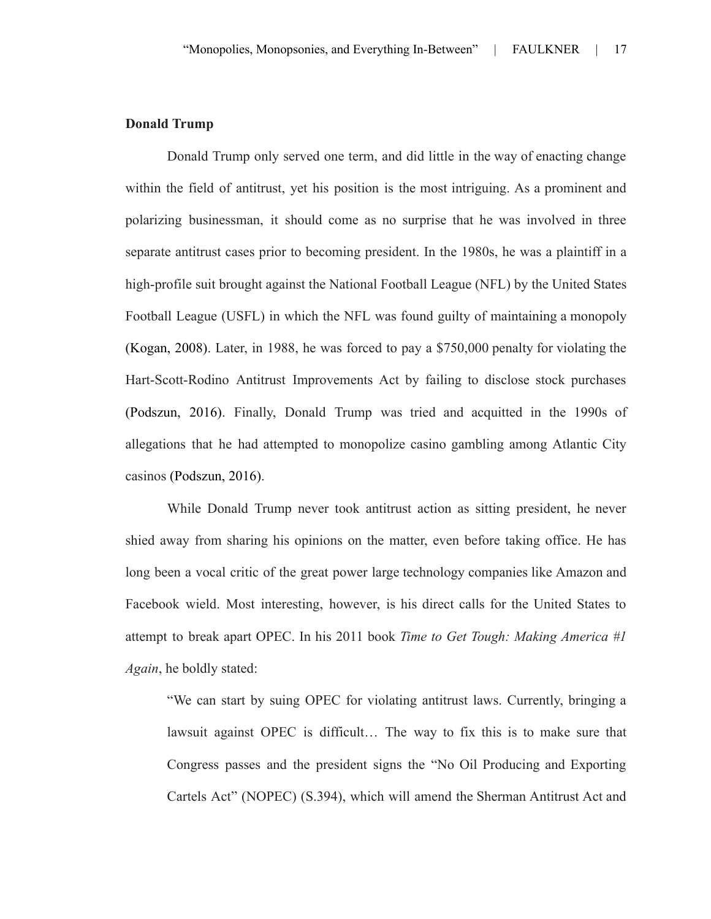# **Donald Trump**

Donald Trump only served one term, and did little in the way of enacting change within the field of antitrust, yet his position is the most intriguing. As a prominent and polarizing businessman, it should come as no surprise that he was involved in three separate antitrust cases prior to becoming president. In the 1980s, he was a plaintiff in a high-profile suit brought against the National Football League (NFL) by the United States Football League (USFL) in which the NFL was found guilty of maintaining a monopoly (Kogan, 2008). Later, in 1988, he was forced to pay a \$750,000 penalty for violating the Hart-Scott-Rodino Antitrust Improvements Act by failing to disclose stock purchases (Podszun, 2016). Finally, Donald Trump was tried and acquitted in the 1990s of allegations that he had attempted to monopolize casino gambling among Atlantic City casinos (Podszun, 2016).

While Donald Trump never took antitrust action as sitting president, he never shied away from sharing his opinions on the matter, even before taking office. He has long been a vocal critic of the great power large technology companies like Amazon and Facebook wield. Most interesting, however, is his direct calls for the United States to attempt to break apart OPEC. In his 2011 book *Time to Get Tough: Making America #1 Again*, he boldly stated:

"We can start by suing OPEC for violating antitrust laws. Currently, bringing a lawsuit against OPEC is difficult… The way to fix this is to make sure that Congress passes and the president signs the "No Oil Producing and Exporting Cartels Act" (NOPEC) (S.394), which will amend the Sherman Antitrust Act and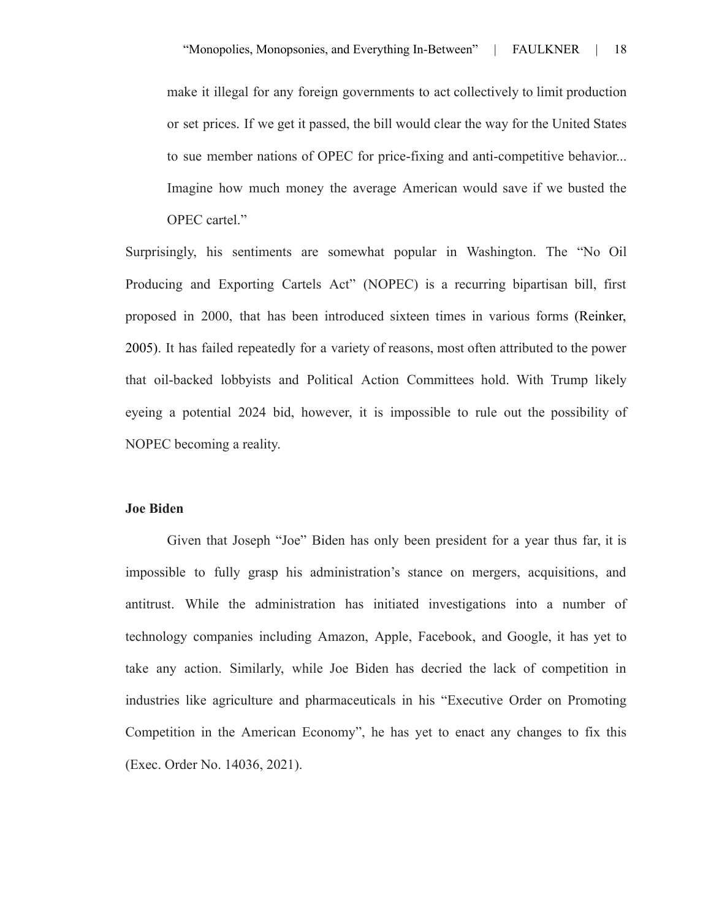make it illegal for any foreign governments to act collectively to limit production or set prices. If we get it passed, the bill would clear the way for the United States to sue member nations of OPEC for price-fixing and anti-competitive behavior... Imagine how much money the average American would save if we busted the OPEC cartel."

Surprisingly, his sentiments are somewhat popular in Washington. The "No Oil Producing and Exporting Cartels Act" (NOPEC) is a recurring bipartisan bill, first proposed in 2000, that has been introduced sixteen times in various forms (Reinker, 2005). It has failed repeatedly for a variety of reasons, most often attributed to the power that oil-backed lobbyists and Political Action Committees hold. With Trump likely eyeing a potential 2024 bid, however, it is impossible to rule out the possibility of NOPEC becoming a reality.

#### **Joe Biden**

Given that Joseph "Joe" Biden has only been president for a year thus far, it is impossible to fully grasp his administration's stance on mergers, acquisitions, and antitrust. While the administration has initiated investigations into a number of technology companies including Amazon, Apple, Facebook, and Google, it has yet to take any action. Similarly, while Joe Biden has decried the lack of competition in industries like agriculture and pharmaceuticals in his "Executive Order on Promoting Competition in the American Economy", he has yet to enact any changes to fix this (Exec. Order No. 14036, 2021).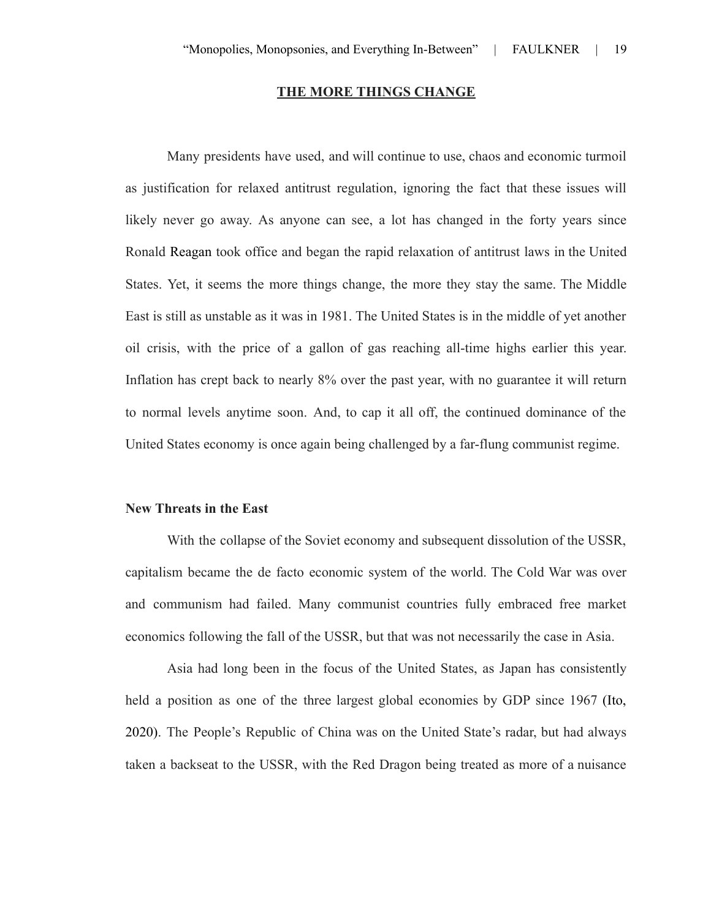#### **THE MORE THINGS CHANGE**

Many presidents have used, and will continue to use, chaos and economic turmoil as justification for relaxed antitrust regulation, ignoring the fact that these issues will likely never go away. As anyone can see, a lot has changed in the forty years since Ronald Reagan took office and began the rapid relaxation of antitrust laws in the United States. Yet, it seems the more things change, the more they stay the same. The Middle East is still as unstable as it was in 1981. The United States is in the middle of yet another oil crisis, with the price of a gallon of gas reaching all-time highs earlier this year. Inflation has crept back to nearly 8% over the past year, with no guarantee it will return to normal levels anytime soon. And, to cap it all off, the continued dominance of the United States economy is once again being challenged by a far-flung communist regime.

#### **New Threats in the East**

With the collapse of the Soviet economy and subsequent dissolution of the USSR, capitalism became the de facto economic system of the world. The Cold War was over and communism had failed. Many communist countries fully embraced free market economics following the fall of the USSR, but that was not necessarily the case in Asia.

Asia had long been in the focus of the United States, as Japan has consistently held a position as one of the three largest global economies by GDP since 1967 (Ito, 2020). The People's Republic of China was on the United State's radar, but had always taken a backseat to the USSR, with the Red Dragon being treated as more of a nuisance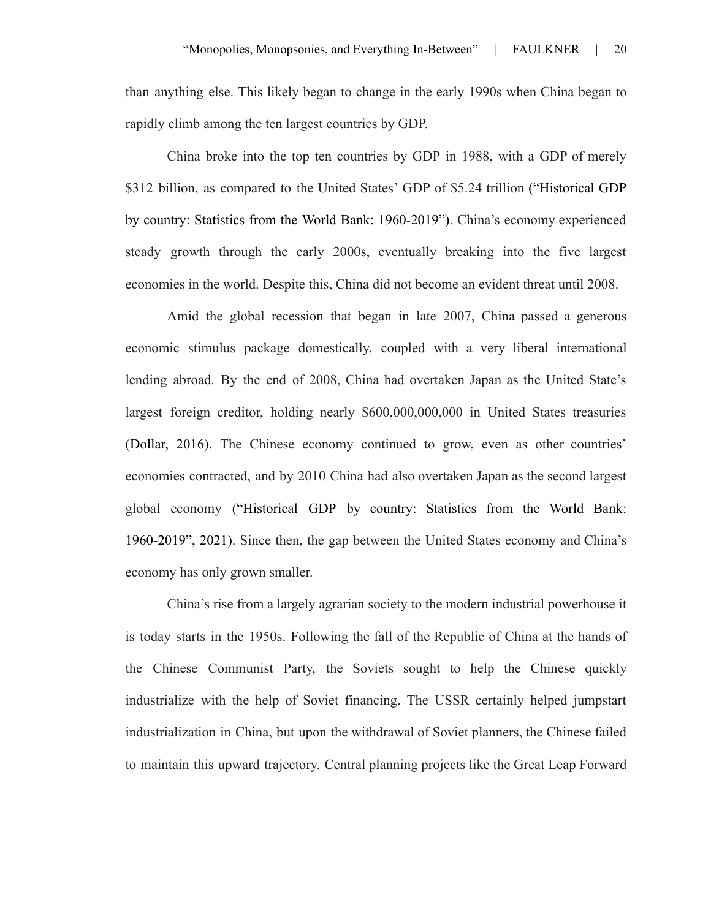than anything else. This likely began to change in the early 1990s when China began to rapidly climb among the ten largest countries by GDP.

China broke into the top ten countries by GDP in 1988, with a GDP of merely \$312 billion, as compared to the United States' GDP of \$5.24 trillion ("Historical GDP by country: Statistics from the World Bank: 1960-2019"). China's economy experienced steady growth through the early 2000s, eventually breaking into the five largest economies in the world. Despite this, China did not become an evident threat until 2008.

Amid the global recession that began in late 2007, China passed a generous economic stimulus package domestically, coupled with a very liberal international lending abroad. By the end of 2008, China had overtaken Japan as the United State's largest foreign creditor, holding nearly \$600,000,000,000 in United States treasuries (Dollar, 2016). The Chinese economy continued to grow, even as other countries' economies contracted, and by 2010 China had also overtaken Japan as the second largest global economy ("Historical GDP by country: Statistics from the World Bank: 1960-2019", 2021). Since then, the gap between the United States economy and China's economy has only grown smaller.

China's rise from a largely agrarian society to the modern industrial powerhouse it is today starts in the 1950s. Following the fall of the Republic of China at the hands of the Chinese Communist Party, the Soviets sought to help the Chinese quickly industrialize with the help of Soviet financing. The USSR certainly helped jumpstart industrialization in China, but upon the withdrawal of Soviet planners, the Chinese failed to maintain this upward trajectory. Central planning projects like the Great Leap Forward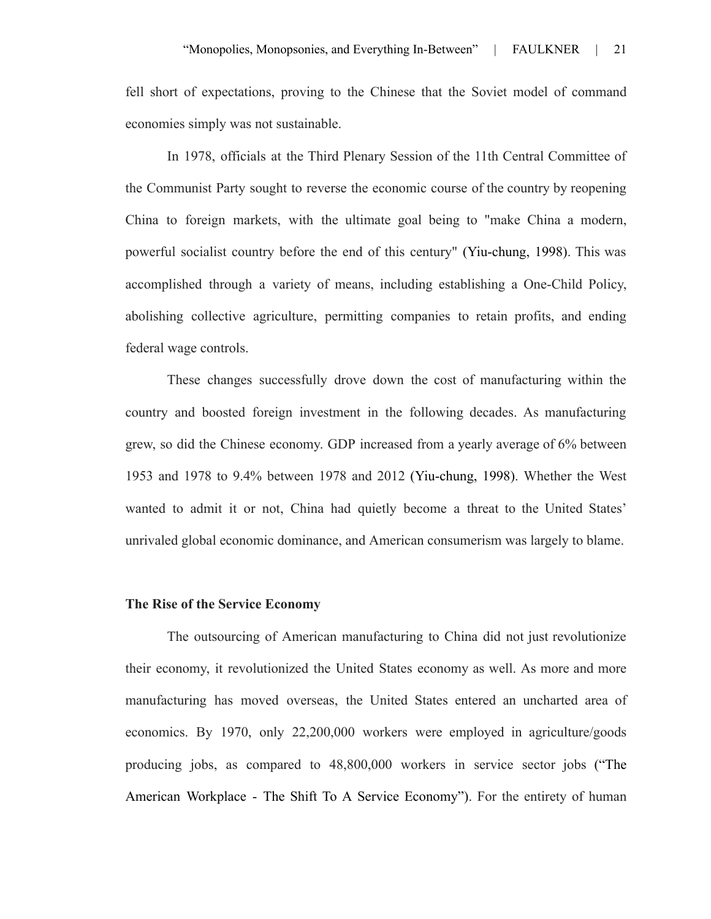fell short of expectations, proving to the Chinese that the Soviet model of command economies simply was not sustainable.

In 1978, officials at the Third Plenary Session of the 11th Central Committee of the Communist Party sought to reverse the economic course of the country by reopening China to foreign markets, with the ultimate goal being to "make China a modern, powerful socialist country before the end of this century" (Yiu-chung, 1998). This was accomplished through a variety of means, including establishing a One-Child Policy, abolishing collective agriculture, permitting companies to retain profits, and ending federal wage controls.

These changes successfully drove down the cost of manufacturing within the country and boosted foreign investment in the following decades. As manufacturing grew, so did the Chinese economy. GDP increased from a yearly average of 6% between 1953 and 1978 to 9.4% between 1978 and 2012 (Yiu-chung, 1998). Whether the West wanted to admit it or not, China had quietly become a threat to the United States' unrivaled global economic dominance, and American consumerism was largely to blame.

#### **The Rise of the Service Economy**

The outsourcing of American manufacturing to China did not just revolutionize their economy, it revolutionized the United States economy as well. As more and more manufacturing has moved overseas, the United States entered an uncharted area of economics. By 1970, only 22,200,000 workers were employed in agriculture/goods producing jobs, as compared to 48,800,000 workers in service sector jobs ("The American Workplace - The Shift To A Service Economy"). For the entirety of human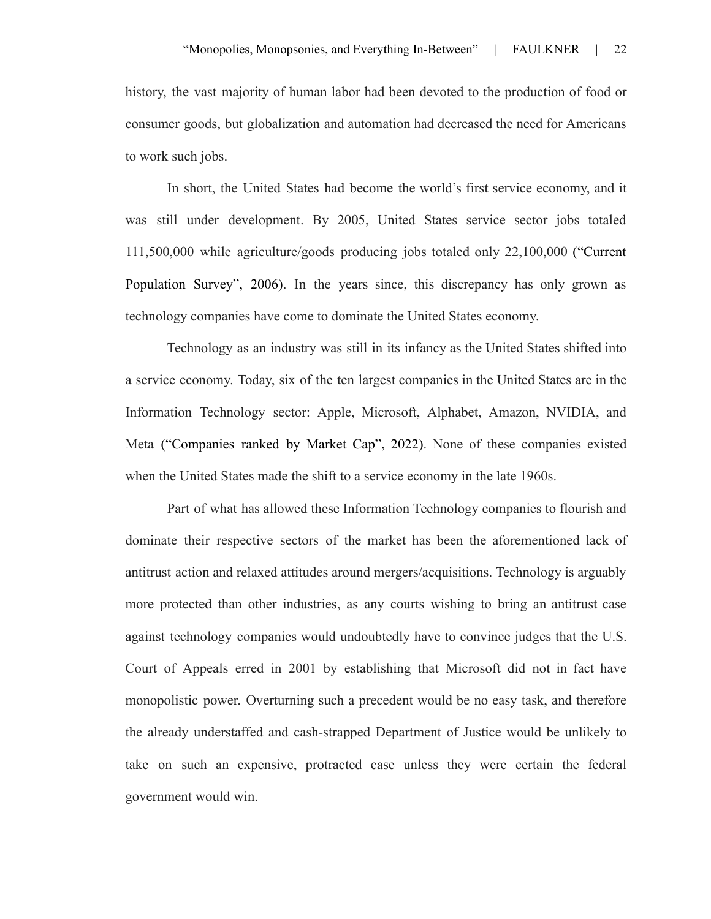history, the vast majority of human labor had been devoted to the production of food or consumer goods, but globalization and automation had decreased the need for Americans to work such jobs.

In short, the United States had become the world's first service economy, and it was still under development. By 2005, United States service sector jobs totaled 111,500,000 while agriculture/goods producing jobs totaled only 22,100,000 ("Current Population Survey", 2006). In the years since, this discrepancy has only grown as technology companies have come to dominate the United States economy.

Technology as an industry was still in its infancy as the United States shifted into a service economy. Today, six of the ten largest companies in the United States are in the Information Technology sector: Apple, Microsoft, Alphabet, Amazon, NVIDIA, and Meta ("Companies ranked by Market Cap", 2022). None of these companies existed when the United States made the shift to a service economy in the late 1960s.

Part of what has allowed these Information Technology companies to flourish and dominate their respective sectors of the market has been the aforementioned lack of antitrust action and relaxed attitudes around mergers/acquisitions. Technology is arguably more protected than other industries, as any courts wishing to bring an antitrust case against technology companies would undoubtedly have to convince judges that the U.S. Court of Appeals erred in 2001 by establishing that Microsoft did not in fact have monopolistic power. Overturning such a precedent would be no easy task, and therefore the already understaffed and cash-strapped Department of Justice would be unlikely to take on such an expensive, protracted case unless they were certain the federal government would win.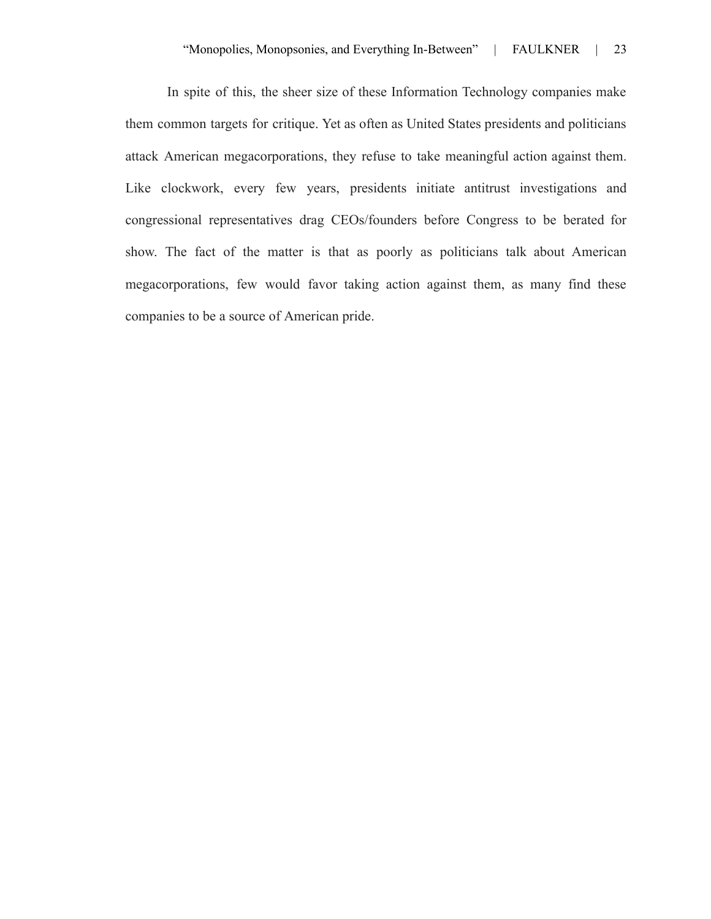In spite of this, the sheer size of these Information Technology companies make them common targets for critique. Yet as often as United States presidents and politicians attack American megacorporations, they refuse to take meaningful action against them. Like clockwork, every few years, presidents initiate antitrust investigations and congressional representatives drag CEOs/founders before Congress to be berated for show. The fact of the matter is that as poorly as politicians talk about American megacorporations, few would favor taking action against them, as many find these companies to be a source of American pride.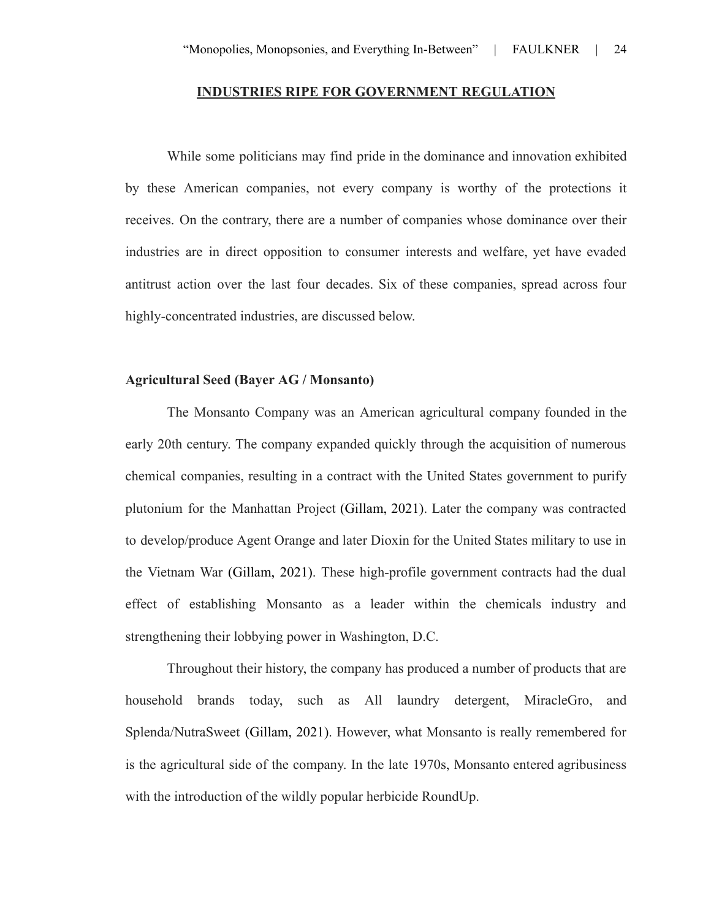#### **INDUSTRIES RIPE FOR GOVERNMENT REGULATION**

While some politicians may find pride in the dominance and innovation exhibited by these American companies, not every company is worthy of the protections it receives. On the contrary, there are a number of companies whose dominance over their industries are in direct opposition to consumer interests and welfare, yet have evaded antitrust action over the last four decades. Six of these companies, spread across four highly-concentrated industries, are discussed below.

# **Agricultural Seed (Bayer AG / Monsanto)**

The Monsanto Company was an American agricultural company founded in the early 20th century. The company expanded quickly through the acquisition of numerous chemical companies, resulting in a contract with the United States government to purify plutonium for the Manhattan Project (Gillam, 2021). Later the company was contracted to develop/produce Agent Orange and later Dioxin for the United States military to use in the Vietnam War (Gillam, 2021). These high-profile government contracts had the dual effect of establishing Monsanto as a leader within the chemicals industry and strengthening their lobbying power in Washington, D.C.

Throughout their history, the company has produced a number of products that are household brands today, such as All laundry detergent, MiracleGro, and Splenda/NutraSweet (Gillam, 2021). However, what Monsanto is really remembered for is the agricultural side of the company. In the late 1970s, Monsanto entered agribusiness with the introduction of the wildly popular herbicide RoundUp.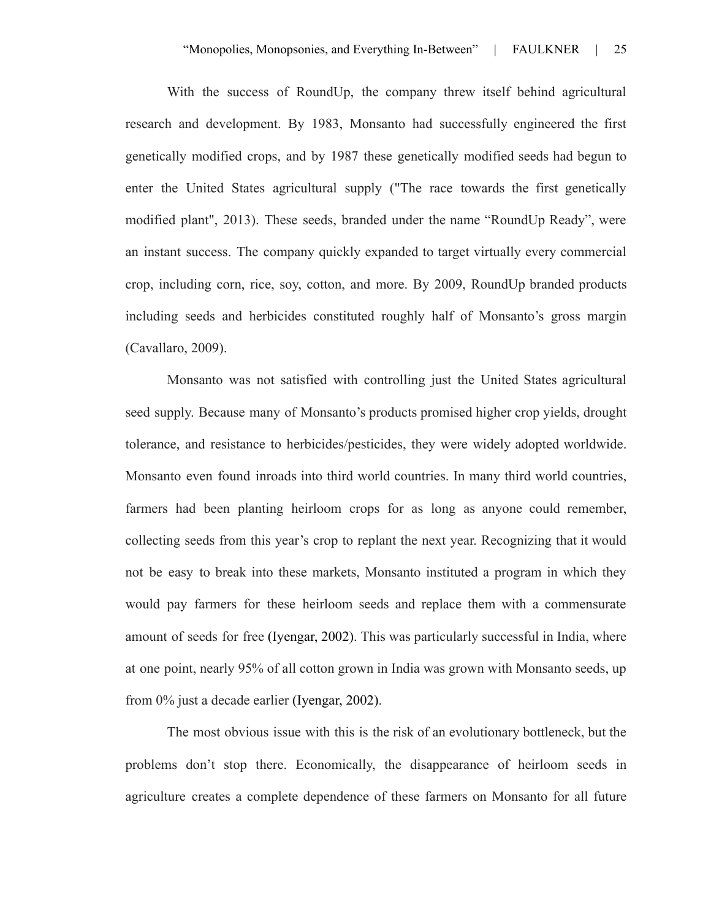With the success of RoundUp, the company threw itself behind agricultural research and development. By 1983, Monsanto had successfully engineered the first genetically modified crops, and by 1987 these genetically modified seeds had begun to enter the United States agricultural supply ("The race towards the first genetically modified plant", 2013). These seeds, branded under the name "RoundUp Ready", were an instant success. The company quickly expanded to target virtually every commercial crop, including corn, rice, soy, cotton, and more. By 2009, RoundUp branded products including seeds and herbicides constituted roughly half of Monsanto's gross margin (Cavallaro, 2009).

Monsanto was not satisfied with controlling just the United States agricultural seed supply. Because many of Monsanto's products promised higher crop yields, drought tolerance, and resistance to herbicides/pesticides, they were widely adopted worldwide. Monsanto even found inroads into third world countries. In many third world countries, farmers had been planting heirloom crops for as long as anyone could remember, collecting seeds from this year's crop to replant the next year. Recognizing that it would not be easy to break into these markets, Monsanto instituted a program in which they would pay farmers for these heirloom seeds and replace them with a commensurate amount of seeds for free (Iyengar, 2002). This was particularly successful in India, where at one point, nearly 95% of all cotton grown in India was grown with Monsanto seeds, up from 0% just a decade earlier (Iyengar, 2002).

The most obvious issue with this is the risk of an evolutionary bottleneck, but the problems don't stop there. Economically, the disappearance of heirloom seeds in agriculture creates a complete dependence of these farmers on Monsanto for all future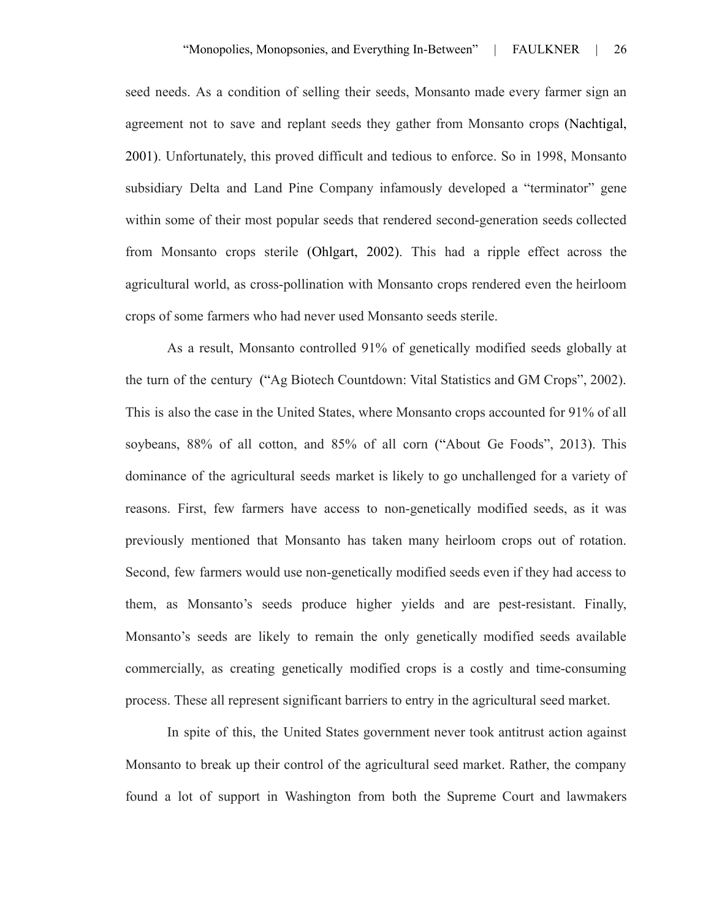seed needs. As a condition of selling their seeds, Monsanto made every farmer sign an agreement not to save and replant seeds they gather from Monsanto crops (Nachtigal, 2001). Unfortunately, this proved difficult and tedious to enforce. So in 1998, Monsanto subsidiary Delta and Land Pine Company infamously developed a "terminator" gene within some of their most popular seeds that rendered second-generation seeds collected from Monsanto crops sterile (Ohlgart, 2002). This had a ripple effect across the agricultural world, as cross-pollination with Monsanto crops rendered even the heirloom crops of some farmers who had never used Monsanto seeds sterile.

As a result, Monsanto controlled 91% of genetically modified seeds globally at the turn of the century ("Ag Biotech Countdown: Vital Statistics and GM Crops", 2002). This is also the case in the United States, where Monsanto crops accounted for 91% of all soybeans, 88% of all cotton, and 85% of all corn ("About Ge Foods", 2013). This dominance of the agricultural seeds market is likely to go unchallenged for a variety of reasons. First, few farmers have access to non-genetically modified seeds, as it was previously mentioned that Monsanto has taken many heirloom crops out of rotation. Second, few farmers would use non-genetically modified seeds even if they had access to them, as Monsanto's seeds produce higher yields and are pest-resistant. Finally, Monsanto's seeds are likely to remain the only genetically modified seeds available commercially, as creating genetically modified crops is a costly and time-consuming process. These all represent significant barriers to entry in the agricultural seed market.

In spite of this, the United States government never took antitrust action against Monsanto to break up their control of the agricultural seed market. Rather, the company found a lot of support in Washington from both the Supreme Court and lawmakers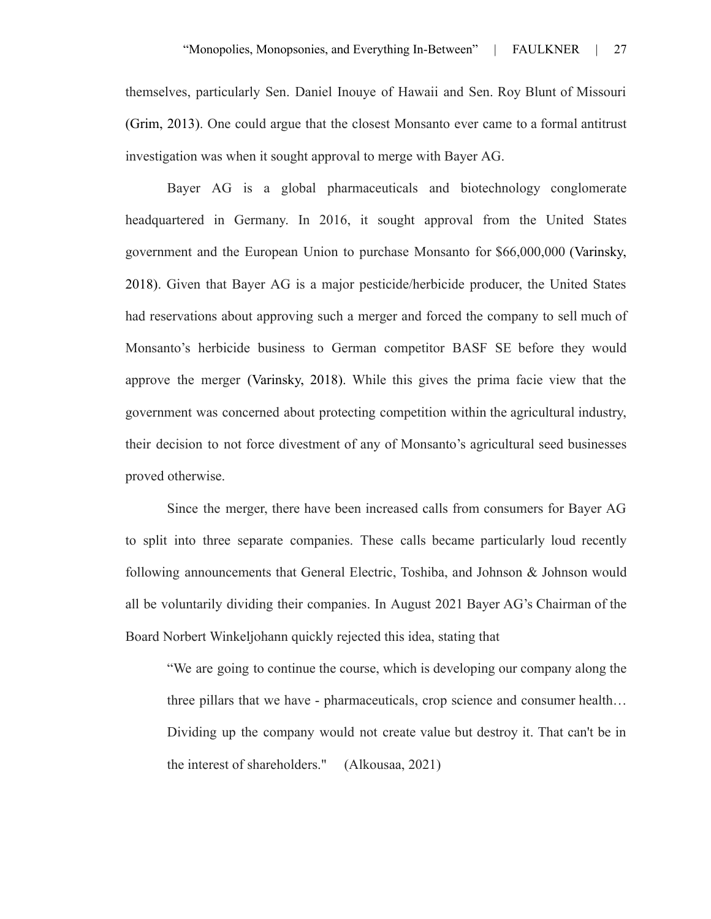themselves, particularly Sen. Daniel Inouye of Hawaii and Sen. Roy Blunt of Missouri (Grim, 2013). One could argue that the closest Monsanto ever came to a formal antitrust investigation was when it sought approval to merge with Bayer AG.

Bayer AG is a global pharmaceuticals and biotechnology conglomerate headquartered in Germany. In 2016, it sought approval from the United States government and the European Union to purchase Monsanto for \$66,000,000 (Varinsky, 2018). Given that Bayer AG is a major pesticide/herbicide producer, the United States had reservations about approving such a merger and forced the company to sell much of Monsanto's herbicide business to German competitor BASF SE before they would approve the merger (Varinsky, 2018). While this gives the prima facie view that the government was concerned about protecting competition within the agricultural industry, their decision to not force divestment of any of Monsanto's agricultural seed businesses proved otherwise.

Since the merger, there have been increased calls from consumers for Bayer AG to split into three separate companies. These calls became particularly loud recently following announcements that General Electric, Toshiba, and Johnson & Johnson would all be voluntarily dividing their companies. In August 2021 Bayer AG's Chairman of the Board Norbert Winkeljohann quickly rejected this idea, stating that

"We are going to continue the course, which is developing our company along the three pillars that we have - pharmaceuticals, crop science and consumer health… Dividing up the company would not create value but destroy it. That can't be in the interest of shareholders." (Alkousaa, 2021)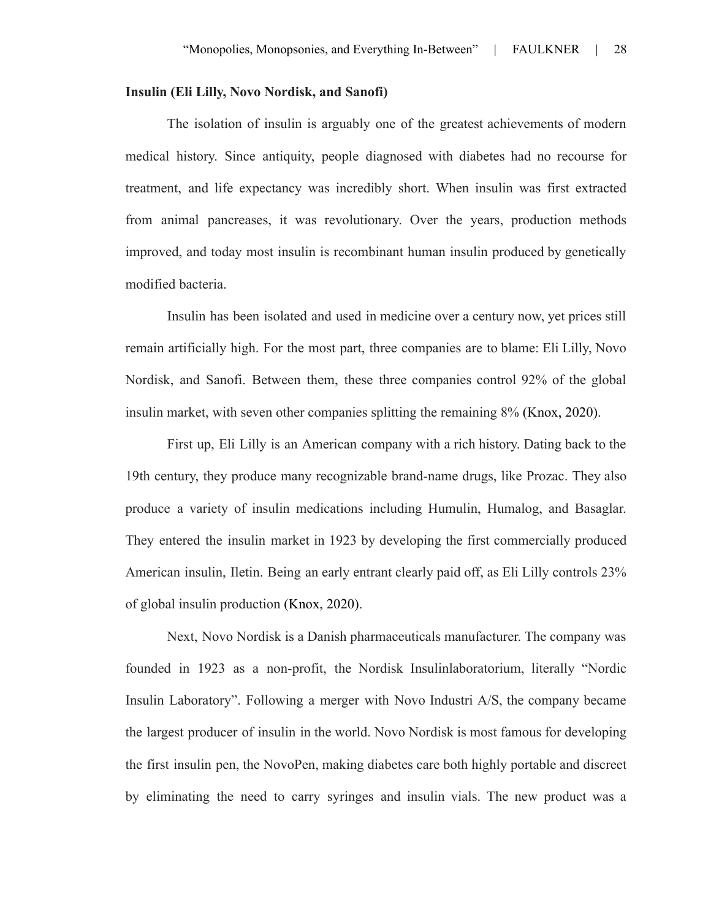#### **Insulin (Eli Lilly, Novo Nordisk, and Sanofi)**

The isolation of insulin is arguably one of the greatest achievements of modern medical history. Since antiquity, people diagnosed with diabetes had no recourse for treatment, and life expectancy was incredibly short. When insulin was first extracted from animal pancreases, it was revolutionary. Over the years, production methods improved, and today most insulin is recombinant human insulin produced by genetically modified bacteria.

Insulin has been isolated and used in medicine over a century now, yet prices still remain artificially high. For the most part, three companies are to blame: Eli Lilly, Novo Nordisk, and Sanofi. Between them, these three companies control 92% of the global insulin market, with seven other companies splitting the remaining 8% (Knox, 2020).

First up, Eli Lilly is an American company with a rich history. Dating back to the 19th century, they produce many recognizable brand-name drugs, like Prozac. They also produce a variety of insulin medications including Humulin, Humalog, and Basaglar. They entered the insulin market in 1923 by developing the first commercially produced American insulin, Iletin. Being an early entrant clearly paid off, as Eli Lilly controls 23% of global insulin production (Knox, 2020).

Next, Novo Nordisk is a Danish pharmaceuticals manufacturer. The company was founded in 1923 as a non-profit, the Nordisk Insulinlaboratorium, literally "Nordic Insulin Laboratory". Following a merger with Novo Industri A/S, the company became the largest producer of insulin in the world. Novo Nordisk is most famous for developing the first insulin pen, the NovoPen, making diabetes care both highly portable and discreet by eliminating the need to carry syringes and insulin vials. The new product was a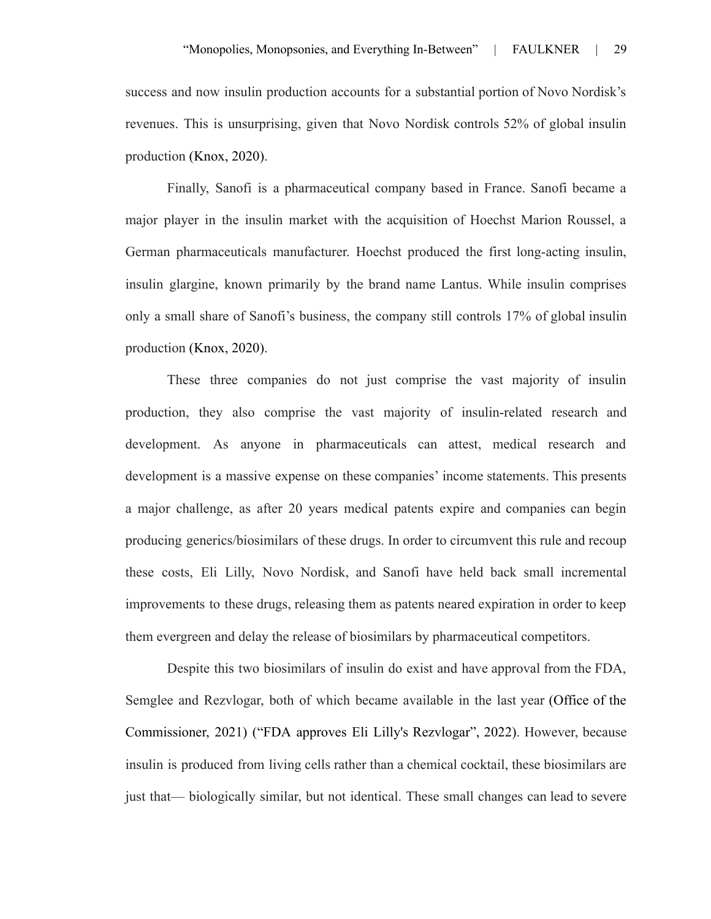success and now insulin production accounts for a substantial portion of Novo Nordisk's revenues. This is unsurprising, given that Novo Nordisk controls 52% of global insulin production (Knox, 2020).

Finally, Sanofi is a pharmaceutical company based in France. Sanofi became a major player in the insulin market with the acquisition of Hoechst Marion Roussel, a German pharmaceuticals manufacturer. Hoechst produced the first long-acting insulin, insulin glargine, known primarily by the brand name Lantus. While insulin comprises only a small share of Sanofi's business, the company still controls 17% of global insulin production (Knox, 2020).

These three companies do not just comprise the vast majority of insulin production, they also comprise the vast majority of insulin-related research and development. As anyone in pharmaceuticals can attest, medical research and development is a massive expense on these companies' income statements. This presents a major challenge, as after 20 years medical patents expire and companies can begin producing generics/biosimilars of these drugs. In order to circumvent this rule and recoup these costs, Eli Lilly, Novo Nordisk, and Sanofi have held back small incremental improvements to these drugs, releasing them as patents neared expiration in order to keep them evergreen and delay the release of biosimilars by pharmaceutical competitors.

Despite this two biosimilars of insulin do exist and have approval from the FDA, Semglee and Rezvlogar, both of which became available in the last year (Office of the Commissioner, 2021) ("FDA approves Eli Lilly's Rezvlogar", 2022). However, because insulin is produced from living cells rather than a chemical cocktail, these biosimilars are just that— biologically similar, but not identical. These small changes can lead to severe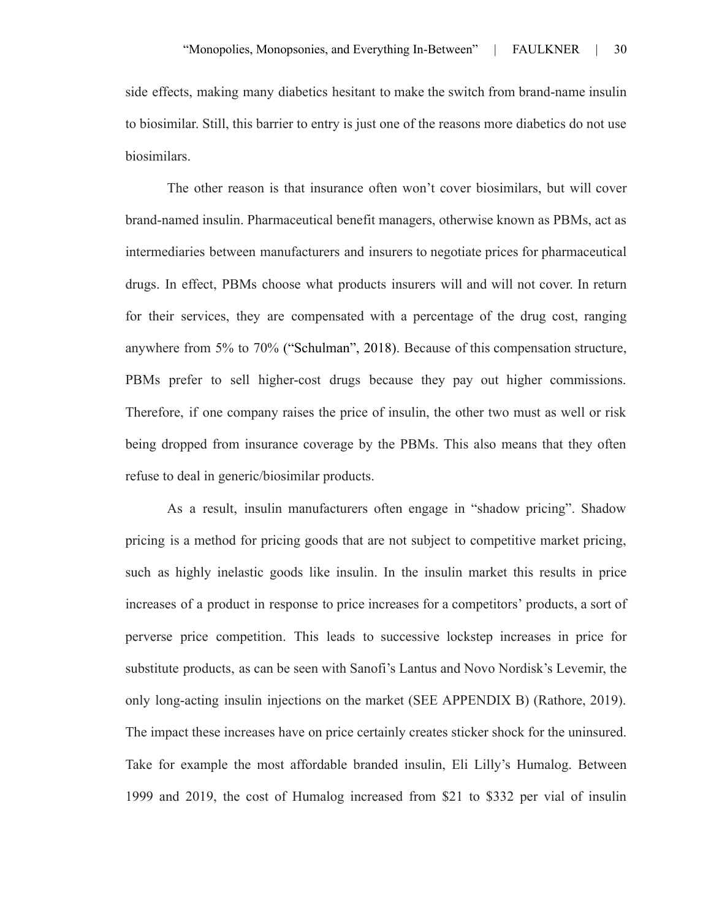side effects, making many diabetics hesitant to make the switch from brand-name insulin to biosimilar. Still, this barrier to entry is just one of the reasons more diabetics do not use biosimilars.

The other reason is that insurance often won't cover biosimilars, but will cover brand-named insulin. Pharmaceutical benefit managers, otherwise known as PBMs, act as intermediaries between manufacturers and insurers to negotiate prices for pharmaceutical drugs. In effect, PBMs choose what products insurers will and will not cover. In return for their services, they are compensated with a percentage of the drug cost, ranging anywhere from 5% to 70% ("Schulman", 2018). Because of this compensation structure, PBMs prefer to sell higher-cost drugs because they pay out higher commissions. Therefore, if one company raises the price of insulin, the other two must as well or risk being dropped from insurance coverage by the PBMs. This also means that they often refuse to deal in generic/biosimilar products.

As a result, insulin manufacturers often engage in "shadow pricing". Shadow pricing is a method for pricing goods that are not subject to competitive market pricing, such as highly inelastic goods like insulin. In the insulin market this results in price increases of a product in response to price increases for a competitors' products, a sort of perverse price competition. This leads to successive lockstep increases in price for substitute products, as can be seen with Sanofi's Lantus and Novo Nordisk's Levemir, the only long-acting insulin injections on the market (SEE APPENDIX B) (Rathore, 2019). The impact these increases have on price certainly creates sticker shock for the uninsured. Take for example the most affordable branded insulin, Eli Lilly's Humalog. Between 1999 and 2019, the cost of Humalog increased from \$21 to \$332 per vial of insulin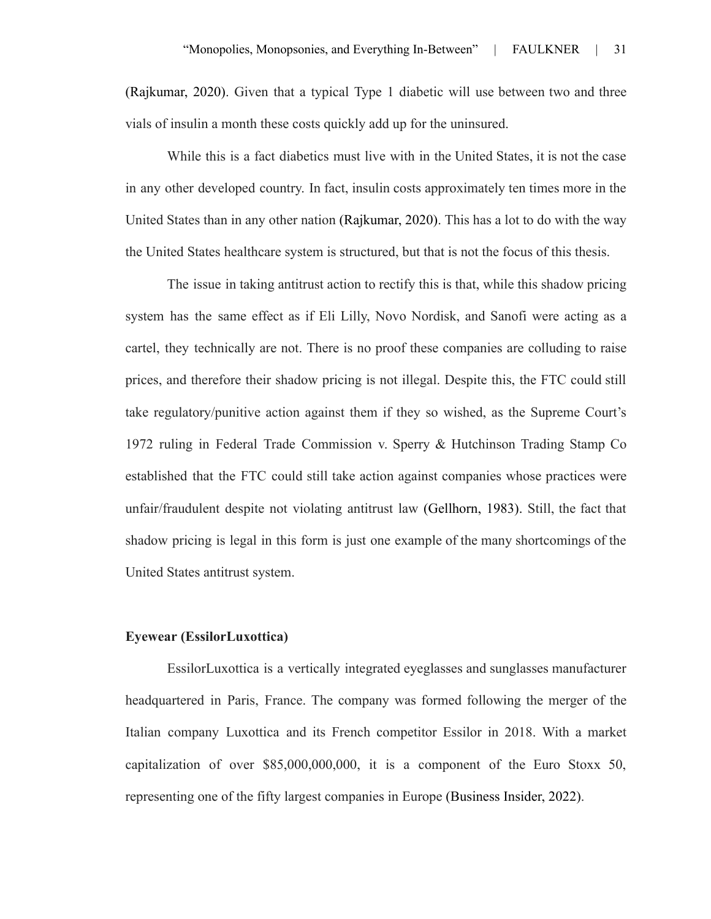(Rajkumar, 2020). Given that a typical Type 1 diabetic will use between two and three vials of insulin a month these costs quickly add up for the uninsured.

While this is a fact diabetics must live with in the United States, it is not the case in any other developed country. In fact, insulin costs approximately ten times more in the United States than in any other nation (Rajkumar, 2020). This has a lot to do with the way the United States healthcare system is structured, but that is not the focus of this thesis.

The issue in taking antitrust action to rectify this is that, while this shadow pricing system has the same effect as if Eli Lilly, Novo Nordisk, and Sanofi were acting as a cartel, they technically are not. There is no proof these companies are colluding to raise prices, and therefore their shadow pricing is not illegal. Despite this, the FTC could still take regulatory/punitive action against them if they so wished, as the Supreme Court's 1972 ruling in Federal Trade Commission v. Sperry & Hutchinson Trading Stamp Co established that the FTC could still take action against companies whose practices were unfair/fraudulent despite not violating antitrust law (Gellhorn, 1983). Still, the fact that shadow pricing is legal in this form is just one example of the many shortcomings of the United States antitrust system.

#### **Eyewear (EssilorLuxottica)**

EssilorLuxottica is a vertically integrated eyeglasses and sunglasses manufacturer headquartered in Paris, France. The company was formed following the merger of the Italian company Luxottica and its French competitor Essilor in 2018. With a market capitalization of over \$85,000,000,000, it is a component of the Euro Stoxx 50, representing one of the fifty largest companies in Europe (Business Insider, 2022).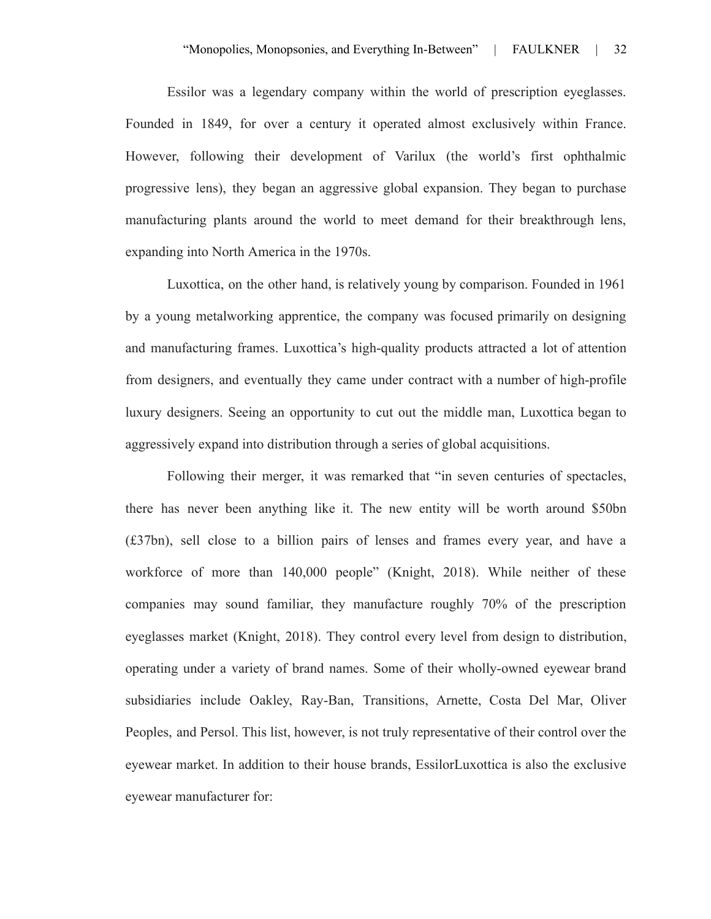Essilor was a legendary company within the world of prescription eyeglasses. Founded in 1849, for over a century it operated almost exclusively within France. However, following their development of Varilux (the world's first ophthalmic progressive lens), they began an aggressive global expansion. They began to purchase manufacturing plants around the world to meet demand for their breakthrough lens, expanding into North America in the 1970s.

Luxottica, on the other hand, is relatively young by comparison. Founded in 1961 by a young metalworking apprentice, the company was focused primarily on designing and manufacturing frames. Luxottica's high-quality products attracted a lot of attention from designers, and eventually they came under contract with a number of high-profile luxury designers. Seeing an opportunity to cut out the middle man, Luxottica began to aggressively expand into distribution through a series of global acquisitions.

Following their merger, it was remarked that "in seven centuries of spectacles, there has never been anything like it. The new entity will be worth around \$50bn (£37bn), sell close to a billion pairs of lenses and frames every year, and have a workforce of more than 140,000 people" (Knight, 2018). While neither of these companies may sound familiar, they manufacture roughly 70% of the prescription eyeglasses market (Knight, 2018). They control every level from design to distribution, operating under a variety of brand names. Some of their wholly-owned eyewear brand subsidiaries include Oakley, Ray-Ban, Transitions, Arnette, Costa Del Mar, Oliver Peoples, and Persol. This list, however, is not truly representative of their control over the eyewear market. In addition to their house brands, EssilorLuxottica is also the exclusive eyewear manufacturer for: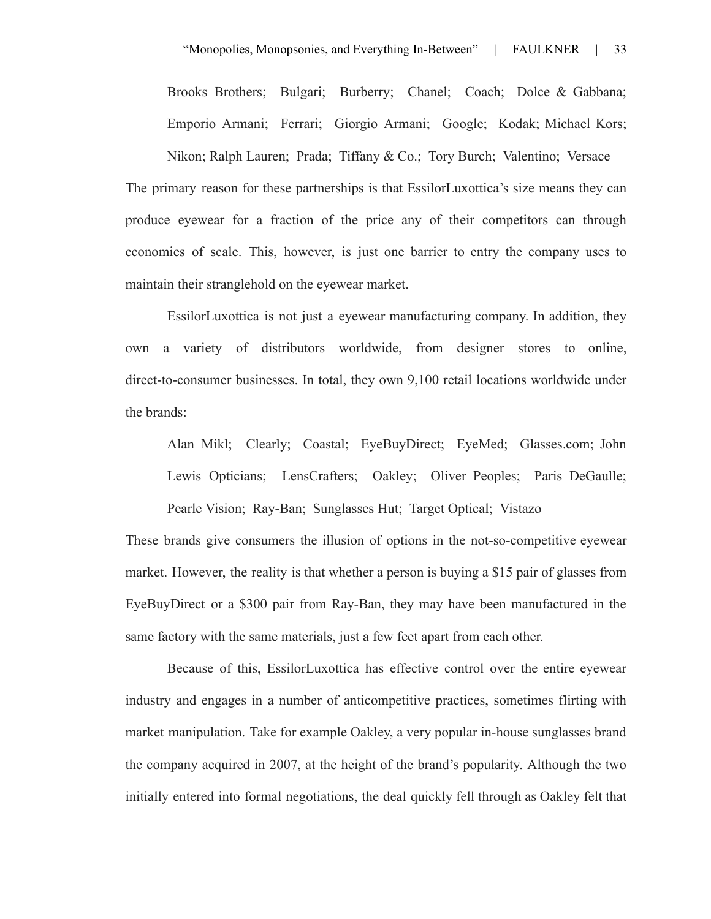Brooks Brothers; Bulgari; Burberry; Chanel; Coach; Dolce & Gabbana; Emporio Armani; Ferrari; Giorgio Armani; Google; Kodak; Michael Kors;

Nikon; Ralph Lauren; Prada; Tiffany & Co.; Tory Burch; Valentino; Versace The primary reason for these partnerships is that EssilorLuxottica's size means they can produce eyewear for a fraction of the price any of their competitors can through economies of scale. This, however, is just one barrier to entry the company uses to maintain their stranglehold on the eyewear market.

EssilorLuxottica is not just a eyewear manufacturing company. In addition, they own a variety of distributors worldwide, from designer stores to online, direct-to-consumer businesses. In total, they own 9,100 retail locations worldwide under the brands:

Alan Mikl; Clearly; Coastal; EyeBuyDirect; EyeMed; Glasses.com; John Lewis Opticians; LensCrafters; Oakley; Oliver Peoples; Paris DeGaulle; Pearle Vision; Ray-Ban; Sunglasses Hut; Target Optical; Vistazo

These brands give consumers the illusion of options in the not-so-competitive eyewear market. However, the reality is that whether a person is buying a \$15 pair of glasses from EyeBuyDirect or a \$300 pair from Ray-Ban, they may have been manufactured in the same factory with the same materials, just a few feet apart from each other.

Because of this, EssilorLuxottica has effective control over the entire eyewear industry and engages in a number of anticompetitive practices, sometimes flirting with market manipulation. Take for example Oakley, a very popular in-house sunglasses brand the company acquired in 2007, at the height of the brand's popularity. Although the two initially entered into formal negotiations, the deal quickly fell through as Oakley felt that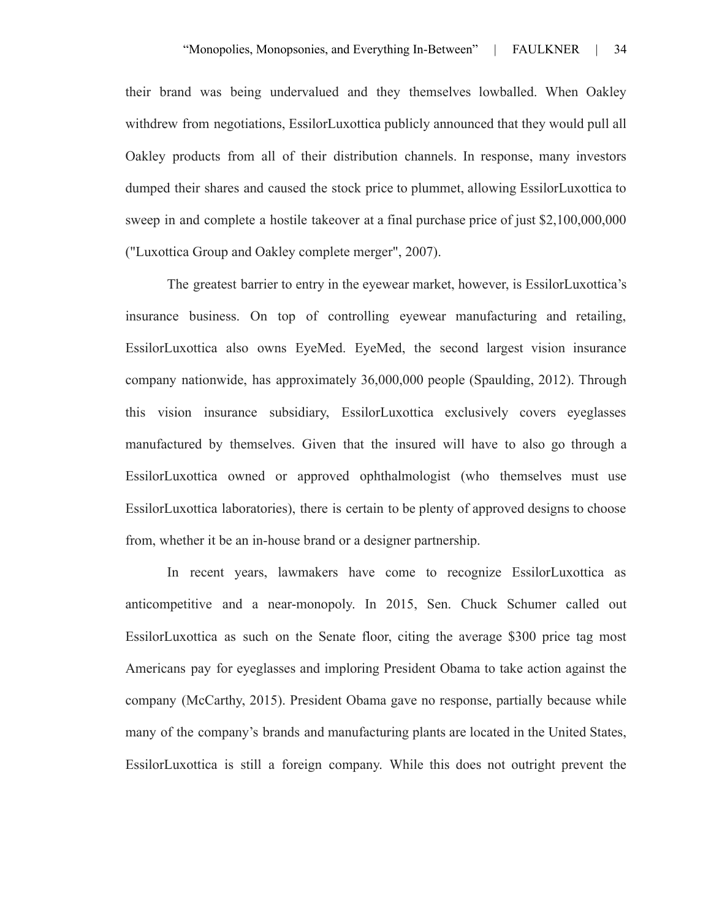their brand was being undervalued and they themselves lowballed. When Oakley withdrew from negotiations, EssilorLuxottica publicly announced that they would pull all Oakley products from all of their distribution channels. In response, many investors dumped their shares and caused the stock price to plummet, allowing EssilorLuxottica to sweep in and complete a hostile takeover at a final purchase price of just \$2,100,000,000 ("Luxottica Group and Oakley complete merger", 2007).

The greatest barrier to entry in the eyewear market, however, is EssilorLuxottica's insurance business. On top of controlling eyewear manufacturing and retailing, EssilorLuxottica also owns EyeMed. EyeMed, the second largest vision insurance company nationwide, has approximately 36,000,000 people (Spaulding, 2012). Through this vision insurance subsidiary, EssilorLuxottica exclusively covers eyeglasses manufactured by themselves. Given that the insured will have to also go through a EssilorLuxottica owned or approved ophthalmologist (who themselves must use EssilorLuxottica laboratories), there is certain to be plenty of approved designs to choose from, whether it be an in-house brand or a designer partnership.

In recent years, lawmakers have come to recognize EssilorLuxottica as anticompetitive and a near-monopoly. In 2015, Sen. Chuck Schumer called out EssilorLuxottica as such on the Senate floor, citing the average \$300 price tag most Americans pay for eyeglasses and imploring President Obama to take action against the company (McCarthy, 2015). President Obama gave no response, partially because while many of the company's brands and manufacturing plants are located in the United States, EssilorLuxottica is still a foreign company. While this does not outright prevent the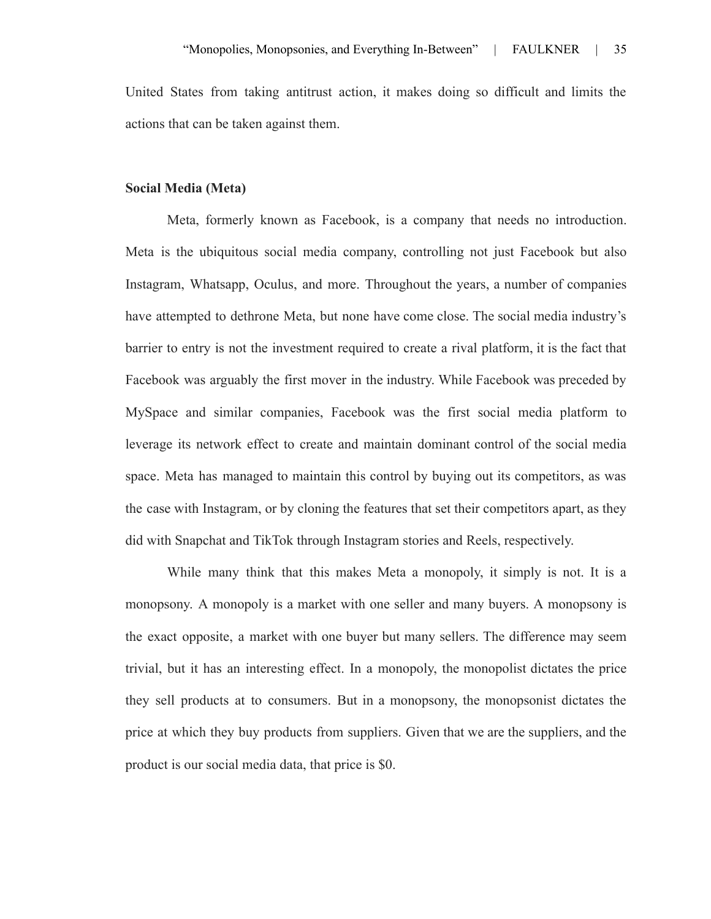United States from taking antitrust action, it makes doing so difficult and limits the actions that can be taken against them.

#### **Social Media (Meta)**

Meta, formerly known as Facebook, is a company that needs no introduction. Meta is the ubiquitous social media company, controlling not just Facebook but also Instagram, Whatsapp, Oculus, and more. Throughout the years, a number of companies have attempted to dethrone Meta, but none have come close. The social media industry's barrier to entry is not the investment required to create a rival platform, it is the fact that Facebook was arguably the first mover in the industry. While Facebook was preceded by MySpace and similar companies, Facebook was the first social media platform to leverage its network effect to create and maintain dominant control of the social media space. Meta has managed to maintain this control by buying out its competitors, as was the case with Instagram, or by cloning the features that set their competitors apart, as they did with Snapchat and TikTok through Instagram stories and Reels, respectively.

While many think that this makes Meta a monopoly, it simply is not. It is a monopsony. A monopoly is a market with one seller and many buyers. A monopsony is the exact opposite, a market with one buyer but many sellers. The difference may seem trivial, but it has an interesting effect. In a monopoly, the monopolist dictates the price they sell products at to consumers. But in a monopsony, the monopsonist dictates the price at which they buy products from suppliers. Given that we are the suppliers, and the product is our social media data, that price is \$0.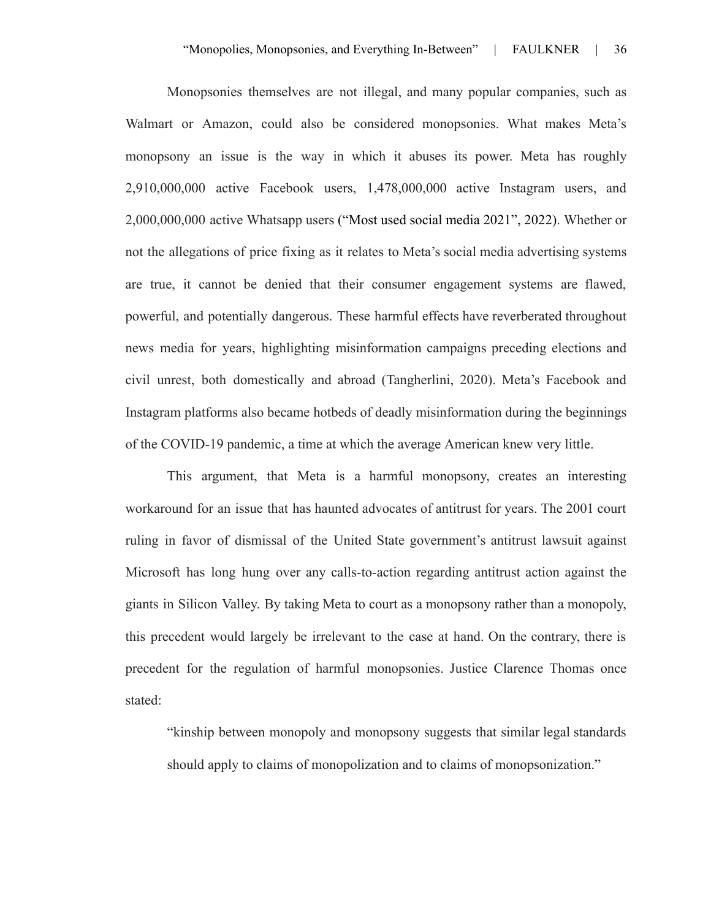Monopsonies themselves are not illegal, and many popular companies, such as Walmart or Amazon, could also be considered monopsonies. What makes Meta's monopsony an issue is the way in which it abuses its power. Meta has roughly 2,910,000,000 active Facebook users, 1,478,000,000 active Instagram users, and 2,000,000,000 active Whatsapp users ("Most used social media 2021", 2022). Whether or not the allegations of price fixing as it relates to Meta's social media advertising systems are true, it cannot be denied that their consumer engagement systems are flawed, powerful, and potentially dangerous. These harmful effects have reverberated throughout news media for years, highlighting misinformation campaigns preceding elections and civil unrest, both domestically and abroad (Tangherlini, 2020). Meta's Facebook and Instagram platforms also became hotbeds of deadly misinformation during the beginnings of the COVID-19 pandemic, a time at which the average American knew very little.

This argument, that Meta is a harmful monopsony, creates an interesting workaround for an issue that has haunted advocates of antitrust for years. The 2001 court ruling in favor of dismissal of the United State government's antitrust lawsuit against Microsoft has long hung over any calls-to-action regarding antitrust action against the giants in Silicon Valley. By taking Meta to court as a monopsony rather than a monopoly, this precedent would largely be irrelevant to the case at hand. On the contrary, there is precedent for the regulation of harmful monopsonies. Justice Clarence Thomas once stated:

"kinship between monopoly and monopsony suggests that similar legal standards should apply to claims of monopolization and to claims of monopsonization."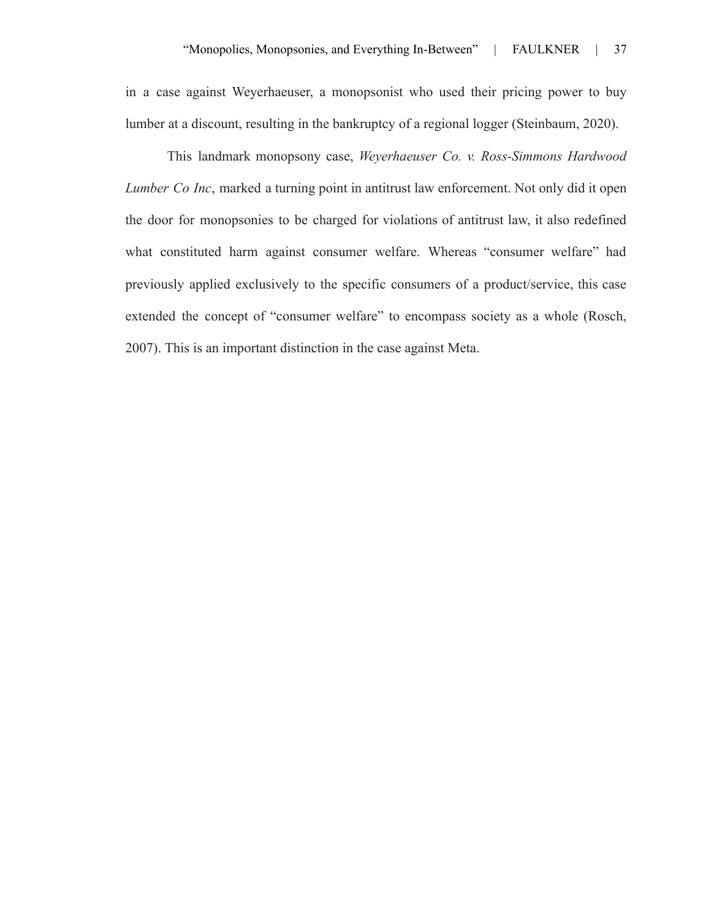in a case against Weyerhaeuser, a monopsonist who used their pricing power to buy lumber at a discount, resulting in the bankruptcy of a regional logger (Steinbaum, 2020).

This landmark monopsony case, *Weyerhaeuser Co. v. Ross-Simmons Hardwood Lumber Co Inc*, marked a turning point in antitrust law enforcement. Not only did it open the door for monopsonies to be charged for violations of antitrust law, it also redefined what constituted harm against consumer welfare. Whereas "consumer welfare" had previously applied exclusively to the specific consumers of a product/service, this case extended the concept of "consumer welfare" to encompass society as a whole (Rosch, 2007). This is an important distinction in the case against Meta.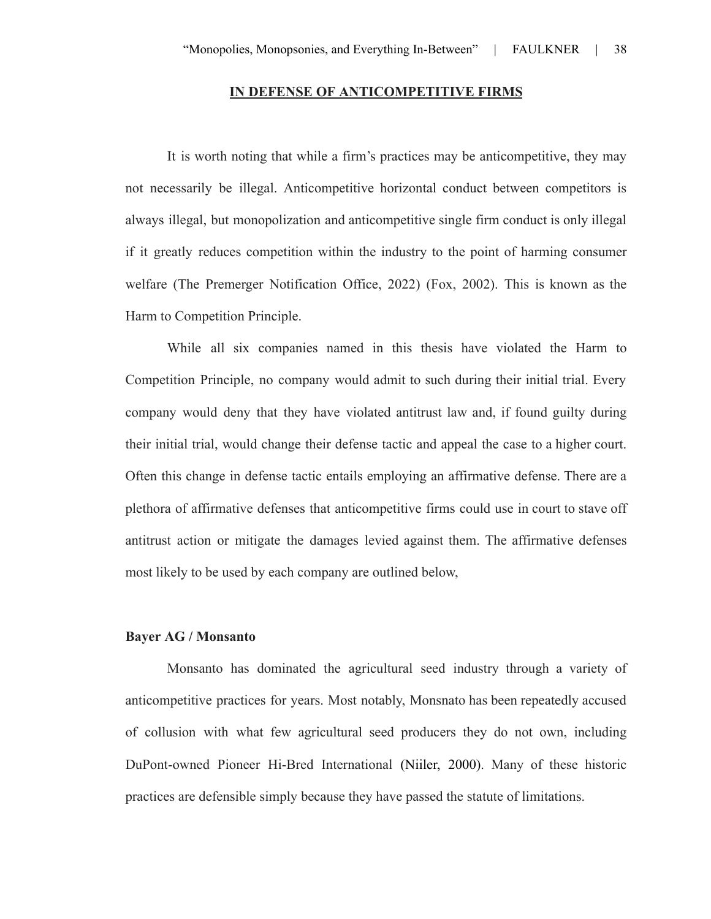#### **IN DEFENSE OF ANTICOMPETITIVE FIRMS**

It is worth noting that while a firm's practices may be anticompetitive, they may not necessarily be illegal. Anticompetitive horizontal conduct between competitors is always illegal, but monopolization and anticompetitive single firm conduct is only illegal if it greatly reduces competition within the industry to the point of harming consumer welfare (The Premerger Notification Office, 2022) (Fox, 2002). This is known as the Harm to Competition Principle.

While all six companies named in this thesis have violated the Harm to Competition Principle, no company would admit to such during their initial trial. Every company would deny that they have violated antitrust law and, if found guilty during their initial trial, would change their defense tactic and appeal the case to a higher court. Often this change in defense tactic entails employing an affirmative defense. There are a plethora of affirmative defenses that anticompetitive firms could use in court to stave off antitrust action or mitigate the damages levied against them. The affirmative defenses most likely to be used by each company are outlined below,

#### **Bayer AG / Monsanto**

Monsanto has dominated the agricultural seed industry through a variety of anticompetitive practices for years. Most notably, Monsnato has been repeatedly accused of collusion with what few agricultural seed producers they do not own, including DuPont-owned Pioneer Hi-Bred International (Niiler, 2000). Many of these historic practices are defensible simply because they have passed the statute of limitations.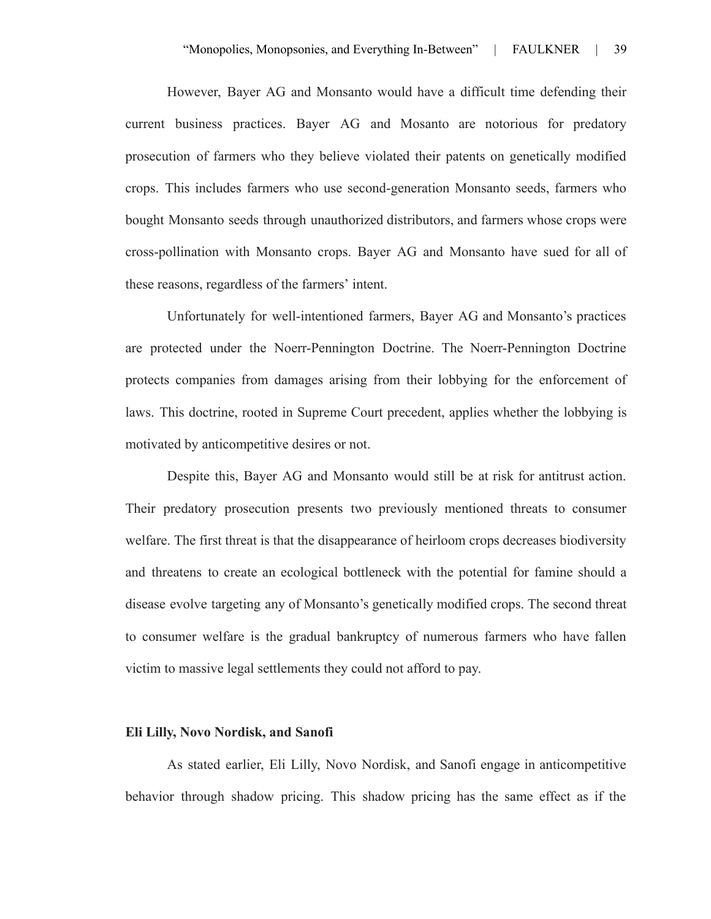However, Bayer AG and Monsanto would have a difficult time defending their current business practices. Bayer AG and Mosanto are notorious for predatory prosecution of farmers who they believe violated their patents on genetically modified crops. This includes farmers who use second-generation Monsanto seeds, farmers who bought Monsanto seeds through unauthorized distributors, and farmers whose crops were cross-pollination with Monsanto crops. Bayer AG and Monsanto have sued for all of these reasons, regardless of the farmers' intent.

Unfortunately for well-intentioned farmers, Bayer AG and Monsanto's practices are protected under the Noerr-Pennington Doctrine. The Noerr-Pennington Doctrine protects companies from damages arising from their lobbying for the enforcement of laws. This doctrine, rooted in Supreme Court precedent, applies whether the lobbying is motivated by anticompetitive desires or not.

Despite this, Bayer AG and Monsanto would still be at risk for antitrust action. Their predatory prosecution presents two previously mentioned threats to consumer welfare. The first threat is that the disappearance of heirloom crops decreases biodiversity and threatens to create an ecological bottleneck with the potential for famine should a disease evolve targeting any of Monsanto's genetically modified crops. The second threat to consumer welfare is the gradual bankruptcy of numerous farmers who have fallen victim to massive legal settlements they could not afford to pay.

#### **Eli Lilly, Novo Nordisk, and Sanofi**

As stated earlier, Eli Lilly, Novo Nordisk, and Sanofi engage in anticompetitive behavior through shadow pricing. This shadow pricing has the same effect as if the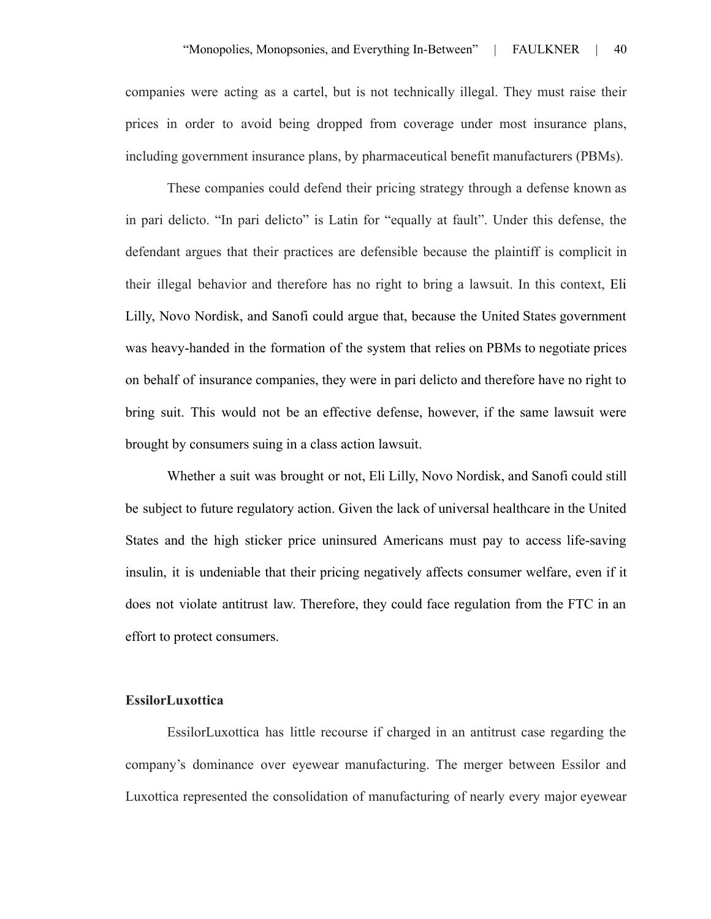companies were acting as a cartel, but is not technically illegal. They must raise their prices in order to avoid being dropped from coverage under most insurance plans, including government insurance plans, by pharmaceutical benefit manufacturers (PBMs).

These companies could defend their pricing strategy through a defense known as in pari delicto. "In pari delicto" is Latin for "equally at fault". Under this defense, the defendant argues that their practices are defensible because the plaintiff is complicit in their illegal behavior and therefore has no right to bring a lawsuit. In this context, Eli Lilly, Novo Nordisk, and Sanofi could argue that, because the United States government was heavy-handed in the formation of the system that relies on PBMs to negotiate prices on behalf of insurance companies, they were in pari delicto and therefore have no right to bring suit. This would not be an effective defense, however, if the same lawsuit were brought by consumers suing in a class action lawsuit.

Whether a suit was brought or not, Eli Lilly, Novo Nordisk, and Sanofi could still be subject to future regulatory action. Given the lack of universal healthcare in the United States and the high sticker price uninsured Americans must pay to access life-saving insulin, it is undeniable that their pricing negatively affects consumer welfare, even if it does not violate antitrust law. Therefore, they could face regulation from the FTC in an effort to protect consumers.

#### **EssilorLuxottica**

EssilorLuxottica has little recourse if charged in an antitrust case regarding the company's dominance over eyewear manufacturing. The merger between Essilor and Luxottica represented the consolidation of manufacturing of nearly every major eyewear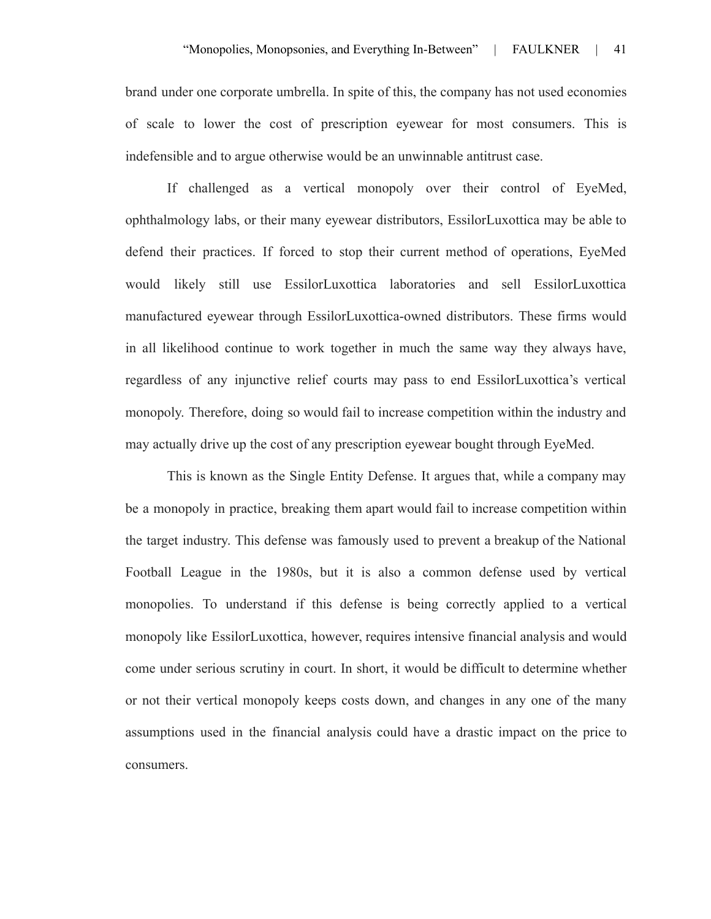brand under one corporate umbrella. In spite of this, the company has not used economies of scale to lower the cost of prescription eyewear for most consumers. This is indefensible and to argue otherwise would be an unwinnable antitrust case.

If challenged as a vertical monopoly over their control of EyeMed, ophthalmology labs, or their many eyewear distributors, EssilorLuxottica may be able to defend their practices. If forced to stop their current method of operations, EyeMed would likely still use EssilorLuxottica laboratories and sell EssilorLuxottica manufactured eyewear through EssilorLuxottica-owned distributors. These firms would in all likelihood continue to work together in much the same way they always have, regardless of any injunctive relief courts may pass to end EssilorLuxottica's vertical monopoly. Therefore, doing so would fail to increase competition within the industry and may actually drive up the cost of any prescription eyewear bought through EyeMed.

This is known as the Single Entity Defense. It argues that, while a company may be a monopoly in practice, breaking them apart would fail to increase competition within the target industry. This defense was famously used to prevent a breakup of the National Football League in the 1980s, but it is also a common defense used by vertical monopolies. To understand if this defense is being correctly applied to a vertical monopoly like EssilorLuxottica, however, requires intensive financial analysis and would come under serious scrutiny in court. In short, it would be difficult to determine whether or not their vertical monopoly keeps costs down, and changes in any one of the many assumptions used in the financial analysis could have a drastic impact on the price to consumers.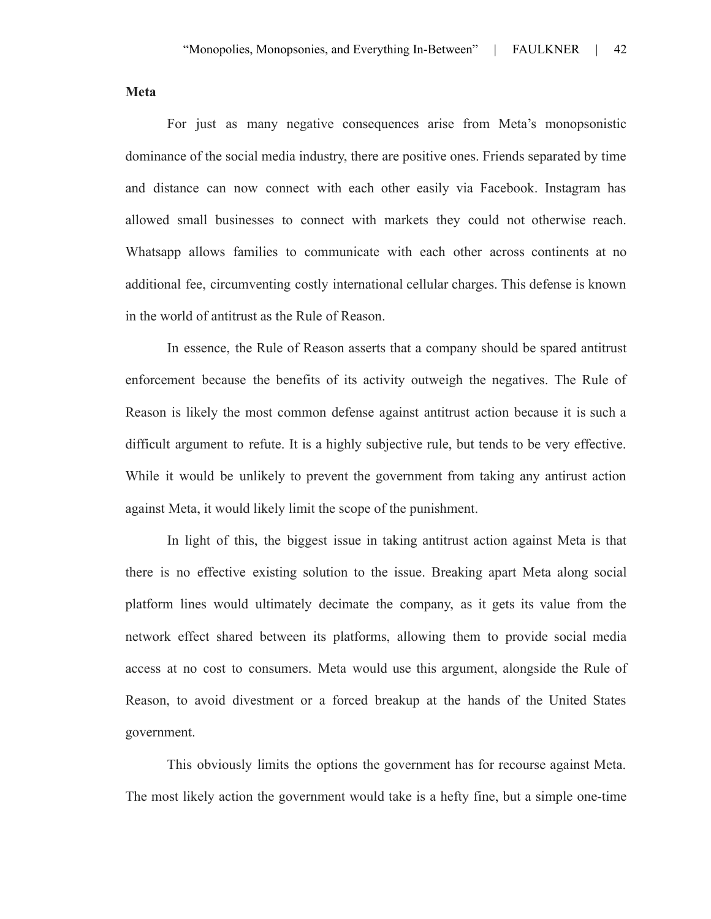**Meta**

For just as many negative consequences arise from Meta's monopsonistic dominance of the social media industry, there are positive ones. Friends separated by time and distance can now connect with each other easily via Facebook. Instagram has allowed small businesses to connect with markets they could not otherwise reach. Whatsapp allows families to communicate with each other across continents at no additional fee, circumventing costly international cellular charges. This defense is known in the world of antitrust as the Rule of Reason.

In essence, the Rule of Reason asserts that a company should be spared antitrust enforcement because the benefits of its activity outweigh the negatives. The Rule of Reason is likely the most common defense against antitrust action because it is such a difficult argument to refute. It is a highly subjective rule, but tends to be very effective. While it would be unlikely to prevent the government from taking any antirust action against Meta, it would likely limit the scope of the punishment.

In light of this, the biggest issue in taking antitrust action against Meta is that there is no effective existing solution to the issue. Breaking apart Meta along social platform lines would ultimately decimate the company, as it gets its value from the network effect shared between its platforms, allowing them to provide social media access at no cost to consumers. Meta would use this argument, alongside the Rule of Reason, to avoid divestment or a forced breakup at the hands of the United States government.

This obviously limits the options the government has for recourse against Meta. The most likely action the government would take is a hefty fine, but a simple one-time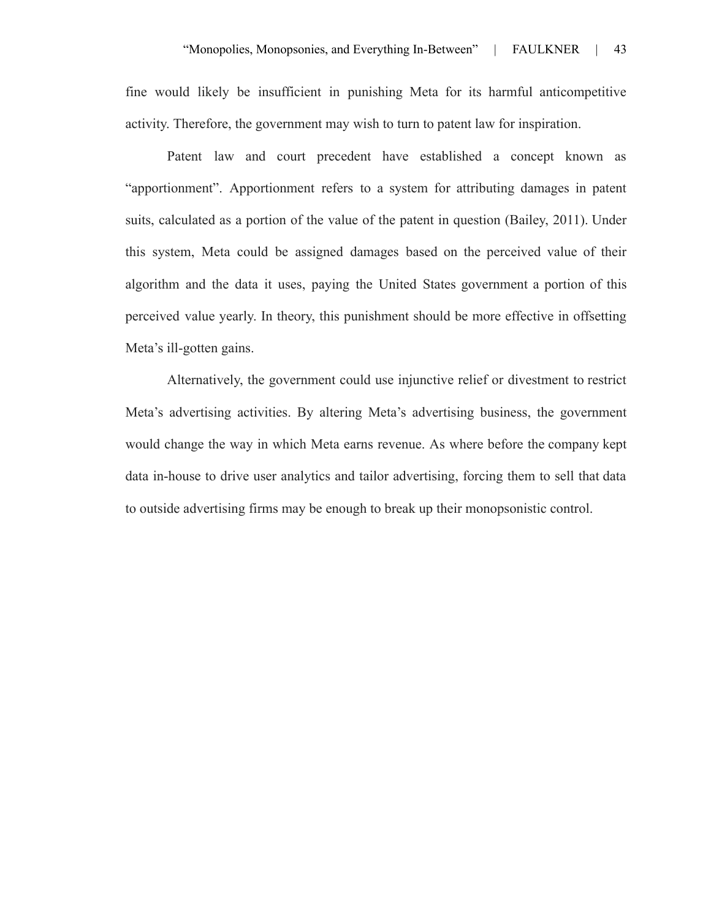fine would likely be insufficient in punishing Meta for its harmful anticompetitive activity. Therefore, the government may wish to turn to patent law for inspiration.

Patent law and court precedent have established a concept known as "apportionment". Apportionment refers to a system for attributing damages in patent suits, calculated as a portion of the value of the patent in question (Bailey, 2011). Under this system, Meta could be assigned damages based on the perceived value of their algorithm and the data it uses, paying the United States government a portion of this perceived value yearly. In theory, this punishment should be more effective in offsetting Meta's ill-gotten gains.

Alternatively, the government could use injunctive relief or divestment to restrict Meta's advertising activities. By altering Meta's advertising business, the government would change the way in which Meta earns revenue. As where before the company kept data in-house to drive user analytics and tailor advertising, forcing them to sell that data to outside advertising firms may be enough to break up their monopsonistic control.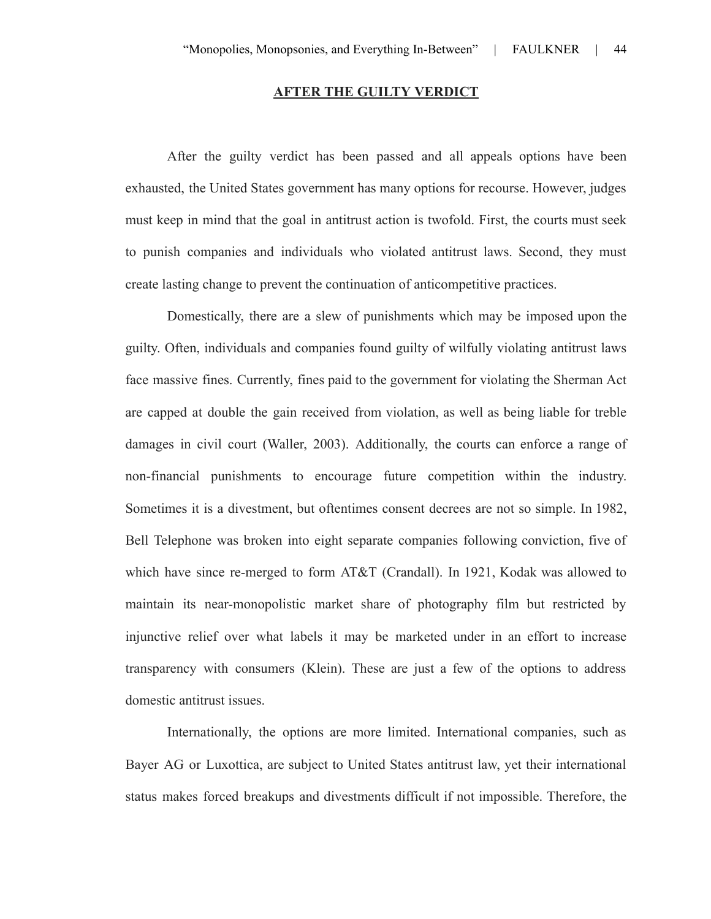### **AFTER THE GUILTY VERDICT**

After the guilty verdict has been passed and all appeals options have been exhausted, the United States government has many options for recourse. However, judges must keep in mind that the goal in antitrust action is twofold. First, the courts must seek to punish companies and individuals who violated antitrust laws. Second, they must create lasting change to prevent the continuation of anticompetitive practices.

Domestically, there are a slew of punishments which may be imposed upon the guilty. Often, individuals and companies found guilty of wilfully violating antitrust laws face massive fines. Currently, fines paid to the government for violating the Sherman Act are capped at double the gain received from violation, as well as being liable for treble damages in civil court (Waller, 2003). Additionally, the courts can enforce a range of non-financial punishments to encourage future competition within the industry. Sometimes it is a divestment, but oftentimes consent decrees are not so simple. In 1982, Bell Telephone was broken into eight separate companies following conviction, five of which have since re-merged to form AT&T (Crandall). In 1921, Kodak was allowed to maintain its near-monopolistic market share of photography film but restricted by injunctive relief over what labels it may be marketed under in an effort to increase transparency with consumers (Klein). These are just a few of the options to address domestic antitrust issues.

Internationally, the options are more limited. International companies, such as Bayer AG or Luxottica, are subject to United States antitrust law, yet their international status makes forced breakups and divestments difficult if not impossible. Therefore, the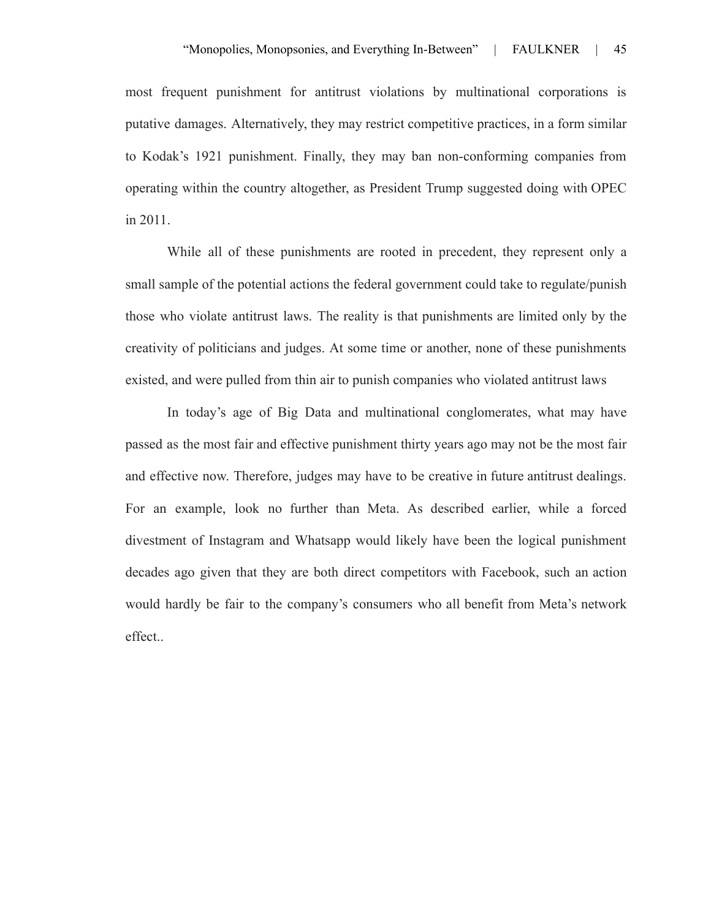most frequent punishment for antitrust violations by multinational corporations is putative damages. Alternatively, they may restrict competitive practices, in a form similar to Kodak's 1921 punishment. Finally, they may ban non-conforming companies from operating within the country altogether, as President Trump suggested doing with OPEC in 2011.

While all of these punishments are rooted in precedent, they represent only a small sample of the potential actions the federal government could take to regulate/punish those who violate antitrust laws. The reality is that punishments are limited only by the creativity of politicians and judges. At some time or another, none of these punishments existed, and were pulled from thin air to punish companies who violated antitrust laws

In today's age of Big Data and multinational conglomerates, what may have passed as the most fair and effective punishment thirty years ago may not be the most fair and effective now. Therefore, judges may have to be creative in future antitrust dealings. For an example, look no further than Meta. As described earlier, while a forced divestment of Instagram and Whatsapp would likely have been the logical punishment decades ago given that they are both direct competitors with Facebook, such an action would hardly be fair to the company's consumers who all benefit from Meta's network effect..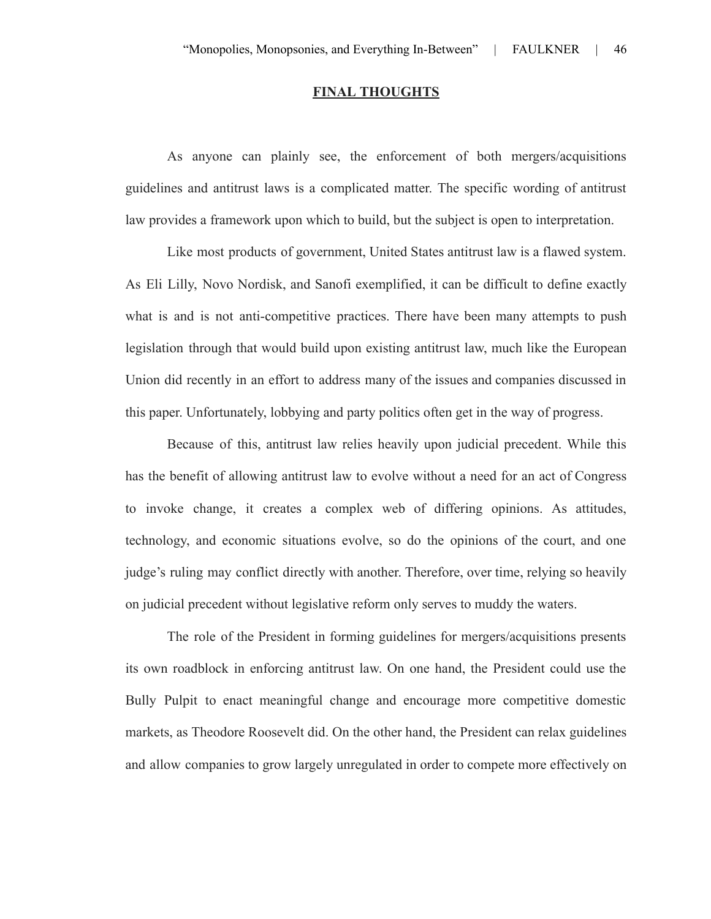### **FINAL THOUGHTS**

As anyone can plainly see, the enforcement of both mergers/acquisitions guidelines and antitrust laws is a complicated matter. The specific wording of antitrust law provides a framework upon which to build, but the subject is open to interpretation.

Like most products of government, United States antitrust law is a flawed system. As Eli Lilly, Novo Nordisk, and Sanofi exemplified, it can be difficult to define exactly what is and is not anti-competitive practices. There have been many attempts to push legislation through that would build upon existing antitrust law, much like the European Union did recently in an effort to address many of the issues and companies discussed in this paper. Unfortunately, lobbying and party politics often get in the way of progress.

Because of this, antitrust law relies heavily upon judicial precedent. While this has the benefit of allowing antitrust law to evolve without a need for an act of Congress to invoke change, it creates a complex web of differing opinions. As attitudes, technology, and economic situations evolve, so do the opinions of the court, and one judge's ruling may conflict directly with another. Therefore, over time, relying so heavily on judicial precedent without legislative reform only serves to muddy the waters.

The role of the President in forming guidelines for mergers/acquisitions presents its own roadblock in enforcing antitrust law. On one hand, the President could use the Bully Pulpit to enact meaningful change and encourage more competitive domestic markets, as Theodore Roosevelt did. On the other hand, the President can relax guidelines and allow companies to grow largely unregulated in order to compete more effectively on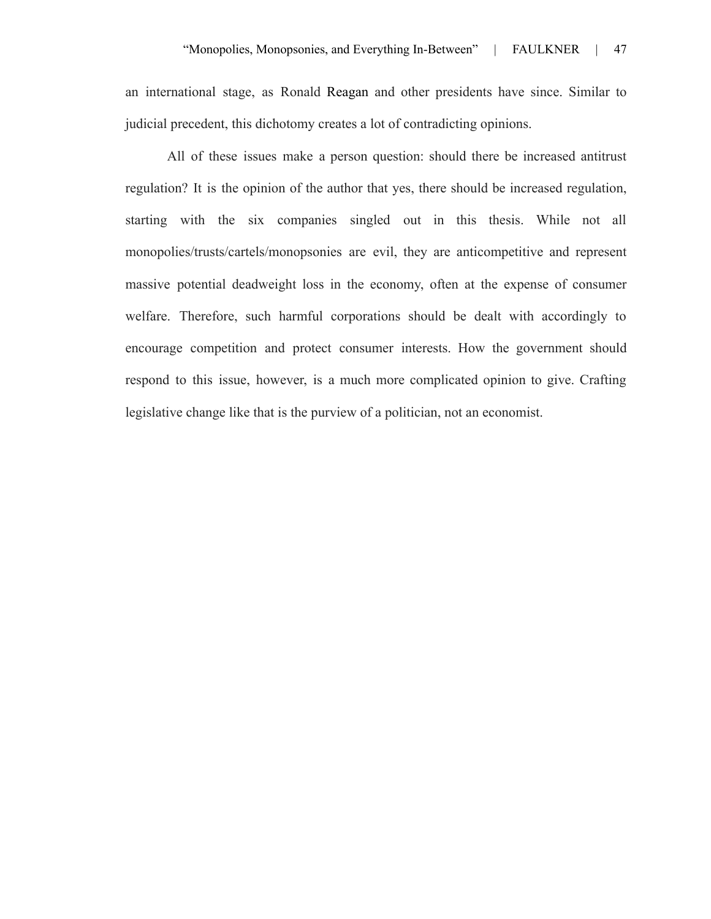an international stage, as Ronald Reagan and other presidents have since. Similar to judicial precedent, this dichotomy creates a lot of contradicting opinions.

All of these issues make a person question: should there be increased antitrust regulation? It is the opinion of the author that yes, there should be increased regulation, starting with the six companies singled out in this thesis. While not all monopolies/trusts/cartels/monopsonies are evil, they are anticompetitive and represent massive potential deadweight loss in the economy, often at the expense of consumer welfare. Therefore, such harmful corporations should be dealt with accordingly to encourage competition and protect consumer interests. How the government should respond to this issue, however, is a much more complicated opinion to give. Crafting legislative change like that is the purview of a politician, not an economist.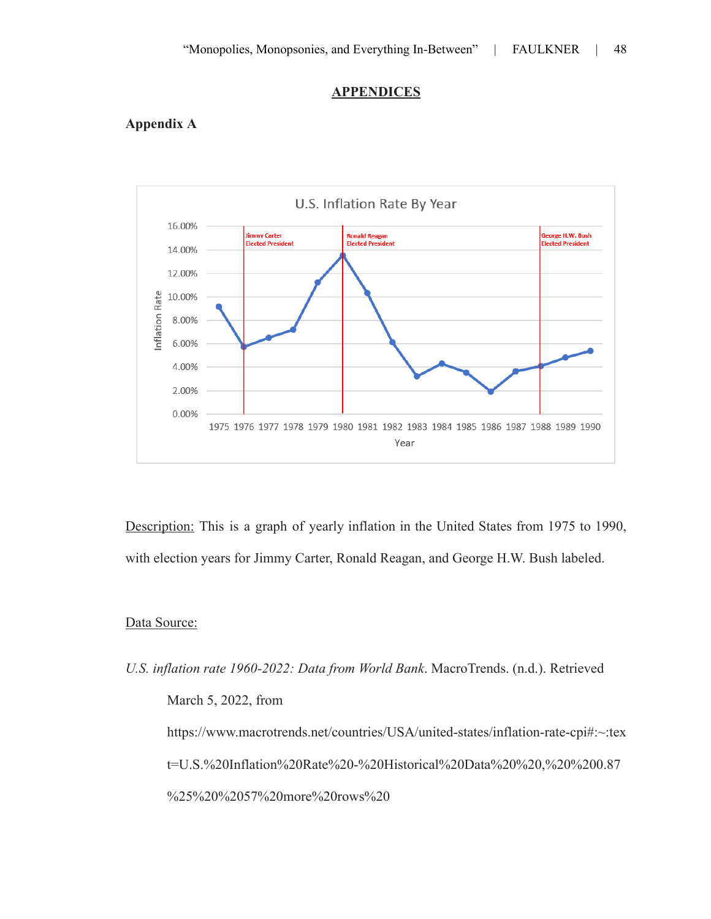#### **APPENDICES**

# **Appendix A**



Description: This is a graph of yearly inflation in the United States from 1975 to 1990, with election years for Jimmy Carter, Ronald Reagan, and George H.W. Bush labeled.

## Data Source:

*U.S. inflation rate 1960-2022: Data from World Bank*. MacroTrends. (n.d.). Retrieved March 5, 2022, from https://www.macrotrends.net/countries/USA/united-states/inflation-rate-cpi#:~:tex t=U.S.%20Inflation%20Rate%20-%20Historical%20Data%20%20,%20%200.87 %25%20%2057%20more%20rows%20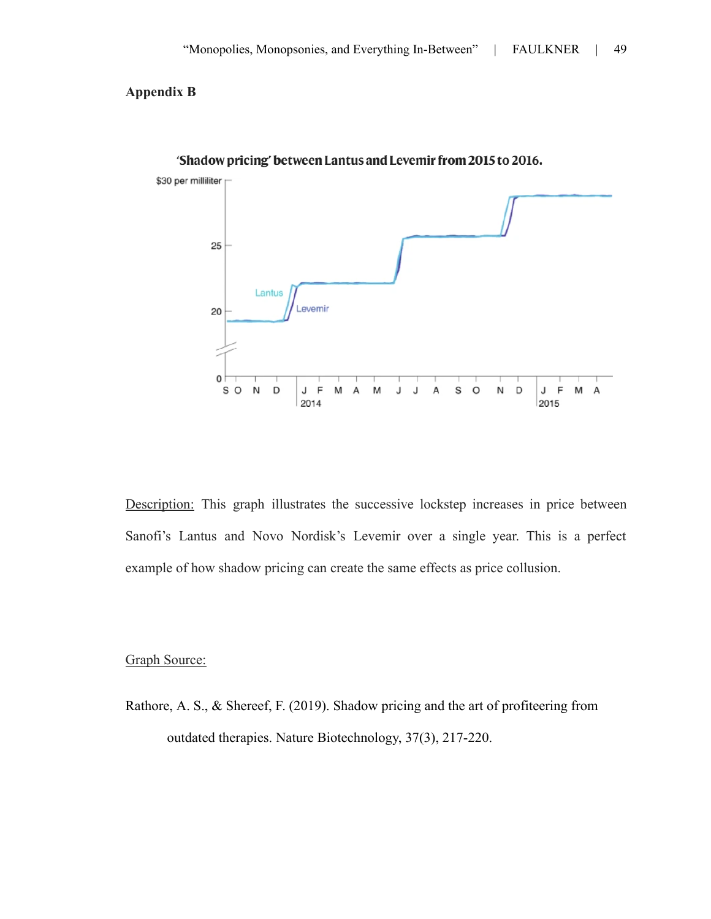## **Appendix B**



'Shadow pricing' between Lantus and Levemir from 2015 to 2016.

Description: This graph illustrates the successive lockstep increases in price between Sanofi's Lantus and Novo Nordisk's Levemir over a single year. This is a perfect example of how shadow pricing can create the same effects as price collusion.

## Graph Source:

Rathore, A. S., & Shereef, F. (2019). Shadow pricing and the art of profiteering from outdated therapies. Nature Biotechnology, 37(3), 217-220.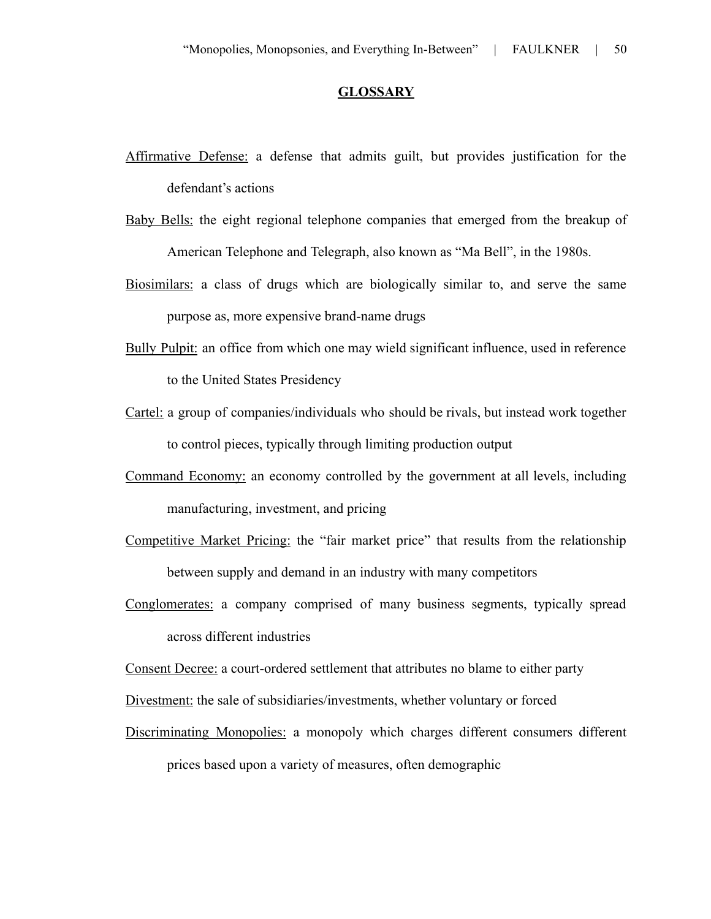## **GLOSSARY**

- Affirmative Defense: a defense that admits guilt, but provides justification for the defendant's actions
- Baby Bells: the eight regional telephone companies that emerged from the breakup of American Telephone and Telegraph, also known as "Ma Bell", in the 1980s.
- Biosimilars: a class of drugs which are biologically similar to, and serve the same purpose as, more expensive brand-name drugs
- Bully Pulpit: an office from which one may wield significant influence, used in reference to the United States Presidency
- Cartel: a group of companies/individuals who should be rivals, but instead work together to control pieces, typically through limiting production output
- Command Economy: an economy controlled by the government at all levels, including manufacturing, investment, and pricing
- Competitive Market Pricing: the "fair market price" that results from the relationship between supply and demand in an industry with many competitors
- Conglomerates: a company comprised of many business segments, typically spread across different industries
- Consent Decree: a court-ordered settlement that attributes no blame to either party
- Divestment: the sale of subsidiaries/investments, whether voluntary or forced
- Discriminating Monopolies: a monopoly which charges different consumers different prices based upon a variety of measures, often demographic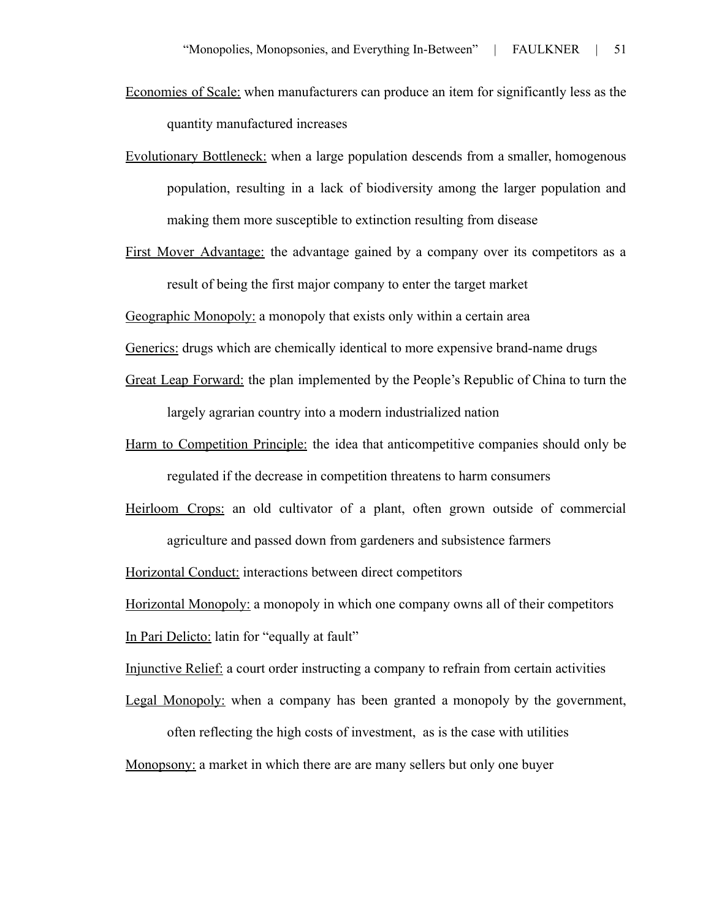- Economies of Scale: when manufacturers can produce an item for significantly less as the quantity manufactured increases
- Evolutionary Bottleneck: when a large population descends from a smaller, homogenous population, resulting in a lack of biodiversity among the larger population and making them more susceptible to extinction resulting from disease
- First Mover Advantage: the advantage gained by a company over its competitors as a result of being the first major company to enter the target market

Geographic Monopoly: a monopoly that exists only within a certain area

Generics: drugs which are chemically identical to more expensive brand-name drugs

- Great Leap Forward: the plan implemented by the People's Republic of China to turn the largely agrarian country into a modern industrialized nation
- Harm to Competition Principle: the idea that anticompetitive companies should only be regulated if the decrease in competition threatens to harm consumers
- Heirloom Crops: an old cultivator of a plant, often grown outside of commercial agriculture and passed down from gardeners and subsistence farmers

Horizontal Conduct: interactions between direct competitors

Horizontal Monopoly: a monopoly in which one company owns all of their competitors In Pari Delicto: latin for "equally at fault"

- Injunctive Relief: a court order instructing a company to refrain from certain activities
- Legal Monopoly: when a company has been granted a monopoly by the government,

often reflecting the high costs of investment, as is the case with utilities Monopsony: a market in which there are are many sellers but only one buyer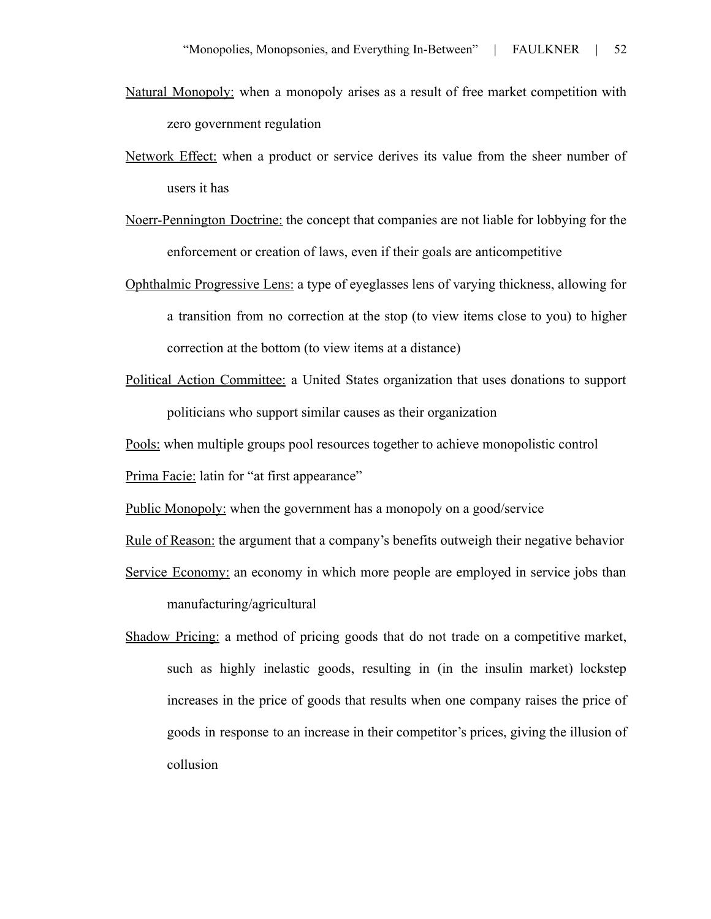- Natural Monopoly: when a monopoly arises as a result of free market competition with zero government regulation
- Network Effect: when a product or service derives its value from the sheer number of users it has
- Noerr-Pennington Doctrine: the concept that companies are not liable for lobbying for the enforcement or creation of laws, even if their goals are anticompetitive
- Ophthalmic Progressive Lens: a type of eyeglasses lens of varying thickness, allowing for a transition from no correction at the stop (to view items close to you) to higher correction at the bottom (to view items at a distance)
- Political Action Committee: a United States organization that uses donations to support politicians who support similar causes as their organization

Pools: when multiple groups pool resources together to achieve monopolistic control

Prima Facie: latin for "at first appearance"

Public Monopoly: when the government has a monopoly on a good/service

Rule of Reason: the argument that a company's benefits outweigh their negative behavior

- Service Economy: an economy in which more people are employed in service jobs than manufacturing/agricultural
- Shadow Pricing: a method of pricing goods that do not trade on a competitive market, such as highly inelastic goods, resulting in (in the insulin market) lockstep increases in the price of goods that results when one company raises the price of goods in response to an increase in their competitor's prices, giving the illusion of collusion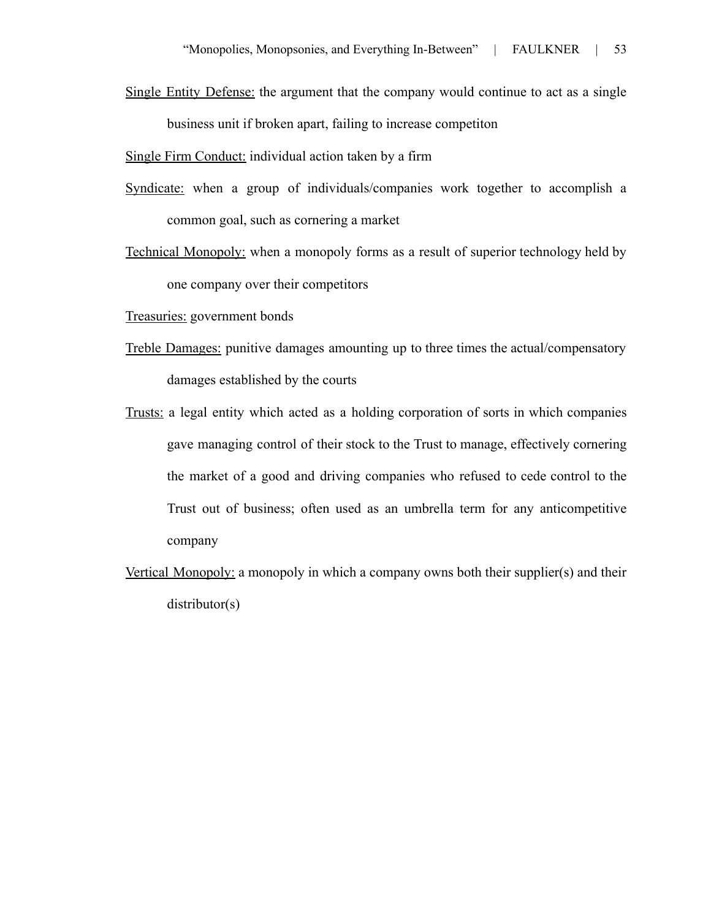Single Entity Defense: the argument that the company would continue to act as a single business unit if broken apart, failing to increase competiton

Single Firm Conduct: individual action taken by a firm

- Syndicate: when a group of individuals/companies work together to accomplish a common goal, such as cornering a market
- Technical Monopoly: when a monopoly forms as a result of superior technology held by one company over their competitors

Treasuries: government bonds

- Treble Damages: punitive damages amounting up to three times the actual/compensatory damages established by the courts
- Trusts: a legal entity which acted as a holding corporation of sorts in which companies gave managing control of their stock to the Trust to manage, effectively cornering the market of a good and driving companies who refused to cede control to the Trust out of business; often used as an umbrella term for any anticompetitive company
- Vertical Monopoly: a monopoly in which a company owns both their supplier(s) and their distributor(s)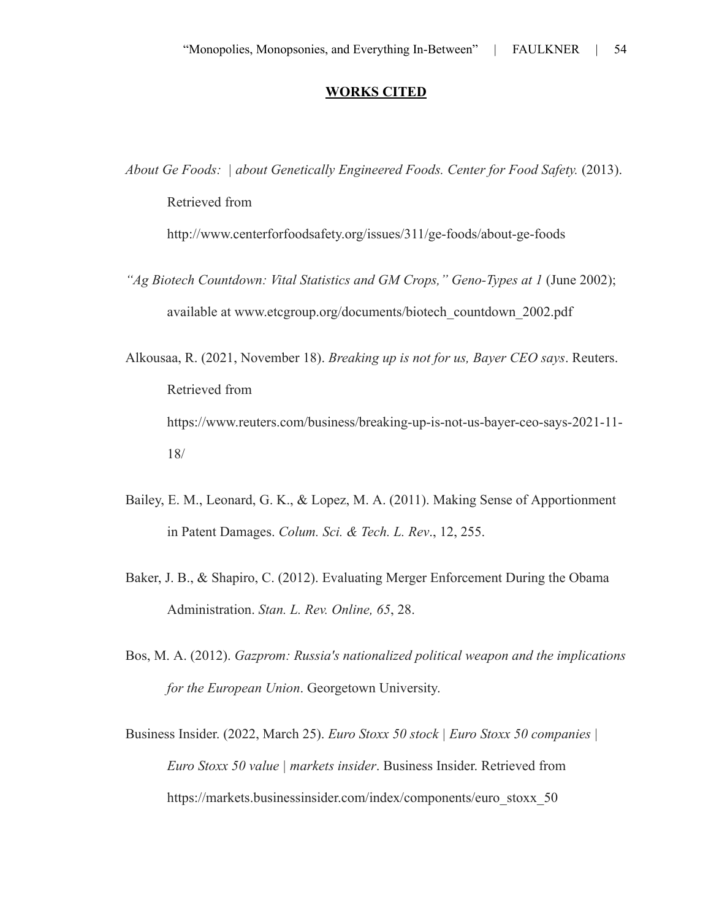## **WORKS CITED**

*About Ge Foods: | about Genetically Engineered Foods. Center for Food Safety.* (2013). Retrieved from

http://www.centerforfoodsafety.org/issues/311/ge-foods/about-ge-foods

- *"Ag Biotech Countdown: Vital Statistics and GM Crops," Geno-Types at 1* (June 2002); available at www.etcgroup.org/documents/biotech\_countdown\_2002.pdf
- Alkousaa, R. (2021, November 18). *Breaking up is not for us, Bayer CEO says*. Reuters. Retrieved from https://www.reuters.com/business/breaking-up-is-not-us-bayer-ceo-says-2021-11- 18/
- Bailey, E. M., Leonard, G. K., & Lopez, M. A. (2011). Making Sense of Apportionment in Patent Damages. *Colum. Sci. & Tech. L. Rev*., 12, 255.
- Baker, J. B., & Shapiro, C. (2012). Evaluating Merger Enforcement During the Obama Administration. *Stan. L. Rev. Online, 65*, 28.
- Bos, M. A. (2012). *Gazprom: Russia's nationalized political weapon and the implications for the European Union*. Georgetown University.
- Business Insider. (2022, March 25). *Euro Stoxx 50 stock | Euro Stoxx 50 companies | Euro Stoxx 50 value | markets insider*. Business Insider. Retrieved from https://markets.businessinsider.com/index/components/euro\_stoxx\_50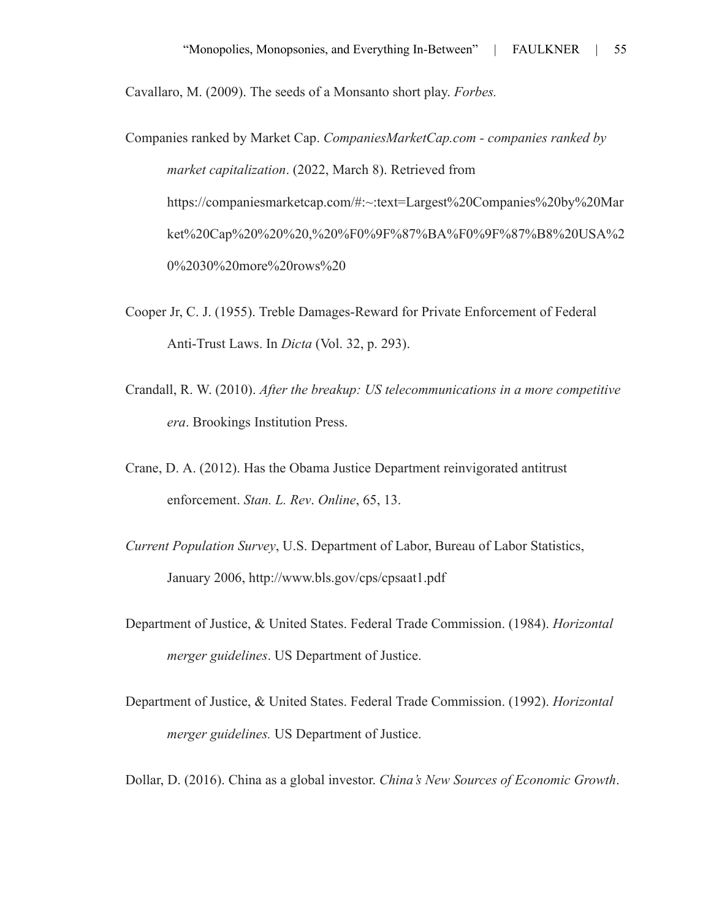Cavallaro, M. (2009). The seeds of a Monsanto short play. *Forbes.*

Companies ranked by Market Cap. *CompaniesMarketCap.com - companies ranked by market capitalization*. (2022, March 8). Retrieved from https://companiesmarketcap.com/#:~:text=Largest%20Companies%20by%20Mar ket%20Cap%20%20%20,%20%F0%9F%87%BA%F0%9F%87%B8%20USA%2 0%2030%20more%20rows%20

- Cooper Jr, C. J. (1955). Treble Damages-Reward for Private Enforcement of Federal Anti-Trust Laws. In *Dicta* (Vol. 32, p. 293).
- Crandall, R. W. (2010). *After the breakup: US telecommunications in a more competitive era*. Brookings Institution Press.
- Crane, D. A. (2012). Has the Obama Justice Department reinvigorated antitrust enforcement. *Stan. L. Rev*. *Online*, 65, 13.
- *Current Population Survey*, U.S. Department of Labor, Bureau of Labor Statistics, January 2006, http://www.bls.gov/cps/cpsaat1.pdf
- Department of Justice, & United States. Federal Trade Commission. (1984). *Horizontal merger guidelines*. US Department of Justice.
- Department of Justice, & United States. Federal Trade Commission. (1992). *Horizontal merger guidelines.* US Department of Justice.

Dollar, D. (2016). China as a global investor. *China's New Sources of Economic Growth*.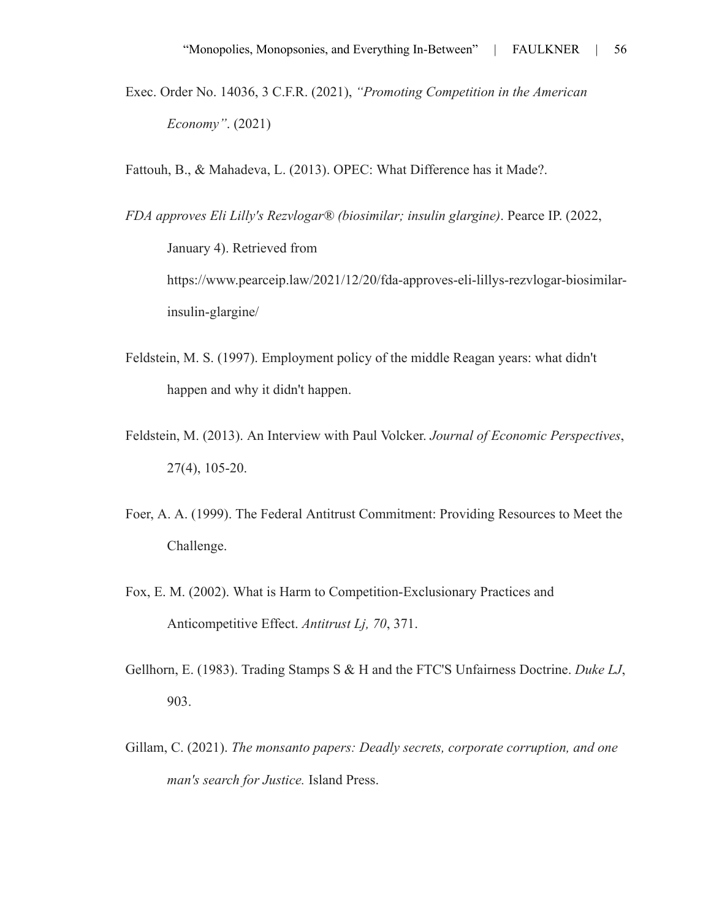Exec. Order No. 14036, 3 C.F.R. (2021), *"Promoting Competition in the American Economy"*. (2021)

Fattouh, B., & Mahadeva, L. (2013). OPEC: What Difference has it Made?.

*FDA approves Eli Lilly's Rezvlogar® (biosimilar; insulin glargine)*. Pearce IP. (2022, January 4). Retrieved from https://www.pearceip.law/2021/12/20/fda-approves-eli-lillys-rezvlogar-biosimilarinsulin-glargine/

- Feldstein, M. S. (1997). Employment policy of the middle Reagan years: what didn't happen and why it didn't happen.
- Feldstein, M. (2013). An Interview with Paul Volcker. *Journal of Economic Perspectives*, 27(4), 105-20.
- Foer, A. A. (1999). The Federal Antitrust Commitment: Providing Resources to Meet the Challenge.
- Fox, E. M. (2002). What is Harm to Competition-Exclusionary Practices and Anticompetitive Effect. *Antitrust Lj, 70*, 371.
- Gellhorn, E. (1983). Trading Stamps S & H and the FTC'S Unfairness Doctrine. *Duke LJ*, 903.
- Gillam, C. (2021). *The monsanto papers: Deadly secrets, corporate corruption, and one man's search for Justice.* Island Press.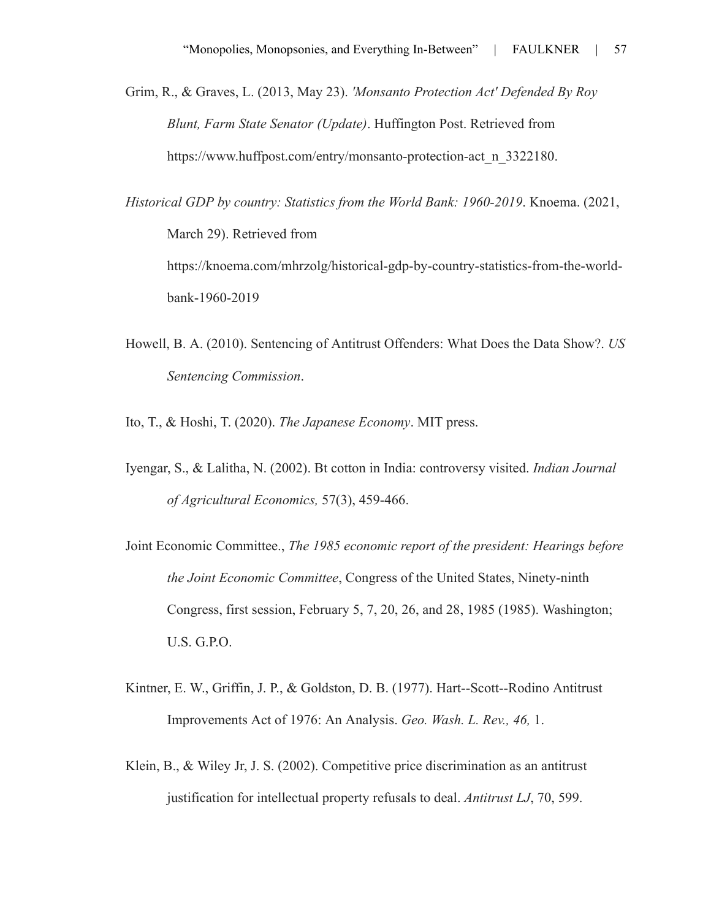Grim, R., & Graves, L. (2013, May 23). *'Monsanto Protection Act' Defended By Roy Blunt, Farm State Senator (Update)*. Huffington Post. Retrieved from https://www.huffpost.com/entry/monsanto-protection-act\_n\_3322180.

*Historical GDP by country: Statistics from the World Bank: 1960-2019*. Knoema. (2021, March 29). Retrieved from https://knoema.com/mhrzolg/historical-gdp-by-country-statistics-from-the-worldbank-1960-2019

- Howell, B. A. (2010). Sentencing of Antitrust Offenders: What Does the Data Show?. *US Sentencing Commission*.
- Ito, T., & Hoshi, T. (2020). *The Japanese Economy*. MIT press.
- Iyengar, S., & Lalitha, N. (2002). Bt cotton in India: controversy visited. *Indian Journal of Agricultural Economics,* 57(3), 459-466.
- Joint Economic Committee., *The 1985 economic report of the president: Hearings before the Joint Economic Committee*, Congress of the United States, Ninety-ninth Congress, first session, February 5, 7, 20, 26, and 28, 1985 (1985). Washington; U.S. G.P.O.
- Kintner, E. W., Griffin, J. P., & Goldston, D. B. (1977). Hart--Scott--Rodino Antitrust Improvements Act of 1976: An Analysis. *Geo. Wash. L. Rev., 46,* 1.
- Klein, B., & Wiley Jr, J. S. (2002). Competitive price discrimination as an antitrust justification for intellectual property refusals to deal. *Antitrust LJ*, 70, 599.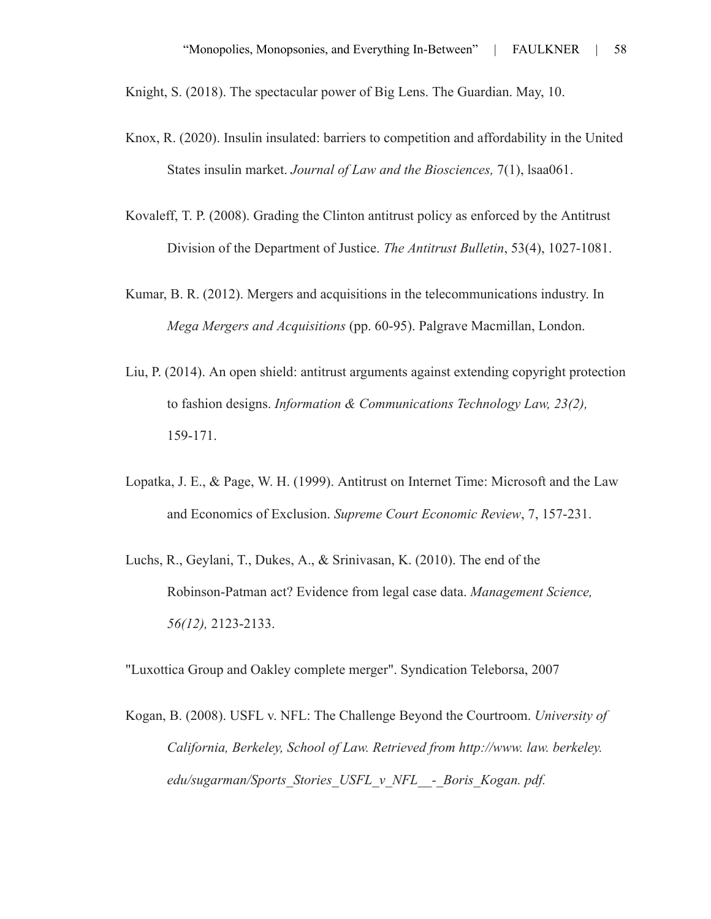Knight, S. (2018). The spectacular power of Big Lens. The Guardian. May, 10.

- Knox, R. (2020). Insulin insulated: barriers to competition and affordability in the United States insulin market. *Journal of Law and the Biosciences,* 7(1), lsaa061.
- Kovaleff, T. P. (2008). Grading the Clinton antitrust policy as enforced by the Antitrust Division of the Department of Justice. *The Antitrust Bulletin*, 53(4), 1027-1081.
- Kumar, B. R. (2012). Mergers and acquisitions in the telecommunications industry. In *Mega Mergers and Acquisitions* (pp. 60-95). Palgrave Macmillan, London.
- Liu, P. (2014). An open shield: antitrust arguments against extending copyright protection to fashion designs. *Information & Communications Technology Law, 23(2),* 159-171.
- Lopatka, J. E., & Page, W. H. (1999). Antitrust on Internet Time: Microsoft and the Law and Economics of Exclusion. *Supreme Court Economic Review*, 7, 157-231.
- Luchs, R., Geylani, T., Dukes, A., & Srinivasan, K. (2010). The end of the Robinson-Patman act? Evidence from legal case data. *Management Science, 56(12),* 2123-2133.

"Luxottica Group and Oakley complete merger". Syndication Teleborsa, 2007

Kogan, B. (2008). USFL v. NFL: The Challenge Beyond the Courtroom. *University of California, Berkeley, School of Law. Retrieved from http://www. law. berkeley. edu/sugarman/Sports\_Stories\_USFL\_v\_NFL\_\_-\_Boris\_Kogan. pdf.*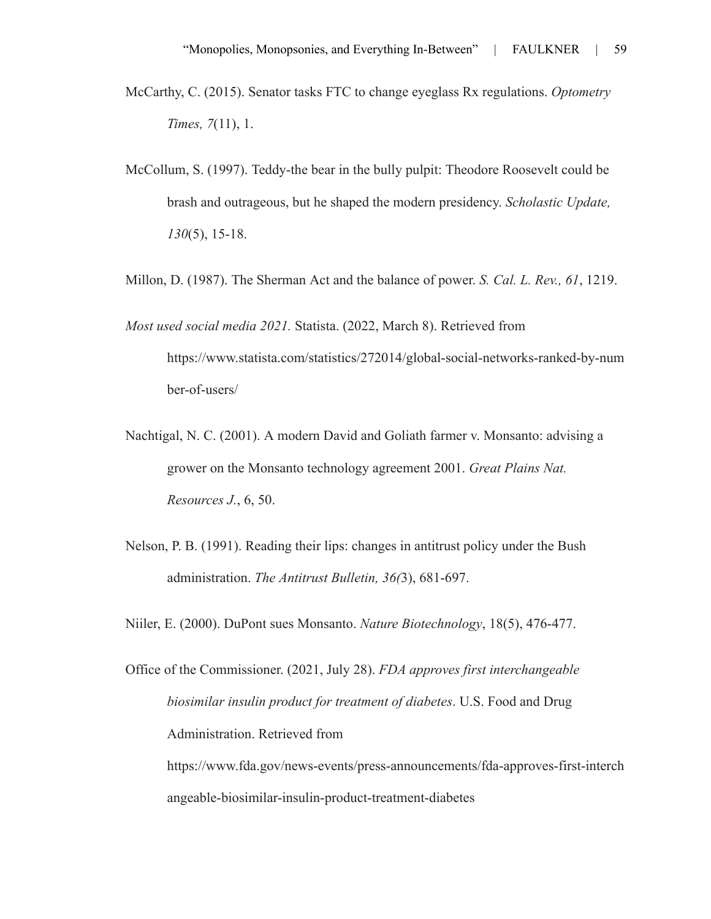- McCarthy, C. (2015). Senator tasks FTC to change eyeglass Rx regulations. *Optometry Times, 7*(11), 1.
- McCollum, S. (1997). Teddy-the bear in the bully pulpit: Theodore Roosevelt could be brash and outrageous, but he shaped the modern presidency. *Scholastic Update, 130*(5), 15-18.
- Millon, D. (1987). The Sherman Act and the balance of power. *S. Cal. L. Rev., 61*, 1219.
- *Most used social media 2021.* Statista. (2022, March 8). Retrieved from https://www.statista.com/statistics/272014/global-social-networks-ranked-by-num ber-of-users/
- Nachtigal, N. C. (2001). A modern David and Goliath farmer v. Monsanto: advising a grower on the Monsanto technology agreement 2001. *Great Plains Nat. Resources J.*, 6, 50.
- Nelson, P. B. (1991). Reading their lips: changes in antitrust policy under the Bush administration. *The Antitrust Bulletin, 36(*3), 681-697.
- Niiler, E. (2000). DuPont sues Monsanto. *Nature Biotechnology*, 18(5), 476-477.

Office of the Commissioner. (2021, July 28). *FDA approves first interchangeable biosimilar insulin product for treatment of diabetes*. U.S. Food and Drug Administration. Retrieved from https://www.fda.gov/news-events/press-announcements/fda-approves-first-interch angeable-biosimilar-insulin-product-treatment-diabetes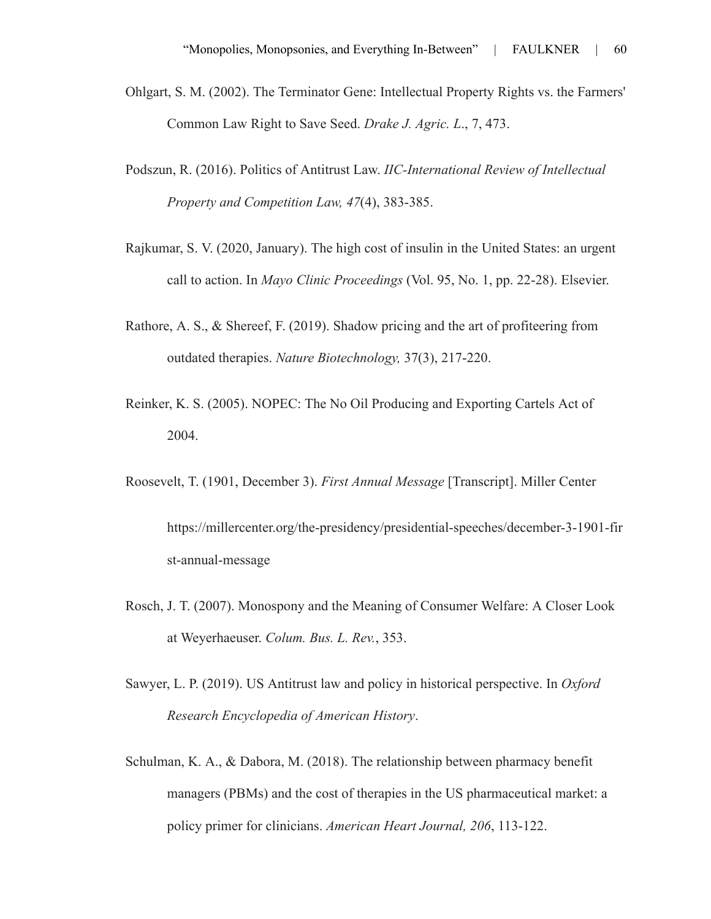- Ohlgart, S. M. (2002). The Terminator Gene: Intellectual Property Rights vs. the Farmers' Common Law Right to Save Seed. *Drake J. Agric. L*., 7, 473.
- Podszun, R. (2016). Politics of Antitrust Law. *IIC-International Review of Intellectual Property and Competition Law, 47*(4), 383-385.
- Rajkumar, S. V. (2020, January). The high cost of insulin in the United States: an urgent call to action. In *Mayo Clinic Proceedings* (Vol. 95, No. 1, pp. 22-28). Elsevier.
- Rathore, A. S., & Shereef, F. (2019). Shadow pricing and the art of profiteering from outdated therapies. *Nature Biotechnology,* 37(3), 217-220.
- Reinker, K. S. (2005). NOPEC: The No Oil Producing and Exporting Cartels Act of 2004.
- Roosevelt, T. (1901, December 3). *First Annual Message* [Transcript]. Miller Center

https://millercenter.org/the-presidency/presidential-speeches/december-3-1901-fir st-annual-message

- Rosch, J. T. (2007). Monospony and the Meaning of Consumer Welfare: A Closer Look at Weyerhaeuser. *Colum. Bus. L. Rev.*, 353.
- Sawyer, L. P. (2019). US Antitrust law and policy in historical perspective. In *Oxford Research Encyclopedia of American History*.
- Schulman, K. A., & Dabora, M. (2018). The relationship between pharmacy benefit managers (PBMs) and the cost of therapies in the US pharmaceutical market: a policy primer for clinicians. *American Heart Journal, 206*, 113-122.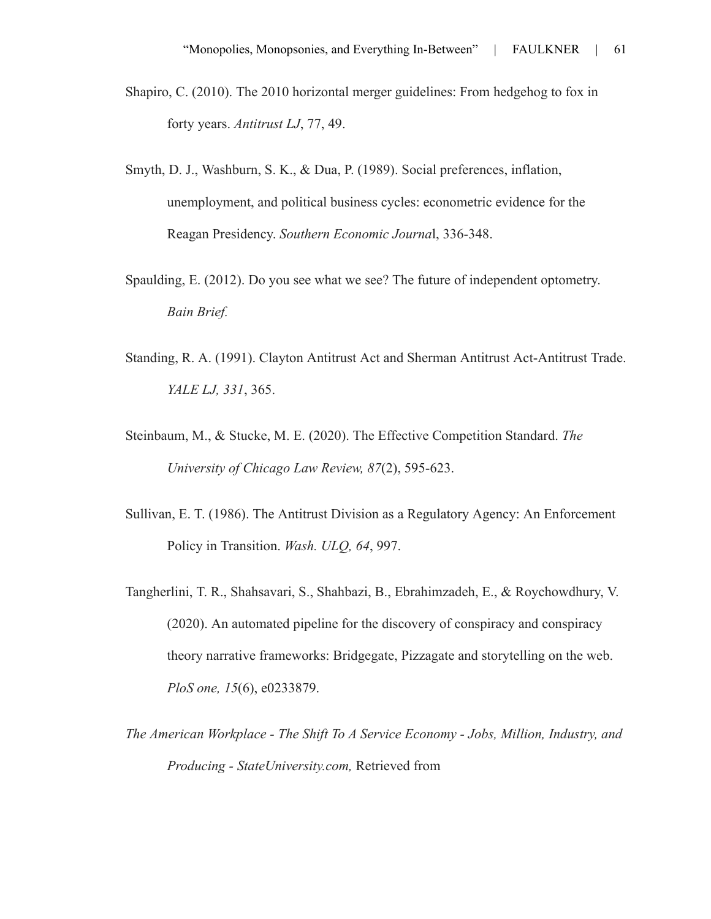- Shapiro, C. (2010). The 2010 horizontal merger guidelines: From hedgehog to fox in forty years. *Antitrust LJ*, 77, 49.
- Smyth, D. J., Washburn, S. K., & Dua, P. (1989). Social preferences, inflation, unemployment, and political business cycles: econometric evidence for the Reagan Presidency. *Southern Economic Journa*l, 336-348.
- Spaulding, E. (2012). Do you see what we see? The future of independent optometry. *Bain Brief.*
- Standing, R. A. (1991). Clayton Antitrust Act and Sherman Antitrust Act-Antitrust Trade. *YALE LJ, 331*, 365.
- Steinbaum, M., & Stucke, M. E. (2020). The Effective Competition Standard. *The University of Chicago Law Review, 87*(2), 595-623.
- Sullivan, E. T. (1986). The Antitrust Division as a Regulatory Agency: An Enforcement Policy in Transition. *Wash. ULQ, 64*, 997.
- Tangherlini, T. R., Shahsavari, S., Shahbazi, B., Ebrahimzadeh, E., & Roychowdhury, V. (2020). An automated pipeline for the discovery of conspiracy and conspiracy theory narrative frameworks: Bridgegate, Pizzagate and storytelling on the web. *PloS one, 15*(6), e0233879.
- *The American Workplace The Shift To A Service Economy Jobs, Million, Industry, and Producing - StateUniversity.com,* Retrieved from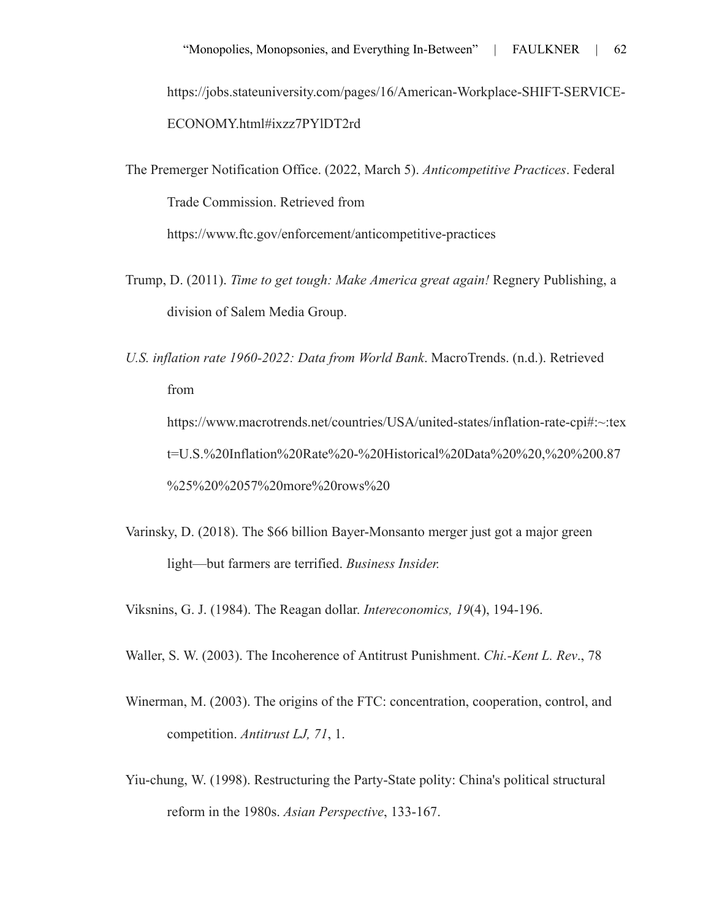https://jobs.stateuniversity.com/pages/16/American-Workplace-SHIFT-SERVICE-ECONOMY.html#ixzz7PYlDT2rd

The Premerger Notification Office. (2022, March 5). *Anticompetitive Practices*. Federal Trade Commission. Retrieved from https://www.ftc.gov/enforcement/anticompetitive-practices

Trump, D. (2011). *Time to get tough: Make America great again!* Regnery Publishing, a

division of Salem Media Group.

*U.S. inflation rate 1960-2022: Data from World Bank*. MacroTrends. (n.d.). Retrieved from https://www.macrotrends.net/countries/USA/united-states/inflation-rate-cpi#:~:tex t=U.S.%20Inflation%20Rate%20-%20Historical%20Data%20%20,%20%200.87 %25%20%2057%20more%20rows%20

Varinsky, D. (2018). The \$66 billion Bayer-Monsanto merger just got a major green light—but farmers are terrified. *Business Insider.*

Viksnins, G. J. (1984). The Reagan dollar. *Intereconomics, 19*(4), 194-196.

Waller, S. W. (2003). The Incoherence of Antitrust Punishment. *Chi.-Kent L. Rev*., 78

- Winerman, M. (2003). The origins of the FTC: concentration, cooperation, control, and competition. *Antitrust LJ, 71*, 1.
- Yiu-chung, W. (1998). Restructuring the Party-State polity: China's political structural reform in the 1980s. *Asian Perspective*, 133-167.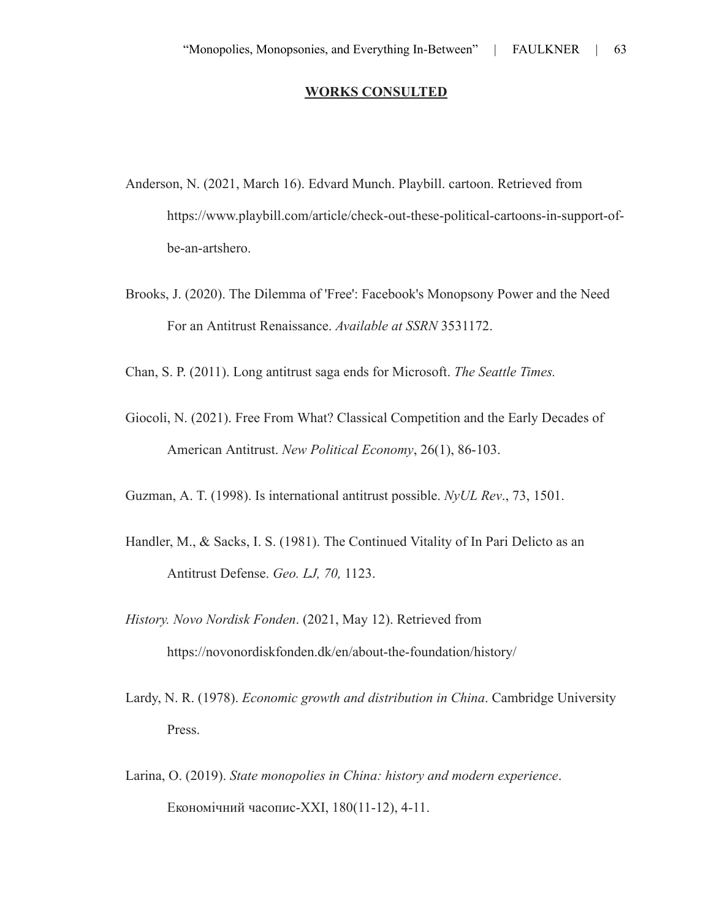### **WORKS CONSULTED**

- Anderson, N. (2021, March 16). Edvard Munch. Playbill. cartoon. Retrieved from https://www.playbill.com/article/check-out-these-political-cartoons-in-support-ofbe-an-artshero.
- Brooks, J. (2020). The Dilemma of 'Free': Facebook's Monopsony Power and the Need For an Antitrust Renaissance. *Available at SSRN* 3531172.

Chan, S. P. (2011). Long antitrust saga ends for Microsoft. *The Seattle Times.*

Giocoli, N. (2021). Free From What? Classical Competition and the Early Decades of American Antitrust. *New Political Economy*, 26(1), 86-103.

Guzman, A. T. (1998). Is international antitrust possible. *NyUL Rev*., 73, 1501.

- Handler, M., & Sacks, I. S. (1981). The Continued Vitality of In Pari Delicto as an Antitrust Defense. *Geo. LJ, 70,* 1123.
- *History. Novo Nordisk Fonden*. (2021, May 12). Retrieved from https://novonordiskfonden.dk/en/about-the-foundation/history/
- Lardy, N. R. (1978). *Economic growth and distribution in China*. Cambridge University Press.
- Larina, O. (2019). *State monopolies in China: history and modern experience*. Економічний часопис-ХХІ, 180(11-12), 4-11.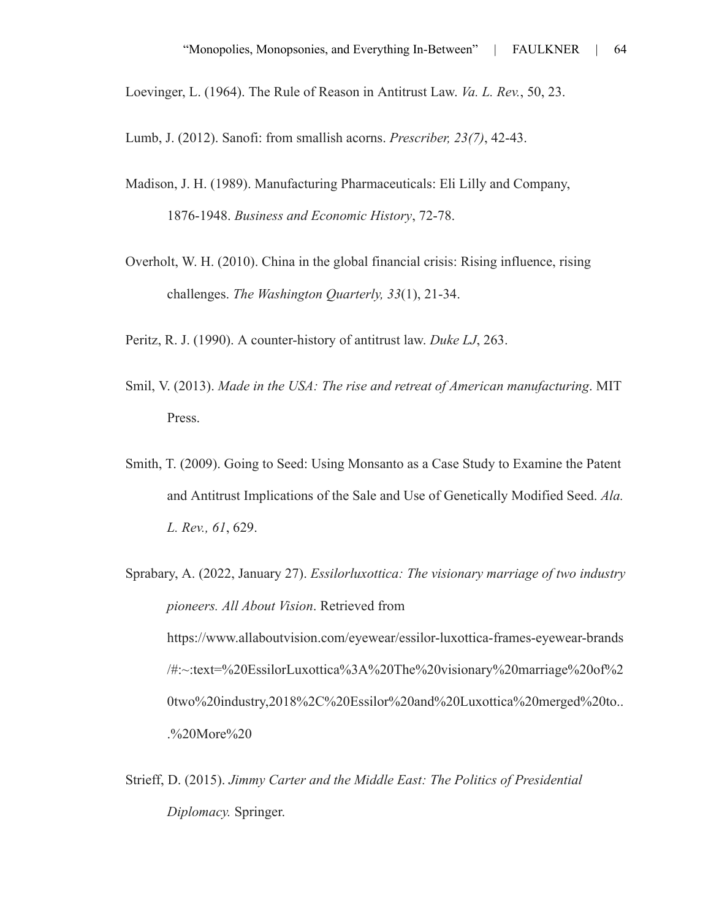Loevinger, L. (1964). The Rule of Reason in Antitrust Law. *Va. L. Rev.*, 50, 23.

Lumb, J. (2012). Sanofi: from smallish acorns. *Prescriber, 23(7)*, 42-43.

- Madison, J. H. (1989). Manufacturing Pharmaceuticals: Eli Lilly and Company, 1876-1948. *Business and Economic History*, 72-78.
- Overholt, W. H. (2010). China in the global financial crisis: Rising influence, rising challenges. *The Washington Quarterly, 33*(1), 21-34.
- Peritz, R. J. (1990). A counter-history of antitrust law. *Duke LJ*, 263.
- Smil, V. (2013). *Made in the USA: The rise and retreat of American manufacturing*. MIT Press.
- Smith, T. (2009). Going to Seed: Using Monsanto as a Case Study to Examine the Patent and Antitrust Implications of the Sale and Use of Genetically Modified Seed. *Ala. L. Rev., 61*, 629.
- Sprabary, A. (2022, January 27). *Essilorluxottica: The visionary marriage of two industry pioneers. All About Vision*. Retrieved from https://www.allaboutvision.com/eyewear/essilor-luxottica-frames-eyewear-brands /#:~:text=%20EssilorLuxottica%3A%20The%20visionary%20marriage%20of%2 0two%20industry,2018%2C%20Essilor%20and%20Luxottica%20merged%20to.. .%20More%20
- Strieff, D. (2015). *Jimmy Carter and the Middle East: The Politics of Presidential Diplomacy.* Springer.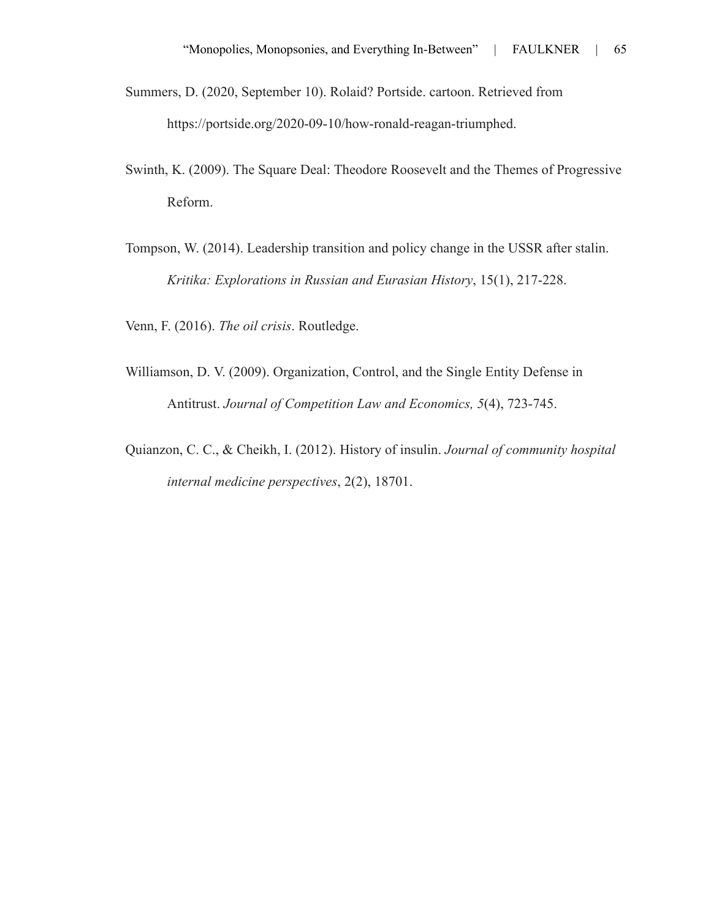- Summers, D. (2020, September 10). Rolaid? Portside. cartoon. Retrieved from https://portside.org/2020-09-10/how-ronald-reagan-triumphed.
- Swinth, K. (2009). The Square Deal: Theodore Roosevelt and the Themes of Progressive Reform.
- Tompson, W. (2014). Leadership transition and policy change in the USSR after stalin. *Kritika: Explorations in Russian and Eurasian History*, 15(1), 217-228.

Venn, F. (2016). *The oil crisis*. Routledge.

- Williamson, D. V. (2009). Organization, Control, and the Single Entity Defense in Antitrust. *Journal of Competition Law and Economics, 5*(4), 723-745.
- Quianzon, C. C., & Cheikh, I. (2012). History of insulin. *Journal of community hospital internal medicine perspectives*, 2(2), 18701.